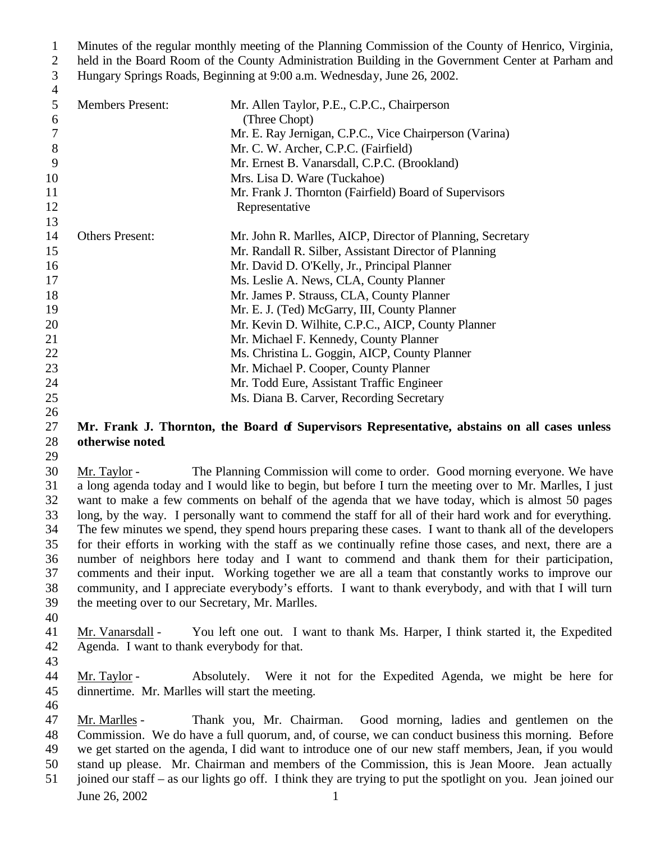Minutes of the regular monthly meeting of the Planning Commission of the County of Henrico, Virginia, held in the Board Room of the County Administration Building in the Government Center at Parham and

Hungary Springs Roads, Beginning at 9:00 a.m. Wednesday, June 26, 2002.

| 4  |                         |                                                            |
|----|-------------------------|------------------------------------------------------------|
| 5  | <b>Members Present:</b> | Mr. Allen Taylor, P.E., C.P.C., Chairperson                |
| 6  |                         | (Three Chopt)                                              |
| 7  |                         | Mr. E. Ray Jernigan, C.P.C., Vice Chairperson (Varina)     |
| 8  |                         | Mr. C. W. Archer, C.P.C. (Fairfield)                       |
| 9  |                         | Mr. Ernest B. Vanarsdall, C.P.C. (Brookland)               |
| 10 |                         | Mrs. Lisa D. Ware (Tuckahoe)                               |
| 11 |                         | Mr. Frank J. Thornton (Fairfield) Board of Supervisors     |
| 12 |                         | Representative                                             |
| 13 |                         |                                                            |
| 14 | <b>Others Present:</b>  | Mr. John R. Marlles, AICP, Director of Planning, Secretary |
| 15 |                         | Mr. Randall R. Silber, Assistant Director of Planning      |
| 16 |                         | Mr. David D. O'Kelly, Jr., Principal Planner               |
| 17 |                         | Ms. Leslie A. News, CLA, County Planner                    |
| 18 |                         | Mr. James P. Strauss, CLA, County Planner                  |
| 19 |                         | Mr. E. J. (Ted) McGarry, III, County Planner               |
| 20 |                         | Mr. Kevin D. Wilhite, C.P.C., AICP, County Planner         |
| 21 |                         | Mr. Michael F. Kennedy, County Planner                     |
| 22 |                         | Ms. Christina L. Goggin, AICP, County Planner              |
| 23 |                         | Mr. Michael P. Cooper, County Planner                      |
| 24 |                         | Mr. Todd Eure, Assistant Traffic Engineer                  |
| 25 |                         | Ms. Diana B. Carver, Recording Secretary                   |

## **Mr. Frank J. Thornton, the Board of Supervisors Representative, abstains on all cases unless otherwise noted**.

 Mr. Taylor - The Planning Commission will come to order. Good morning everyone. We have a long agenda today and I would like to begin, but before I turn the meeting over to Mr. Marlles, I just want to make a few comments on behalf of the agenda that we have today, which is almost 50 pages long, by the way. I personally want to commend the staff for all of their hard work and for everything. The few minutes we spend, they spend hours preparing these cases. I want to thank all of the developers for their efforts in working with the staff as we continually refine those cases, and next, there are a number of neighbors here today and I want to commend and thank them for their participation, comments and their input. Working together we are all a team that constantly works to improve our community, and I appreciate everybody's efforts. I want to thank everybody, and with that I will turn the meeting over to our Secretary, Mr. Marlles.

 Mr. Vanarsdall - You left one out. I want to thank Ms. Harper, I think started it, the Expedited Agenda. I want to thank everybody for that. 

 Mr. Taylor - Absolutely. Were it not for the Expedited Agenda, we might be here for dinnertime. Mr. Marlles will start the meeting.

 Mr. Marlles - Thank you, Mr. Chairman. Good morning, ladies and gentlemen on the Commission. We do have a full quorum, and, of course, we can conduct business this morning. Before we get started on the agenda, I did want to introduce one of our new staff members, Jean, if you would stand up please. Mr. Chairman and members of the Commission, this is Jean Moore. Jean actually

June 26, 2002 1 joined our staff – as our lights go off. I think they are trying to put the spotlight on you. Jean joined our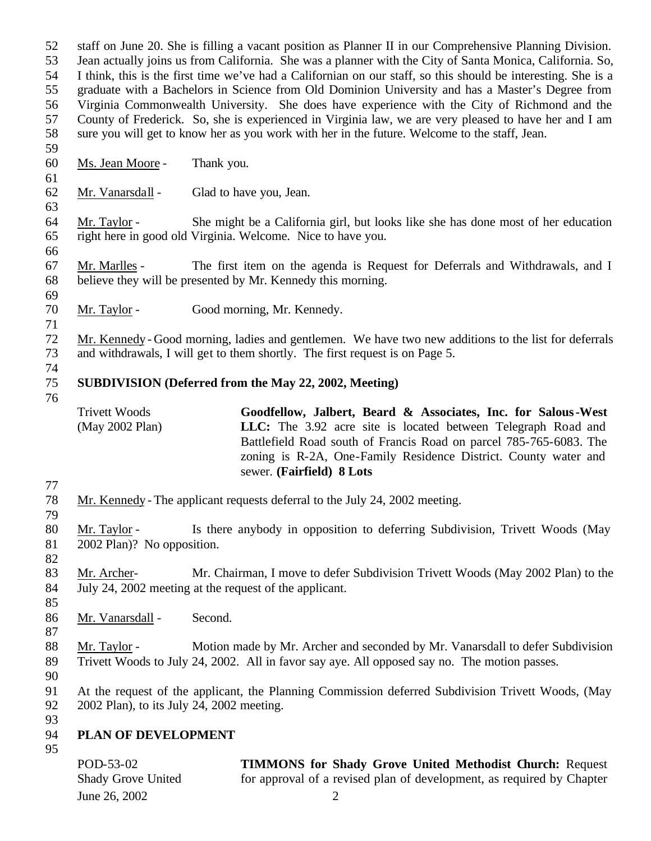staff on June 20. She is filling a vacant position as Planner II in our Comprehensive Planning Division. Jean actually joins us from California. She was a planner with the City of Santa Monica, California. So, I think, this is the first time we've had a Californian on our staff, so this should be interesting. She is a graduate with a Bachelors in Science from Old Dominion University and has a Master's Degree from Virginia Commonwealth University. She does have experience with the City of Richmond and the County of Frederick. So, she is experienced in Virginia law, we are very pleased to have her and I am sure you will get to know her as you work with her in the future. Welcome to the staff, Jean. Ms. Jean Moore - Thank you. Mr. Vanarsdall - Glad to have you, Jean. Mr. Taylor - She might be a California girl, but looks like she has done most of her education right here in good old Virginia. Welcome. Nice to have you. Mr. Marlles - The first item on the agenda is Request for Deferrals and Withdrawals, and I believe they will be presented by Mr. Kennedy this morning. Mr. Taylor - Good morning, Mr. Kennedy. Mr. Kennedy - Good morning, ladies and gentlemen. We have two new additions to the list for deferrals and withdrawals, I will get to them shortly. The first request is on Page 5. **SUBDIVISION (Deferred from the May 22, 2002, Meeting)** Trivett Woods (May 2002 Plan) **Goodfellow, Jalbert, Beard & Associates, Inc. for Salous-West LLC:** The 3.92 acre site is located between Telegraph Road and Battlefield Road south of Francis Road on parcel 785-765-6083. The zoning is R-2A, One-Family Residence District. County water and sewer. **(Fairfield) 8 Lots** Mr. Kennedy - The applicant requests deferral to the July 24, 2002 meeting. Mr. Taylor - Is there anybody in opposition to deferring Subdivision, Trivett Woods (May 2002 Plan)? No opposition. 83 Mr. Archer- Mr. Chairman, I move to defer Subdivision Trivett Woods (May 2002 Plan) to the July 24, 2002 meeting at the request of the applicant. Mr. Vanarsdall - Second. 88 Mr. Taylor - Motion made by Mr. Archer and seconded by Mr. Vanarsdall to defer Subdivision Trivett Woods to July 24, 2002. All in favor say aye. All opposed say no. The motion passes. At the request of the applicant, the Planning Commission deferred Subdivision Trivett Woods, (May 2002 Plan), to its July 24, 2002 meeting. **PLAN OF DEVELOPMENT**  POD-53-02 Shady Grove United **TIMMONS for Shady Grove United Methodist Church:** Request for approval of a revised plan of development, as required by Chapter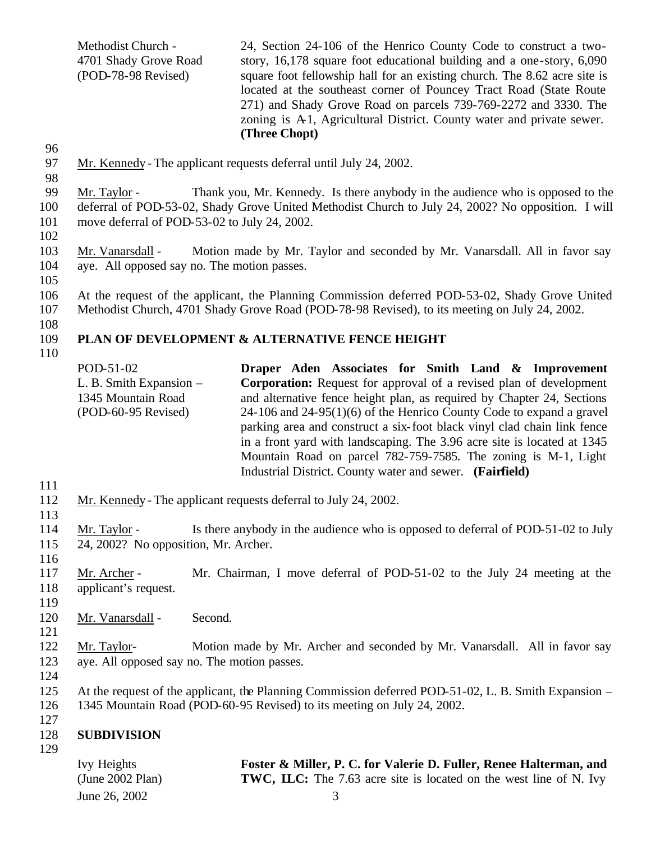Methodist Church - 4701 Shady Grove Road (POD-78-98 Revised) 24, Section 24-106 of the Henrico County Code to construct a twostory, 16,178 square foot educational building and a one-story, 6,090 square foot fellowship hall for an existing church. The 8.62 acre site is located at the southeast corner of Pouncey Tract Road (State Route 271) and Shady Grove Road on parcels 739-769-2272 and 3330. The zoning is A<sub>1</sub>, Agricultural District. County water and private sewer. **(Three Chopt)**

96

- 97 Mr. Kennedy The applicant requests deferral until July 24, 2002.
- 98

99 Mr. Taylor - Thank you, Mr. Kennedy. Is there anybody in the audience who is opposed to the

100 deferral of POD-53-02, Shady Grove United Methodist Church to July 24, 2002? No opposition. I will 101 move deferral of POD-53-02 to July 24, 2002.

102

103 Mr. Vanarsdall - Motion made by Mr. Taylor and seconded by Mr. Vanarsdall. All in favor say 104 aye. All opposed say no. The motion passes.

105

106 At the request of the applicant, the Planning Commission deferred POD-53-02, Shady Grove United

107 Methodist Church, 4701 Shady Grove Road (POD-78-98 Revised), to its meeting on July 24, 2002.

108

## 109 **PLAN OF DEVELOPMENT & ALTERNATIVE FENCE HEIGHT**

110

| POD-51-02                 | Draper Aden Associates for Smith Land & Improvement                       |
|---------------------------|---------------------------------------------------------------------------|
| L. B. Smith Expansion $-$ | <b>Corporation:</b> Request for approval of a revised plan of development |
| 1345 Mountain Road        | and alternative fence height plan, as required by Chapter 24, Sections    |
| $(POD-60-95$ Revised)     | $24-106$ and $24-95(1)(6)$ of the Henrico County Code to expand a gravel  |
|                           | parking area and construct a six-foot black vinyl clad chain link fence   |
|                           | in a front yard with landscaping. The 3.96 acre site is located at 1345   |
|                           | Mountain Road on parcel 782-759-7585. The zoning is M-1, Light            |
|                           | Industrial District. County water and sewer. (Fairfield)                  |

- 111
- 112 Mr. Kennedy The applicant requests deferral to July 24, 2002.
- 113

114 Mr. Taylor - Is there anybody in the audience who is opposed to deferral of POD-51-02 to July 115 24, 2002? No opposition, Mr. Archer.

116 117 Mr. Archer - Mr. Chairman, I move deferral of POD-51-02 to the July 24 meeting at the 118 applicant's request.

119

120 Mr. Vanarsdall - Second.

121

122 Mr. Taylor- Motion made by Mr. Archer and seconded by Mr. Vanarsdall. All in favor say 123 aye. All opposed say no. The motion passes.

124

125 At the request of the applicant, the Planning Commission deferred POD-51-02, L. B. Smith Expansion – 126 1345 Mountain Road (POD-60-95 Revised) to its meeting on July 24, 2002.

127

#### 128 **SUBDIVISION**  129

| Ivy Heights           | Foster & Miller, P. C. for Valerie D. Fuller, Renee Halterman, and        |
|-----------------------|---------------------------------------------------------------------------|
| $(June 2002$ Plan $)$ | <b>TWC, LLC:</b> The 7.63 acre site is located on the west line of N. Ivy |
| June 26, 2002         |                                                                           |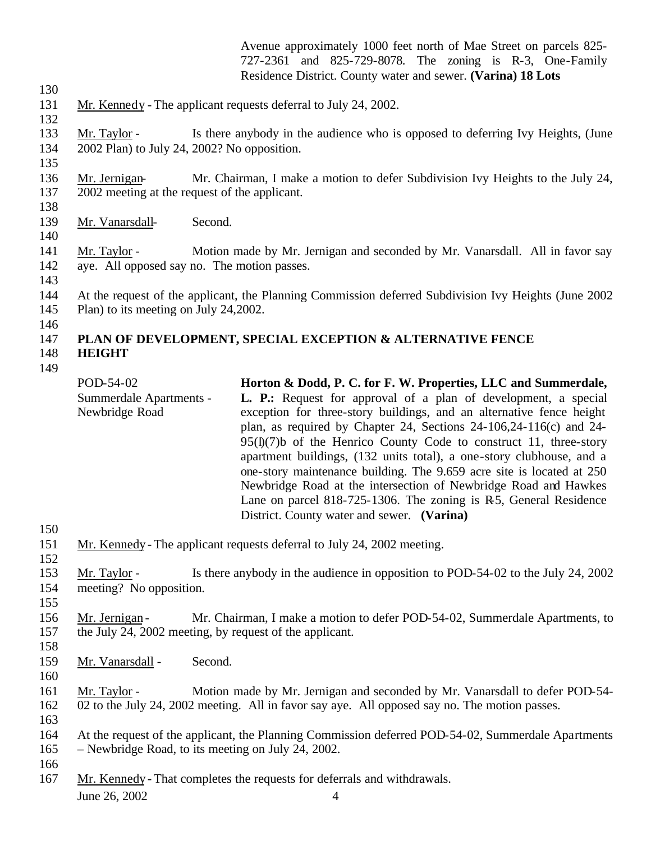Avenue approximately 1000 feet north of Mae Street on parcels 825- 727-2361 and 825-729-8078. The zoning is R-3, One-Family Residence District. County water and sewer. **(Varina) 18 Lots**

Mr. Kennedy - The applicant requests deferral to July 24, 2002.

 Mr. Taylor - Is there anybody in the audience who is opposed to deferring Ivy Heights, (June 2002 Plan) to July 24, 2002? No opposition.

- Mr. Jernigan- Mr. Chairman, I make a motion to defer Subdivision Ivy Heights to the July 24, 2002 meeting at the request of the applicant.
- Mr. Vanarsdall- Second.
- Mr. Taylor Motion made by Mr. Jernigan and seconded by Mr. Vanarsdall. All in favor say aye. All opposed say no. The motion passes.
- 

 At the request of the applicant, the Planning Commission deferred Subdivision Ivy Heights (June 2002 Plan) to its meeting on July 24,2002.

#### **PLAN OF DEVELOPMENT, SPECIAL EXCEPTION & ALTERNATIVE FENCE HEIGHT**

| POD-54-02<br>Summerdale Apartments -<br>Newbridge Road | Horton & Dodd, P. C. for F. W. Properties, LLC and Summerdale,<br><b>L. P.:</b> Request for approval of a plan of development, a special<br>exception for three-story buildings, and an alternative fence height<br>plan, as required by Chapter 24, Sections $24-106,24-116(c)$ and $24-$<br>$95(I)(7)$ b of the Henrico County Code to construct 11, three-story<br>apartment buildings, (132 units total), a one-story clubhouse, and a<br>one-story maintenance building. The 9.659 acre site is located at 250<br>Newbridge Road at the intersection of Newbridge Road and Hawkes |
|--------------------------------------------------------|----------------------------------------------------------------------------------------------------------------------------------------------------------------------------------------------------------------------------------------------------------------------------------------------------------------------------------------------------------------------------------------------------------------------------------------------------------------------------------------------------------------------------------------------------------------------------------------|
|                                                        | Lane on parcel 818-725-1306. The zoning is R5, General Residence<br>District. County water and sewer. (Varina)                                                                                                                                                                                                                                                                                                                                                                                                                                                                         |

Mr. Kennedy - The applicant requests deferral to July 24, 2002 meeting.

 Mr. Taylor - Is there anybody in the audience in opposition to POD-54-02 to the July 24, 2002 meeting? No opposition.

156 Mr. Jernigan - Mr. Chairman, I make a motion to defer POD-54-02, Summerdale Apartments, to the July 24, 2002 meeting, by request of the applicant.

- Mr. Vanarsdall - Second.
- 

 Mr. Taylor - Motion made by Mr. Jernigan and seconded by Mr. Vanarsdall to defer POD-54- 02 to the July 24, 2002 meeting. All in favor say aye. All opposed say no. The motion passes.

 At the request of the applicant, the Planning Commission deferred POD-54-02, Summerdale Apartments – Newbridge Road, to its meeting on July 24, 2002.

Mr. Kennedy - That completes the requests for deferrals and withdrawals.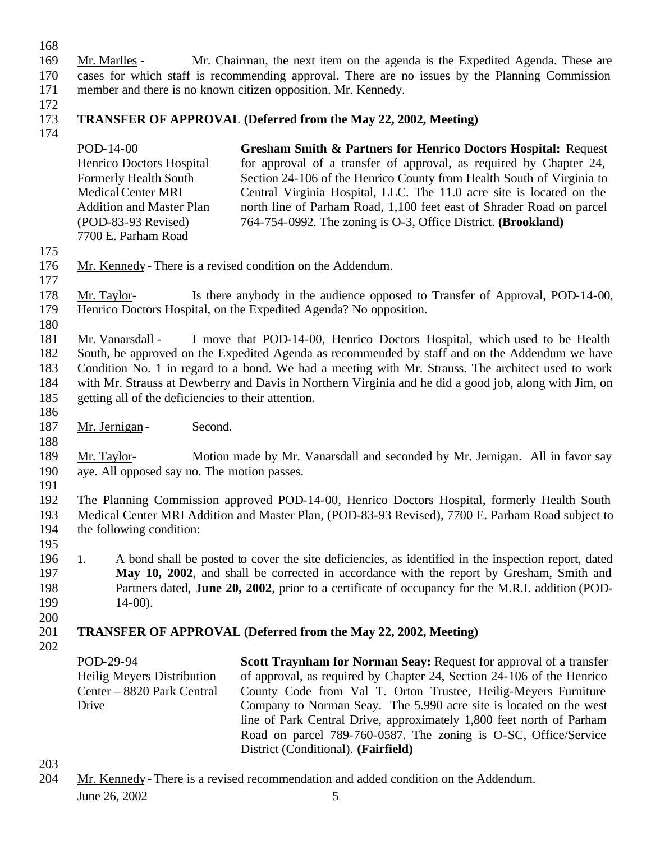168

- 169 Mr. Marlles Mr. Chairman, the next item on the agenda is the Expedited Agenda. These are 170 cases for which staff is recommending approval. There are no issues by the Planning Commission 171 member and there is no known citizen opposition. Mr. Kennedy.
- 172

174

# 173 **TRANSFER OF APPROVAL (Deferred from the May 22, 2002, Meeting)**

- POD-14-00 Henrico Doctors Hospital Formerly Health South Medical Center MRI Addition and Master Plan (POD-83-93 Revised) 7700 E. Parham Road **Gresham Smith & Partners for Henrico Doctors Hospital:** Request for approval of a transfer of approval, as required by Chapter 24, Section 24-106 of the Henrico County from Health South of Virginia to Central Virginia Hospital, LLC. The 11.0 acre site is located on the north line of Parham Road, 1,100 feet east of Shrader Road on parcel 764-754-0992. The zoning is O-3, Office District. **(Brookland)**
- 175
- 176 Mr. Kennedy There is a revised condition on the Addendum.
- 177
- 178 Mr. Taylor- Is there anybody in the audience opposed to Transfer of Approval, POD-14-00, 179 Henrico Doctors Hospital, on the Expedited Agenda? No opposition.
- 

180 Mr. Vanarsdall - I move that POD-14-00, Henrico Doctors Hospital, which used to be Health South, be approved on the Expedited Agenda as recommended by staff and on the Addendum we have Condition No. 1 in regard to a bond. We had a meeting with Mr. Strauss. The architect used to work

184 with Mr. Strauss at Dewberry and Davis in Northern Virginia and he did a good job, along with Jim, on 185 getting all of the deficiencies to their attention.

186

187 Mr. Jernigan - Second.

188 189 Mr. Taylor- Motion made by Mr. Vanarsdall and seconded by Mr. Jernigan. All in favor say 190 aye. All opposed say no. The motion passes.

191

 The Planning Commission approved POD-14-00, Henrico Doctors Hospital, formerly Health South Medical Center MRI Addition and Master Plan, (POD-83-93 Revised), 7700 E. Parham Road subject to the following condition: 195

 1. A bond shall be posted to cover the site deficiencies, as identified in the inspection report, dated **May 10, 2002**, and shall be corrected in accordance with the report by Gresham, Smith and Partners dated, **June 20, 2002**, prior to a certificate of occupancy for the M.R.I. addition (POD-199 14-00).

200

## 201 **TRANSFER OF APPROVAL (Deferred from the May 22, 2002, Meeting)**

202

POD-29-94 Heilig Meyers Distribution Center – 8820 Park Central Drive

**Scott Traynham for Norman Seay: Request for approval of a transfer** of approval, as required by Chapter 24, Section 24-106 of the Henrico County Code from Val T. Orton Trustee, Heilig-Meyers Furniture Company to Norman Seay. The 5.990 acre site is located on the west line of Park Central Drive, approximately 1,800 feet north of Parham Road on parcel 789-760-0587. The zoning is O-SC, Office/Service District (Conditional). **(Fairfield)**

- 203
- June 26, 2002 5 204 Mr. Kennedy - There is a revised recommendation and added condition on the Addendum.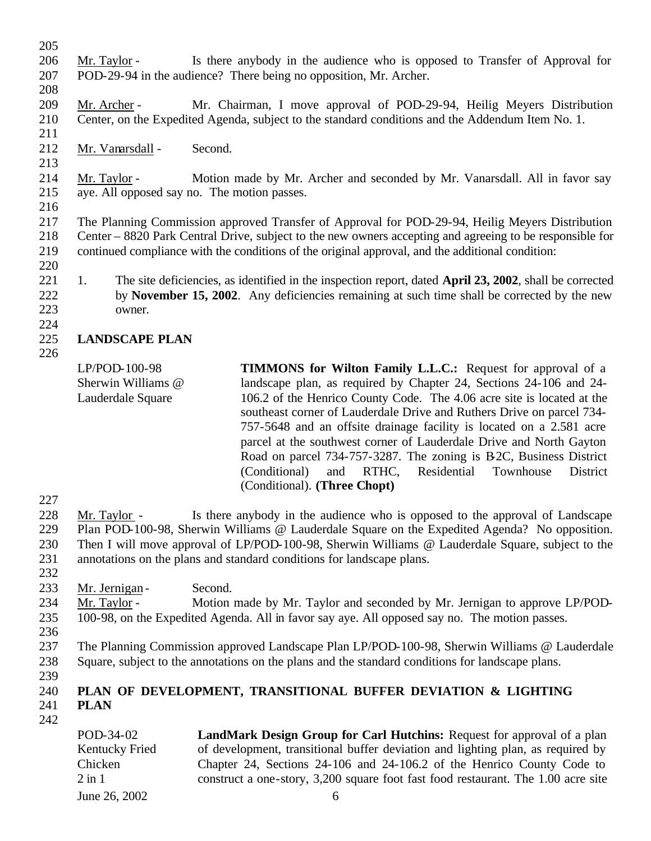| 205 |                                                                                                          |                                                                                                                                                 |  |  |  |
|-----|----------------------------------------------------------------------------------------------------------|-------------------------------------------------------------------------------------------------------------------------------------------------|--|--|--|
| 206 | Mr. Taylor -                                                                                             | Is there anybody in the audience who is opposed to Transfer of Approval for                                                                     |  |  |  |
| 207 | POD-29-94 in the audience? There being no opposition, Mr. Archer.                                        |                                                                                                                                                 |  |  |  |
| 208 |                                                                                                          |                                                                                                                                                 |  |  |  |
| 209 | Mr. Archer -                                                                                             | Mr. Chairman, I move approval of POD-29-94, Heilig Meyers Distribution                                                                          |  |  |  |
| 210 |                                                                                                          | Center, on the Expedited Agenda, subject to the standard conditions and the Addendum Item No. 1.                                                |  |  |  |
| 211 |                                                                                                          |                                                                                                                                                 |  |  |  |
| 212 | Second.<br>Mr. Vanarsdall -                                                                              |                                                                                                                                                 |  |  |  |
| 213 |                                                                                                          |                                                                                                                                                 |  |  |  |
| 214 | Mr. Taylor -                                                                                             | Motion made by Mr. Archer and seconded by Mr. Vanarsdall. All in favor say                                                                      |  |  |  |
| 215 | aye. All opposed say no. The motion passes.                                                              |                                                                                                                                                 |  |  |  |
| 216 |                                                                                                          |                                                                                                                                                 |  |  |  |
| 217 | The Planning Commission approved Transfer of Approval for POD-29-94, Heilig Meyers Distribution          |                                                                                                                                                 |  |  |  |
| 218 | Center – 8820 Park Central Drive, subject to the new owners accepting and agreeing to be responsible for |                                                                                                                                                 |  |  |  |
| 219 |                                                                                                          | continued compliance with the conditions of the original approval, and the additional condition:                                                |  |  |  |
| 220 |                                                                                                          |                                                                                                                                                 |  |  |  |
| 221 | 1.                                                                                                       | The site deficiencies, as identified in the inspection report, dated April 23, 2002, shall be corrected                                         |  |  |  |
| 222 |                                                                                                          | by November 15, 2002. Any deficiencies remaining at such time shall be corrected by the new                                                     |  |  |  |
| 223 | owner.                                                                                                   |                                                                                                                                                 |  |  |  |
| 224 |                                                                                                          |                                                                                                                                                 |  |  |  |
| 225 | <b>LANDSCAPE PLAN</b>                                                                                    |                                                                                                                                                 |  |  |  |
| 226 |                                                                                                          |                                                                                                                                                 |  |  |  |
|     | LP/POD-100-98                                                                                            | TIMMONS for Wilton Family L.L.C.: Request for approval of a                                                                                     |  |  |  |
|     | Sherwin Williams @                                                                                       | landscape plan, as required by Chapter 24, Sections 24-106 and 24-                                                                              |  |  |  |
|     | Lauderdale Square                                                                                        | 106.2 of the Henrico County Code. The 4.06 acre site is located at the<br>southeast corner of Lauderdale Drive and Ruthers Drive on parcel 734- |  |  |  |

- 227
- 228 Mr. Taylor Is there anybody in the audience who is opposed to the approval of Landscape 229 Plan POD-100-98, Sherwin Williams @ Lauderdale Square on the Expedited Agenda? No opposition. 230 Then I will move approval of LP/POD-100-98, Sherwin Williams @ Lauderdale Square, subject to the 231 annotations on the plans and standard conditions for landscape plans.

(Conditional). **(Three Chopt)**

757-5648 and an offsite drainage facility is located on a 2.581 acre parcel at the southwest corner of Lauderdale Drive and North Gayton Road on parcel 734-757-3287. The zoning is B2C, Business District (Conditional) and RTHC, Residential Townhouse District

- 232
- 233 Mr. Jernigan Second.
- 234 Mr. Taylor Motion made by Mr. Taylor and seconded by Mr. Jernigan to approve LP/POD-235 100-98, on the Expedited Agenda. All in favor say aye. All opposed say no. The motion passes.
- 236
- 237 The Planning Commission approved Landscape Plan LP/POD-100-98, Sherwin Williams @ Lauderdale 238 Square, subject to the annotations on the plans and the standard conditions for landscape plans.
- 239

#### 240 **PLAN OF DEVELOPMENT, TRANSITIONAL BUFFER DEVIATION & LIGHTING**  241 **PLAN**  242

June 26, 2002 6 POD-34-02 Kentucky Fried Chicken 2 in 1 **LandMark Design Group for Carl Hutchins:** Request for approval of a plan of development, transitional buffer deviation and lighting plan, as required by Chapter 24, Sections 24-106 and 24-106.2 of the Henrico County Code to construct a one-story, 3,200 square foot fast food restaurant. The 1.00 acre site  $\delta$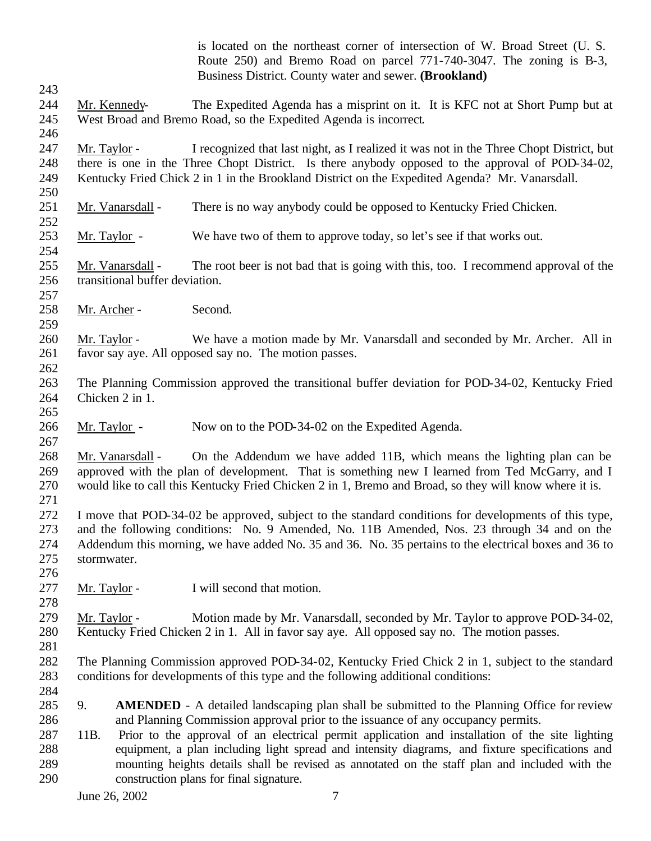|                   |                                                    | is located on the northeast corner of intersection of W. Broad Street (U. S.<br>Route 250) and Bremo Road on parcel 771-740-3047. The zoning is B-3,<br>Business District. County water and sewer. (Brookland) |
|-------------------|----------------------------------------------------|----------------------------------------------------------------------------------------------------------------------------------------------------------------------------------------------------------------|
| 243               |                                                    |                                                                                                                                                                                                                |
| 244               | Mr. Kennedy-                                       | The Expedited Agenda has a misprint on it. It is KFC not at Short Pump but at                                                                                                                                  |
| 245<br>246        |                                                    | West Broad and Bremo Road, so the Expedited Agenda is incorrect.                                                                                                                                               |
| 247               | Mr. Taylor -                                       | I recognized that last night, as I realized it was not in the Three Chopt District, but                                                                                                                        |
| 248               |                                                    | there is one in the Three Chopt District. Is there anybody opposed to the approval of POD-34-02,                                                                                                               |
| 249<br>250        |                                                    | Kentucky Fried Chick 2 in 1 in the Brookland District on the Expedited Agenda? Mr. Vanarsdall.                                                                                                                 |
| 251<br>252        | Mr. Vanarsdall -                                   | There is no way anybody could be opposed to Kentucky Fried Chicken.                                                                                                                                            |
| 253<br>254        | Mr. Taylor -                                       | We have two of them to approve today, so let's see if that works out.                                                                                                                                          |
| 255<br>256<br>257 | Mr. Vanarsdall -<br>transitional buffer deviation. | The root beer is not bad that is going with this, too. I recommend approval of the                                                                                                                             |
| 258               | Mr. Archer -                                       | Second.                                                                                                                                                                                                        |
| 259<br>260        | Mr. Taylor -                                       | We have a motion made by Mr. Vanarsdall and seconded by Mr. Archer. All in                                                                                                                                     |
| 261               |                                                    | favor say aye. All opposed say no. The motion passes.                                                                                                                                                          |
| 262               |                                                    |                                                                                                                                                                                                                |
| 263               |                                                    | The Planning Commission approved the transitional buffer deviation for POD-34-02, Kentucky Fried                                                                                                               |
| 264               | Chicken 2 in 1.                                    |                                                                                                                                                                                                                |
| 265               |                                                    |                                                                                                                                                                                                                |
| 266               | Mr. Taylor -                                       | Now on to the POD-34-02 on the Expedited Agenda.                                                                                                                                                               |
| 267               |                                                    |                                                                                                                                                                                                                |
| 268               | Mr. Vanarsdall -                                   | On the Addendum we have added 11B, which means the lighting plan can be                                                                                                                                        |
| 269               |                                                    | approved with the plan of development. That is something new I learned from Ted McGarry, and I                                                                                                                 |
| 270               |                                                    | would like to call this Kentucky Fried Chicken 2 in 1, Bremo and Broad, so they will know where it is.                                                                                                         |
| 271<br>272        |                                                    | I move that POD-34-02 be approved, subject to the standard conditions for developments of this type,                                                                                                           |
| 273               |                                                    | and the following conditions: No. 9 Amended, No. 11B Amended, Nos. 23 through 34 and on the                                                                                                                    |
| 274               |                                                    | Addendum this morning, we have added No. 35 and 36. No. 35 pertains to the electrical boxes and 36 to                                                                                                          |
| 275               | stormwater.                                        |                                                                                                                                                                                                                |
| 276               |                                                    |                                                                                                                                                                                                                |
| 277               | Mr. Taylor -                                       | I will second that motion.                                                                                                                                                                                     |
| 278               |                                                    |                                                                                                                                                                                                                |
| 279               | Mr. Taylor -                                       | Motion made by Mr. Vanarsdall, seconded by Mr. Taylor to approve POD-34-02,                                                                                                                                    |
| 280               |                                                    | Kentucky Fried Chicken 2 in 1. All in favor say aye. All opposed say no. The motion passes.                                                                                                                    |
| 281               |                                                    |                                                                                                                                                                                                                |
| 282               |                                                    | The Planning Commission approved POD-34-02, Kentucky Fried Chick 2 in 1, subject to the standard                                                                                                               |
| 283               |                                                    | conditions for developments of this type and the following additional conditions:                                                                                                                              |
| 284               |                                                    |                                                                                                                                                                                                                |
| 285               | 9.                                                 | <b>AMENDED</b> - A detailed landscaping plan shall be submitted to the Planning Office for review                                                                                                              |
| 286               |                                                    | and Planning Commission approval prior to the issuance of any occupancy permits.                                                                                                                               |
| 287               | 11B.                                               | Prior to the approval of an electrical permit application and installation of the site lighting                                                                                                                |
| 288               |                                                    | equipment, a plan including light spread and intensity diagrams, and fixture specifications and                                                                                                                |
| 289<br>290        |                                                    | mounting heights details shall be revised as annotated on the staff plan and included with the                                                                                                                 |
|                   |                                                    | construction plans for final signature.                                                                                                                                                                        |
|                   | June 26, 2002                                      | 7                                                                                                                                                                                                              |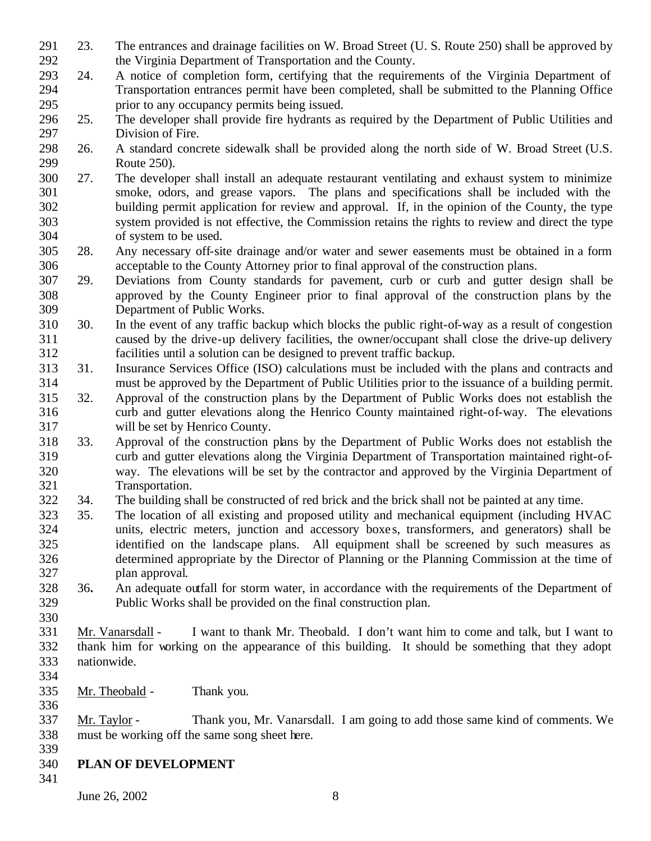- 23. The entrances and drainage facilities on W. Broad Street (U. S. Route 250) shall be approved by the Virginia Department of Transportation and the County.
- 24. A notice of completion form, certifying that the requirements of the Virginia Department of Transportation entrances permit have been completed, shall be submitted to the Planning Office prior to any occupancy permits being issued.
- 25. The developer shall provide fire hydrants as required by the Department of Public Utilities and Division of Fire.
- 26. A standard concrete sidewalk shall be provided along the north side of W. Broad Street (U.S. Route 250).
- 27. The developer shall install an adequate restaurant ventilating and exhaust system to minimize smoke, odors, and grease vapors. The plans and specifications shall be included with the building permit application for review and approval. If, in the opinion of the County, the type system provided is not effective, the Commission retains the rights to review and direct the type of system to be used.
- 28. Any necessary off-site drainage and/or water and sewer easements must be obtained in a form acceptable to the County Attorney prior to final approval of the construction plans.
- 29. Deviations from County standards for pavement, curb or curb and gutter design shall be approved by the County Engineer prior to final approval of the construction plans by the Department of Public Works.
- 30. In the event of any traffic backup which blocks the public right-of-way as a result of congestion caused by the drive-up delivery facilities, the owner/occupant shall close the drive-up delivery facilities until a solution can be designed to prevent traffic backup.
- 31. Insurance Services Office (ISO) calculations must be included with the plans and contracts and must be approved by the Department of Public Utilities prior to the issuance of a building permit.
- 32. Approval of the construction plans by the Department of Public Works does not establish the curb and gutter elevations along the Henrico County maintained right-of-way. The elevations will be set by Henrico County.
- 33. Approval of the construction plans by the Department of Public Works does not establish the curb and gutter elevations along the Virginia Department of Transportation maintained right-of- way. The elevations will be set by the contractor and approved by the Virginia Department of Transportation.
- 34. The building shall be constructed of red brick and the brick shall not be painted at any time.
- 35. The location of all existing and proposed utility and mechanical equipment (including HVAC units, electric meters, junction and accessory boxe s, transformers, and generators) shall be identified on the landscape plans. All equipment shall be screened by such measures as determined appropriate by the Director of Planning or the Planning Commission at the time of plan approval.
- 36**.** An adequate outfall for storm water, in accordance with the requirements of the Department of Public Works shall be provided on the final construction plan.
- 

 Mr. Vanarsdall - I want to thank Mr. Theobald. I don't want him to come and talk, but I want to thank him for working on the appearance of this building. It should be something that they adopt nationwide.

- 
- Mr. Theobald Thank you.
- Mr. Taylor Thank you, Mr. Vanarsdall. I am going to add those same kind of comments. We must be working off the same song sheet here.
- **PLAN OF DEVELOPMENT**
-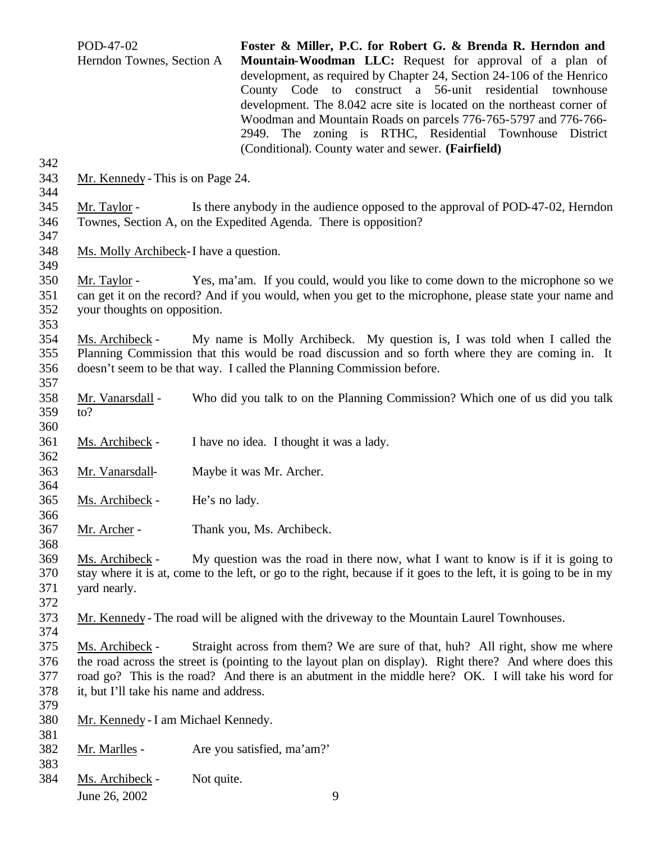| 342                      | POD-47-02<br>Herndon Townes, Section A |                                                                                                                                                                                                                         | Foster & Miller, P.C. for Robert G. & Brenda R. Herndon and<br>Mountain-Woodman LLC: Request for approval of a plan of<br>development, as required by Chapter 24, Section 24-106 of the Henrico<br>County Code to construct a 56-unit residential townhouse<br>development. The 8.042 acre site is located on the northeast corner of<br>Woodman and Mountain Roads on parcels 776-765-5797 and 776-766-<br>2949. The zoning is RTHC, Residential Townhouse District<br>(Conditional). County water and sewer. (Fairfield) |  |  |
|--------------------------|----------------------------------------|-------------------------------------------------------------------------------------------------------------------------------------------------------------------------------------------------------------------------|----------------------------------------------------------------------------------------------------------------------------------------------------------------------------------------------------------------------------------------------------------------------------------------------------------------------------------------------------------------------------------------------------------------------------------------------------------------------------------------------------------------------------|--|--|
| 343<br>344               | Mr. Kennedy - This is on Page 24.      |                                                                                                                                                                                                                         |                                                                                                                                                                                                                                                                                                                                                                                                                                                                                                                            |  |  |
| 345<br>346<br>347        | Mr. Taylor -                           |                                                                                                                                                                                                                         | Is there anybody in the audience opposed to the approval of POD-47-02, Herndon<br>Townes, Section A, on the Expedited Agenda. There is opposition?                                                                                                                                                                                                                                                                                                                                                                         |  |  |
| 348<br>349               | Ms. Molly Archibeck-I have a question. |                                                                                                                                                                                                                         |                                                                                                                                                                                                                                                                                                                                                                                                                                                                                                                            |  |  |
| 350<br>351<br>352<br>353 | Mr. Taylor -                           | Yes, ma'am. If you could, would you like to come down to the microphone so we<br>can get it on the record? And if you would, when you get to the microphone, please state your name and<br>your thoughts on opposition. |                                                                                                                                                                                                                                                                                                                                                                                                                                                                                                                            |  |  |
| 354<br>355<br>356<br>357 | Ms. Archibeck -                        |                                                                                                                                                                                                                         | My name is Molly Archibeck. My question is, I was told when I called the<br>Planning Commission that this would be road discussion and so forth where they are coming in. It<br>doesn't seem to be that way. I called the Planning Commission before.                                                                                                                                                                                                                                                                      |  |  |
| 358<br>359<br>360        | Mr. Vanarsdall -<br>to?                |                                                                                                                                                                                                                         | Who did you talk to on the Planning Commission? Which one of us did you talk                                                                                                                                                                                                                                                                                                                                                                                                                                               |  |  |
| 361<br>362               | Ms. Archibeck -                        |                                                                                                                                                                                                                         | I have no idea. I thought it was a lady.                                                                                                                                                                                                                                                                                                                                                                                                                                                                                   |  |  |
| 363<br>364               | Mr. Vanarsdall-                        |                                                                                                                                                                                                                         | Maybe it was Mr. Archer.                                                                                                                                                                                                                                                                                                                                                                                                                                                                                                   |  |  |
| 365<br>366               | Ms. Archibeck -                        | He's no lady.                                                                                                                                                                                                           |                                                                                                                                                                                                                                                                                                                                                                                                                                                                                                                            |  |  |
| 367<br>368               | Mr. Archer -                           |                                                                                                                                                                                                                         | Thank you, Ms. Archibeck.                                                                                                                                                                                                                                                                                                                                                                                                                                                                                                  |  |  |
| 369<br>370<br>371<br>372 | Ms. Archibeck -<br>yard nearly.        |                                                                                                                                                                                                                         | My question was the road in there now, what I want to know is if it is going to<br>stay where it is at, come to the left, or go to the right, because if it goes to the left, it is going to be in my                                                                                                                                                                                                                                                                                                                      |  |  |
| 373<br>374               |                                        |                                                                                                                                                                                                                         | Mr. Kennedy - The road will be aligned with the driveway to the Mountain Laurel Townhouses.                                                                                                                                                                                                                                                                                                                                                                                                                                |  |  |
| 375<br>376<br>377        | Ms. Archibeck -                        |                                                                                                                                                                                                                         | Straight across from them? We are sure of that, huh? All right, show me where<br>the road across the street is (pointing to the layout plan on display). Right there? And where does this<br>road go? This is the road? And there is an abutment in the middle here? OK. I will take his word for                                                                                                                                                                                                                          |  |  |

- it, but I'll take his name and address.
- 379<br>380 Mr. Kennedy - I am Michael Kennedy.
- 381<br>382 Mr. Marlles - Are you satisfied, ma'am?'
- 383<br>384
	- Ms. Archibeck Not quite.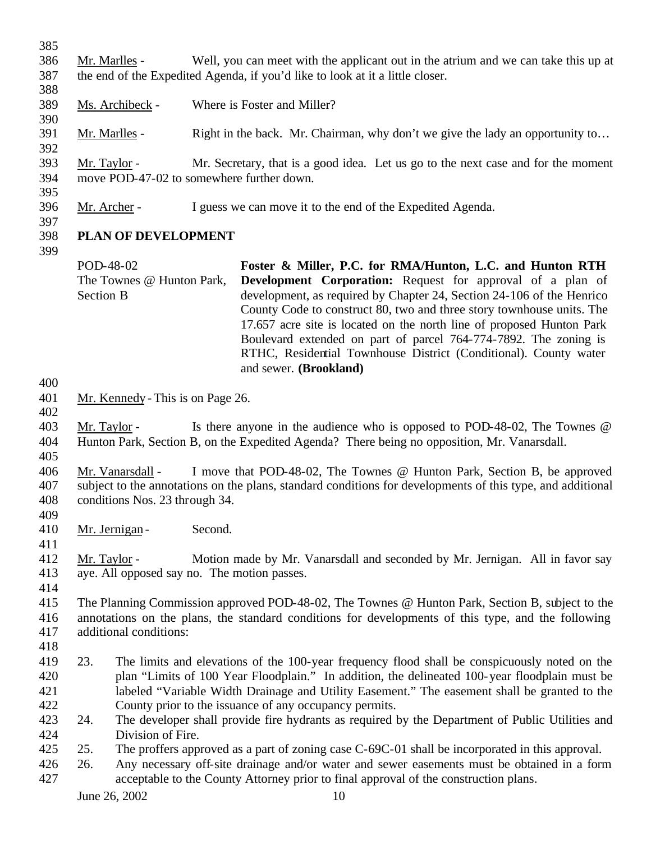| 385                      |                  |                                                    |         |                                                                                                                                                                                                                                                                                                                                                                                           |
|--------------------------|------------------|----------------------------------------------------|---------|-------------------------------------------------------------------------------------------------------------------------------------------------------------------------------------------------------------------------------------------------------------------------------------------------------------------------------------------------------------------------------------------|
| 386<br>387               |                  | Mr. Marlles -                                      |         | Well, you can meet with the applicant out in the atrium and we can take this up at<br>the end of the Expedited Agenda, if you'd like to look at it a little closer.                                                                                                                                                                                                                       |
| 388                      |                  |                                                    |         |                                                                                                                                                                                                                                                                                                                                                                                           |
| 389                      |                  | Ms. Archibeck -                                    |         | Where is Foster and Miller?                                                                                                                                                                                                                                                                                                                                                               |
| 390<br>391<br>392        |                  | Mr. Marlles -                                      |         | Right in the back. Mr. Chairman, why don't we give the lady an opportunity to                                                                                                                                                                                                                                                                                                             |
| 393<br>394               | Mr. Taylor -     |                                                    |         | Mr. Secretary, that is a good idea. Let us go to the next case and for the moment<br>move POD-47-02 to somewhere further down.                                                                                                                                                                                                                                                            |
| 395                      |                  |                                                    |         |                                                                                                                                                                                                                                                                                                                                                                                           |
| 396<br>397               | Mr. Archer -     |                                                    |         | I guess we can move it to the end of the Expedited Agenda.                                                                                                                                                                                                                                                                                                                                |
| 398                      |                  | PLAN OF DEVELOPMENT                                |         |                                                                                                                                                                                                                                                                                                                                                                                           |
| 399                      | POD-48-02        | The Townes @ Hunton Park,                          |         | Foster & Miller, P.C. for RMA/Hunton, L.C. and Hunton RTH<br><b>Development Corporation:</b> Request for approval of a plan of                                                                                                                                                                                                                                                            |
|                          | <b>Section B</b> |                                                    |         | development, as required by Chapter 24, Section 24-106 of the Henrico<br>County Code to construct 80, two and three story townhouse units. The<br>17.657 acre site is located on the north line of proposed Hunton Park<br>Boulevard extended on part of parcel 764-774-7892. The zoning is<br>RTHC, Residential Townhouse District (Conditional). County water<br>and sewer. (Brookland) |
| 400<br>401               |                  | Mr. Kennedy - This is on Page 26.                  |         |                                                                                                                                                                                                                                                                                                                                                                                           |
| 402                      |                  |                                                    |         |                                                                                                                                                                                                                                                                                                                                                                                           |
| 403<br>404               | Mr. Taylor -     |                                                    |         | Is there anyone in the audience who is opposed to POD-48-02, The Townes $\omega$<br>Hunton Park, Section B, on the Expedited Agenda? There being no opposition, Mr. Vanarsdall.                                                                                                                                                                                                           |
| 405<br>406<br>407<br>408 |                  | Mr. Vanarsdall -<br>conditions Nos. 23 through 34. |         | I move that POD-48-02, The Townes @ Hunton Park, Section B, be approved<br>subject to the annotations on the plans, standard conditions for developments of this type, and additional                                                                                                                                                                                                     |
| 409<br>410               |                  | Mr. Jernigan -                                     | Second. |                                                                                                                                                                                                                                                                                                                                                                                           |
| 411                      |                  |                                                    |         |                                                                                                                                                                                                                                                                                                                                                                                           |
| 412<br>413               | Mr. Taylor -     | aye. All opposed say no. The motion passes.        |         | Motion made by Mr. Vanarsdall and seconded by Mr. Jernigan. All in favor say                                                                                                                                                                                                                                                                                                              |
| 414                      |                  |                                                    |         |                                                                                                                                                                                                                                                                                                                                                                                           |
| 415                      |                  |                                                    |         | The Planning Commission approved POD-48-02, The Townes @ Hunton Park, Section B, subject to the                                                                                                                                                                                                                                                                                           |
| 416                      |                  |                                                    |         | annotations on the plans, the standard conditions for developments of this type, and the following                                                                                                                                                                                                                                                                                        |
| 417                      |                  | additional conditions:                             |         |                                                                                                                                                                                                                                                                                                                                                                                           |
| 418                      |                  |                                                    |         |                                                                                                                                                                                                                                                                                                                                                                                           |
| 419                      | 23.              |                                                    |         | The limits and elevations of the 100-year frequency flood shall be conspicuously noted on the                                                                                                                                                                                                                                                                                             |
| 420                      |                  |                                                    |         | plan "Limits of 100 Year Floodplain." In addition, the delineated 100-year floodplain must be                                                                                                                                                                                                                                                                                             |
| 421                      |                  |                                                    |         | labeled "Variable Width Drainage and Utility Easement." The easement shall be granted to the                                                                                                                                                                                                                                                                                              |
| 422                      |                  |                                                    |         | County prior to the issuance of any occupancy permits.                                                                                                                                                                                                                                                                                                                                    |
| 423<br>424               | 24.              | Division of Fire.                                  |         | The developer shall provide fire hydrants as required by the Department of Public Utilities and                                                                                                                                                                                                                                                                                           |
| 425                      | 25.              |                                                    |         | The proffers approved as a part of zoning case C-69C-01 shall be incorporated in this approval.                                                                                                                                                                                                                                                                                           |
| 426<br>427               | 26.              |                                                    |         | Any necessary off-site drainage and/or water and sewer easements must be obtained in a form<br>acceptable to the County Attorney prior to final approval of the construction plans.                                                                                                                                                                                                       |
|                          |                  | June 26, 2002                                      |         | 10                                                                                                                                                                                                                                                                                                                                                                                        |
|                          |                  |                                                    |         |                                                                                                                                                                                                                                                                                                                                                                                           |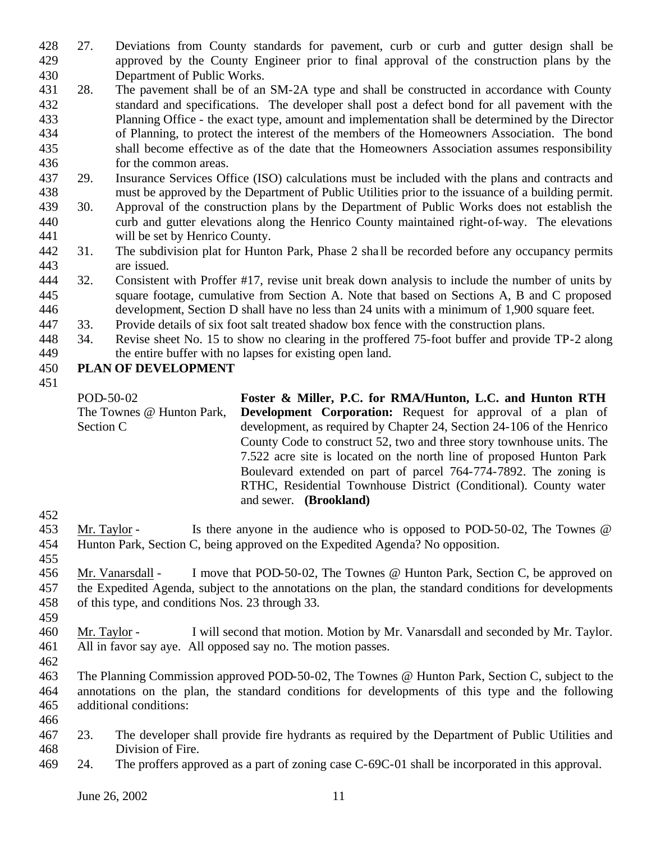- 27. Deviations from County standards for pavement, curb or curb and gutter design shall be approved by the County Engineer prior to final approval of the construction plans by the Department of Public Works.
- 28. The pavement shall be of an SM-2A type and shall be constructed in accordance with County standard and specifications. The developer shall post a defect bond for all pavement with the Planning Office - the exact type, amount and implementation shall be determined by the Director of Planning, to protect the interest of the members of the Homeowners Association. The bond shall become effective as of the date that the Homeowners Association assumes responsibility for the common areas.
- 29. Insurance Services Office (ISO) calculations must be included with the plans and contracts and must be approved by the Department of Public Utilities prior to the issuance of a building permit.
- 30. Approval of the construction plans by the Department of Public Works does not establish the curb and gutter elevations along the Henrico County maintained right-of-way. The elevations will be set by Henrico County.
- 31. The subdivision plat for Hunton Park, Phase 2 sha ll be recorded before any occupancy permits are issued.
- 32. Consistent with Proffer #17, revise unit break down analysis to include the number of units by square footage, cumulative from Section A. Note that based on Sections A, B and C proposed development, Section D shall have no less than 24 units with a minimum of 1,900 square feet.
- 33. Provide details of six foot salt treated shadow box fence with the construction plans.
- 34. Revise sheet No. 15 to show no clearing in the proffered 75-foot buffer and provide TP-2 along the entire buffer with no lapses for existing open land.

## **PLAN OF DEVELOPMENT**

POD-50-02 The Townes @ Hunton Park, Section C **Foster & Miller, P.C. for RMA/Hunton, L.C. and Hunton RTH Development Corporation:** Request for approval of a plan of development, as required by Chapter 24, Section 24-106 of the Henrico County Code to construct 52, two and three story townhouse units. The 7.522 acre site is located on the north line of proposed Hunton Park Boulevard extended on part of parcel 764-774-7892. The zoning is RTHC, Residential Townhouse District (Conditional). County water and sewer. **(Brookland)**

 Mr. Taylor - Is there anyone in the audience who is opposed to POD-50-02, The Townes @ Hunton Park, Section C, being approved on the Expedited Agenda? No opposition.

 Mr. Vanarsdall - I move that POD-50-02, The Townes @ Hunton Park, Section C, be approved on the Expedited Agenda, subject to the annotations on the plan, the standard conditions for developments of this type, and conditions Nos. 23 through 33.

 Mr. Taylor - I will second that motion. Motion by Mr. Vanarsdall and seconded by Mr. Taylor. All in favor say aye. All opposed say no. The motion passes. 

 The Planning Commission approved POD-50-02, The Townes @ Hunton Park, Section C, subject to the annotations on the plan, the standard conditions for developments of this type and the following additional conditions:

- 
- 23. The developer shall provide fire hydrants as required by the Department of Public Utilities and Division of Fire.
- 24. The proffers approved as a part of zoning case C-69C-01 shall be incorporated in this approval.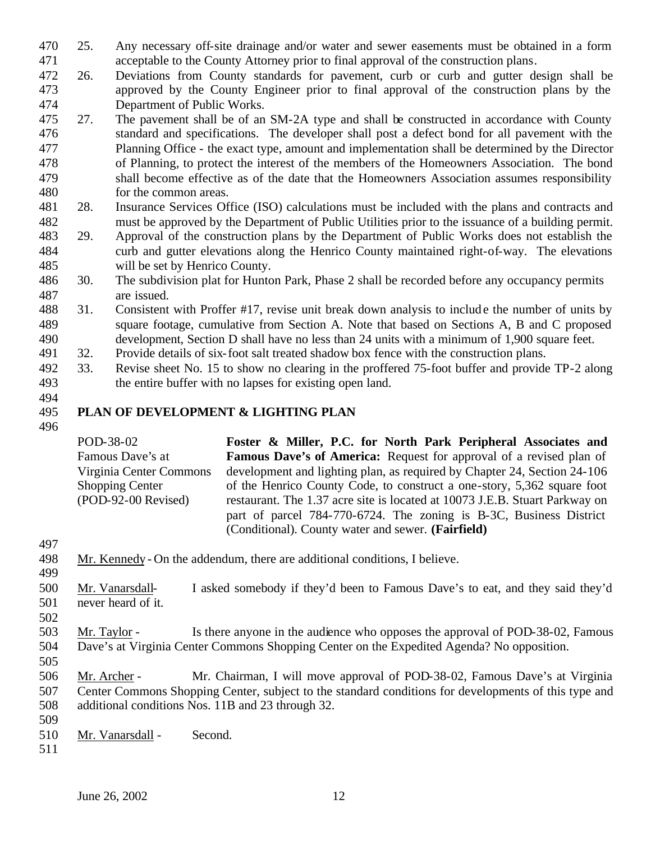- 25. Any necessary off-site drainage and/or water and sewer easements must be obtained in a form acceptable to the County Attorney prior to final approval of the construction plans.
- 26. Deviations from County standards for pavement, curb or curb and gutter design shall be approved by the County Engineer prior to final approval of the construction plans by the Department of Public Works.
- 27. The pavement shall be of an SM-2A type and shall be constructed in accordance with County standard and specifications. The developer shall post a defect bond for all pavement with the Planning Office - the exact type, amount and implementation shall be determined by the Director of Planning, to protect the interest of the members of the Homeowners Association. The bond shall become effective as of the date that the Homeowners Association assumes responsibility for the common areas.
- 28. Insurance Services Office (ISO) calculations must be included with the plans and contracts and must be approved by the Department of Public Utilities prior to the issuance of a building permit.
- 29. Approval of the construction plans by the Department of Public Works does not establish the curb and gutter elevations along the Henrico County maintained right-of-way. The elevations will be set by Henrico County.
- 30. The subdivision plat for Hunton Park, Phase 2 shall be recorded before any occupancy permits are issued.
- 31. Consistent with Proffer #17, revise unit break down analysis to include the number of units by square footage, cumulative from Section A. Note that based on Sections A, B and C proposed development, Section D shall have no less than 24 units with a minimum of 1,900 square feet.
- 32. Provide details of six-foot salt treated shadow box fence with the construction plans.
- 33. Revise sheet No. 15 to show no clearing in the proffered 75-foot buffer and provide TP-2 along the entire buffer with no lapses for existing open land.
- 

## **PLAN OF DEVELOPMENT & LIGHTING PLAN**

POD-38-02 Famous Dave's at Virginia Center Commons Shopping Center (POD-92-00 Revised) **Foster & Miller, P.C. for North Park Peripheral Associates and Famous Dave's of America:** Request for approval of a revised plan of development and lighting plan, as required by Chapter 24, Section 24-106 of the Henrico County Code, to construct a one-story, 5,362 square foot restaurant. The 1.37 acre site is located at 10073 J.E.B. Stuart Parkway on part of parcel 784-770-6724. The zoning is B-3C, Business District (Conditional). County water and sewer. **(Fairfield)**

 Mr. Kennedy - On the addendum, there are additional conditions, I believe. 

- Mr. Vanarsdall- I asked somebody if they'd been to Famous Dave's to eat, and they said they'd never heard of it.
- 
- Mr. Taylor Is there anyone in the audience who opposes the approval of POD-38-02, Famous Dave's at Virginia Center Commons Shopping Center on the Expedited Agenda? No opposition.
- Mr. Archer Mr. Chairman, I will move approval of POD-38-02, Famous Dave's at Virginia Center Commons Shopping Center, subject to the standard conditions for developments of this type and additional conditions Nos. 11B and 23 through 32.
- Mr. Vanarsdall Second.
-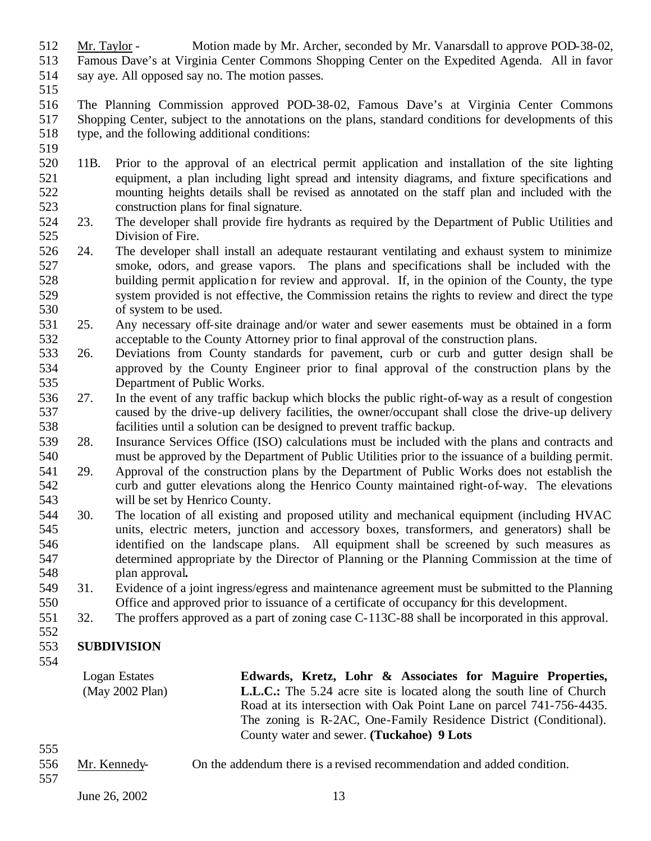- Mr. Taylor Motion made by Mr. Archer, seconded by Mr. Vanarsdall to approve POD-38-02,
- Famous Dave's at Virginia Center Commons Shopping Center on the Expedited Agenda. All in favor
- say aye. All opposed say no. The motion passes.
- 
- The Planning Commission approved POD-38-02, Famous Dave's at Virginia Center Commons Shopping Center, subject to the annotations on the plans, standard conditions for developments of this type, and the following additional conditions:
- 
- 11B. Prior to the approval of an electrical permit application and installation of the site lighting equipment, a plan including light spread and intensity diagrams, and fixture specifications and mounting heights details shall be revised as annotated on the staff plan and included with the construction plans for final signature.
- 23. The developer shall provide fire hydrants as required by the Department of Public Utilities and Division of Fire.
- 24. The developer shall install an adequate restaurant ventilating and exhaust system to minimize smoke, odors, and grease vapors. The plans and specifications shall be included with the building permit application for review and approval. If, in the opinion of the County, the type system provided is not effective, the Commission retains the rights to review and direct the type of system to be used.
- 25. Any necessary off-site drainage and/or water and sewer easements must be obtained in a form acceptable to the County Attorney prior to final approval of the construction plans.
- 26. Deviations from County standards for pavement, curb or curb and gutter design shall be approved by the County Engineer prior to final approval of the construction plans by the Department of Public Works.
- 27. In the event of any traffic backup which blocks the public right-of-way as a result of congestion caused by the drive-up delivery facilities, the owner/occupant shall close the drive-up delivery facilities until a solution can be designed to prevent traffic backup.
- 28. Insurance Services Office (ISO) calculations must be included with the plans and contracts and must be approved by the Department of Public Utilities prior to the issuance of a building permit.
- 29. Approval of the construction plans by the Department of Public Works does not establish the curb and gutter elevations along the Henrico County maintained right-of-way. The elevations will be set by Henrico County.
- 30. The location of all existing and proposed utility and mechanical equipment (including HVAC units, electric meters, junction and accessory boxes, transformers, and generators) shall be identified on the landscape plans. All equipment shall be screened by such measures as determined appropriate by the Director of Planning or the Planning Commission at the time of plan approval**.**
- 31. Evidence of a joint ingress/egress and maintenance agreement must be submitted to the Planning Office and approved prior to issuance of a certificate of occupancy for this development.
- 32. The proffers approved as a part of zoning case C-113C-88 shall be incorporated in this approval.

### **SUBDIVISION**

Logan Estates (May 2002 Plan) **Edwards, Kretz, Lohr & Associates for Maguire Properties, L.L.C.:** The 5.24 acre site is located along the south line of Church Road at its intersection with Oak Point Lane on parcel 741-756-4435. The zoning is R-2AC, One-Family Residence District (Conditional). County water and sewer. **(Tuckahoe) 9 Lots**

- 
- Mr. Kennedy- On the addendum there is a revised recommendation and added condition.
-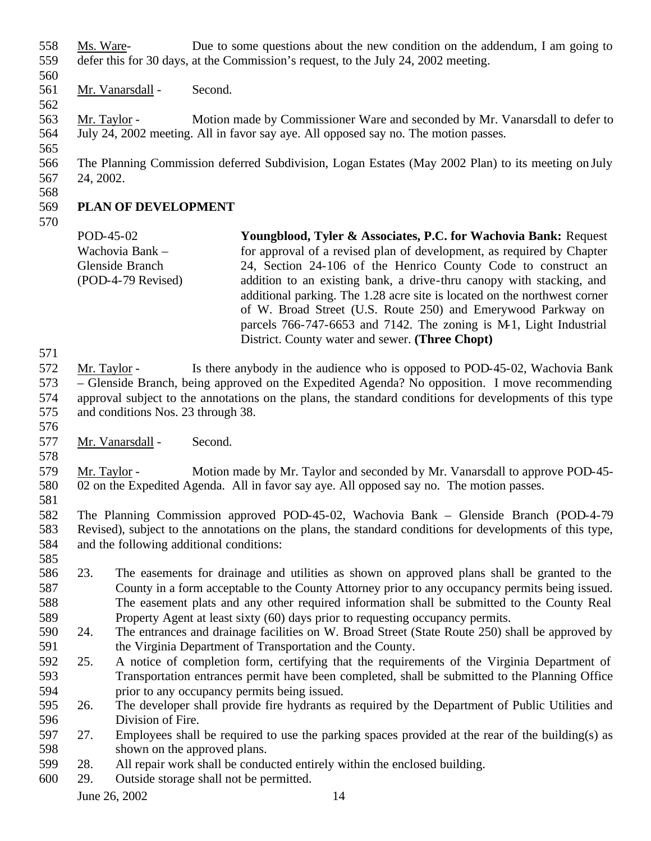- Ms. Ware- Due to some questions about the new condition on the addendum, I am going to defer this for 30 days, at the Commission's request, to the July 24, 2002 meeting.
- 
- Mr. Vanarsdall Second.
- 
- 

 Mr. Taylor - Motion made by Commissioner Ware and seconded by Mr. Vanarsdall to defer to July 24, 2002 meeting. All in favor say aye. All opposed say no. The motion passes.

 The Planning Commission deferred Subdivision, Logan Estates (May 2002 Plan) to its meeting on July 24, 2002.

## **PLAN OF DEVELOPMENT**

POD-45-02 Wachovia Bank – Glenside Branch (POD-4-79 Revised) **Youngblood, Tyler & Associates, P.C. for Wachovia Bank:** Request for approval of a revised plan of development, as required by Chapter 24, Section 24-106 of the Henrico County Code to construct an addition to an existing bank, a drive-thru canopy with stacking, and additional parking. The 1.28 acre site is located on the northwest corner of W. Broad Street (U.S. Route 250) and Emerywood Parkway on parcels 766-747-6653 and 7142. The zoning is M-1, Light Industrial District. County water and sewer. **(Three Chopt)**

 Mr. Taylor - Is there anybody in the audience who is opposed to POD-45-02, Wachovia Bank – Glenside Branch, being approved on the Expedited Agenda? No opposition. I move recommending approval subject to the annotations on the plans, the standard conditions for developments of this type and conditions Nos. 23 through 38.

- 
- Mr. Vanarsdall Second.
- 

 Mr. Taylor - Motion made by Mr. Taylor and seconded by Mr. Vanarsdall to approve POD-45- 02 on the Expedited Agenda. All in favor say aye. All opposed say no. The motion passes.

- The Planning Commission approved POD-45-02, Wachovia Bank Glenside Branch (POD-4-79 Revised), subject to the annotations on the plans, the standard conditions for developments of this type, and the following additional conditions:
- 23. The easements for drainage and utilities as shown on approved plans shall be granted to the County in a form acceptable to the County Attorney prior to any occupancy permits being issued. The easement plats and any other required information shall be submitted to the County Real Property Agent at least sixty (60) days prior to requesting occupancy permits.
- 24. The entrances and drainage facilities on W. Broad Street (State Route 250) shall be approved by the Virginia Department of Transportation and the County.
- 25. A notice of completion form, certifying that the requirements of the Virginia Department of Transportation entrances permit have been completed, shall be submitted to the Planning Office prior to any occupancy permits being issued.

 26. The developer shall provide fire hydrants as required by the Department of Public Utilities and Division of Fire.

- 27. Employees shall be required to use the parking spaces provided at the rear of the building(s) as shown on the approved plans.
- 28. All repair work shall be conducted entirely within the enclosed building.
- 29. Outside storage shall not be permitted.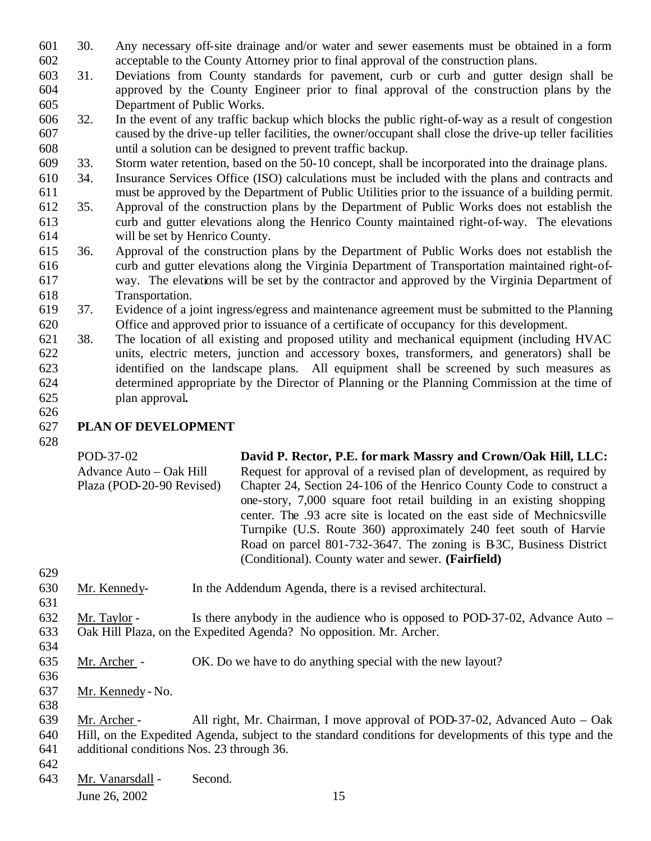- 30. Any necessary off-site drainage and/or water and sewer easements must be obtained in a form acceptable to the County Attorney prior to final approval of the construction plans.
- 31. Deviations from County standards for pavement, curb or curb and gutter design shall be approved by the County Engineer prior to final approval of the construction plans by the Department of Public Works.
- 32. In the event of any traffic backup which blocks the public right-of-way as a result of congestion caused by the drive-up teller facilities, the owner/occupant shall close the drive-up teller facilities until a solution can be designed to prevent traffic backup.
- 33. Storm water retention, based on the 50-10 concept, shall be incorporated into the drainage plans.
- 34. Insurance Services Office (ISO) calculations must be included with the plans and contracts and must be approved by the Department of Public Utilities prior to the issuance of a building permit.
- 35. Approval of the construction plans by the Department of Public Works does not establish the curb and gutter elevations along the Henrico County maintained right-of-way. The elevations will be set by Henrico County.
- 36. Approval of the construction plans by the Department of Public Works does not establish the curb and gutter elevations along the Virginia Department of Transportation maintained right-of- way. The elevations will be set by the contractor and approved by the Virginia Department of Transportation.
- 37. Evidence of a joint ingress/egress and maintenance agreement must be submitted to the Planning Office and approved prior to issuance of a certificate of occupancy for this development.
- 38. The location of all existing and proposed utility and mechanical equipment (including HVAC units, electric meters, junction and accessory boxes, transformers, and generators) shall be identified on the landscape plans. All equipment shall be screened by such measures as determined appropriate by the Director of Planning or the Planning Commission at the time of plan approval**.**
- 

## **PLAN OF DEVELOPMENT**

| POD-37-02                                            | David P. Rector, P.E. for mark Massry and Crown/Oak Hill, LLC:                                                                                                                                                                                                        |
|------------------------------------------------------|-----------------------------------------------------------------------------------------------------------------------------------------------------------------------------------------------------------------------------------------------------------------------|
| Advance Auto – Oak Hill<br>Plaza (POD-20-90 Revised) | Request for approval of a revised plan of development, as required by<br>Chapter 24, Section 24-106 of the Henrico County Code to construct a<br>one-story, 7,000 square foot retail building in an existing shopping                                                 |
|                                                      | center. The .93 acre site is located on the east side of Mechnicsville<br>Turnpike (U.S. Route 360) approximately 240 feet south of Harvie<br>Road on parcel 801-732-3647. The zoning is B3C, Business District<br>(Conditional). County water and sewer. (Fairfield) |

- Mr. Kennedy- In the Addendum Agenda, there is a revised architectural.
- Mr. Taylor Is there anybody in the audience who is opposed to POD-37-02, Advance Auto Oak Hill Plaza, on the Expedited Agenda? No opposition. Mr. Archer.
- Mr. Archer OK. Do we have to do anything special with the new layout?
- 

- Mr. Kennedy No.
- 
- Mr. Archer All right, Mr. Chairman, I move approval of POD-37-02, Advanced Auto Oak Hill, on the Expedited Agenda, subject to the standard conditions for developments of this type and the additional conditions Nos. 23 through 36.
- 
- Mr. Vanarsdall Second.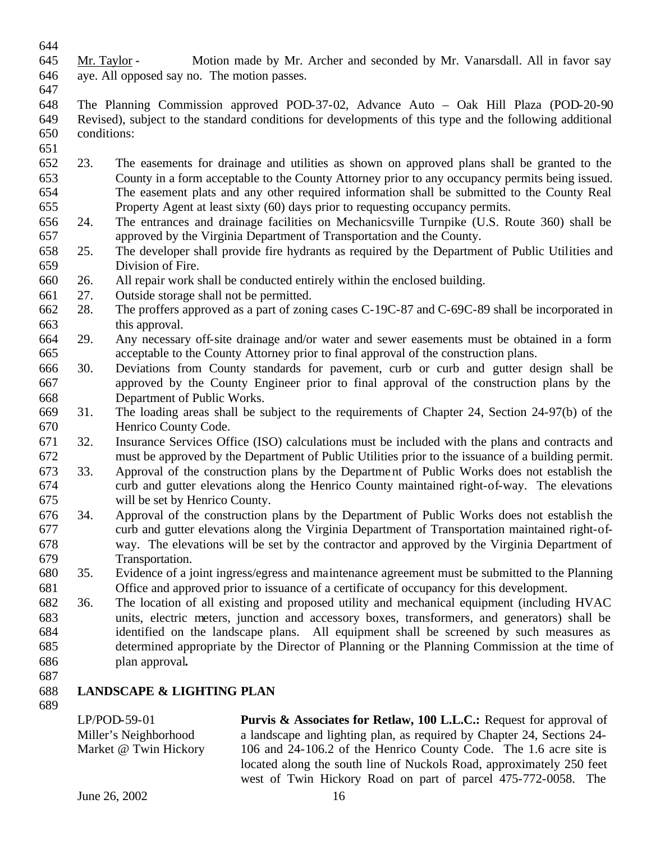- 
- Mr. Taylor Motion made by Mr. Archer and seconded by Mr. Vanarsdall. All in favor say aye. All opposed say no. The motion passes.
- 
- The Planning Commission approved POD-37-02, Advance Auto Oak Hill Plaza (POD-20-90 Revised), subject to the standard conditions for developments of this type and the following additional conditions:
- 
- 23. The easements for drainage and utilities as shown on approved plans shall be granted to the County in a form acceptable to the County Attorney prior to any occupancy permits being issued. The easement plats and any other required information shall be submitted to the County Real Property Agent at least sixty (60) days prior to requesting occupancy permits.
- 24. The entrances and drainage facilities on Mechanicsville Turnpike (U.S. Route 360) shall be approved by the Virginia Department of Transportation and the County.
- 25. The developer shall provide fire hydrants as required by the Department of Public Utilities and Division of Fire.
- 26. All repair work shall be conducted entirely within the enclosed building.
- 27. Outside storage shall not be permitted.
- 28. The proffers approved as a part of zoning cases C-19C-87 and C-69C-89 shall be incorporated in this approval.
- 29. Any necessary off-site drainage and/or water and sewer easements must be obtained in a form acceptable to the County Attorney prior to final approval of the construction plans.
- 30. Deviations from County standards for pavement, curb or curb and gutter design shall be approved by the County Engineer prior to final approval of the construction plans by the Department of Public Works.
- 31. The loading areas shall be subject to the requirements of Chapter 24, Section 24-97(b) of the Henrico County Code.
- 32. Insurance Services Office (ISO) calculations must be included with the plans and contracts and must be approved by the Department of Public Utilities prior to the issuance of a building permit.
- 33. Approval of the construction plans by the Department of Public Works does not establish the curb and gutter elevations along the Henrico County maintained right-of-way. The elevations will be set by Henrico County.
- 34. Approval of the construction plans by the Department of Public Works does not establish the curb and gutter elevations along the Virginia Department of Transportation maintained right-of- way. The elevations will be set by the contractor and approved by the Virginia Department of Transportation.
- 35. Evidence of a joint ingress/egress and maintenance agreement must be submitted to the Planning Office and approved prior to issuance of a certificate of occupancy for this development.
- 36. The location of all existing and proposed utility and mechanical equipment (including HVAC units, electric meters, junction and accessory boxes, transformers, and generators) shall be identified on the landscape plans. All equipment shall be screened by such measures as determined appropriate by the Director of Planning or the Planning Commission at the time of plan approval**.**
- 

# **LANDSCAPE & LIGHTING PLAN**

LP/POD-59-01 Miller's Neighborhood Market @ Twin Hickory **Purvis & Associates for Retlaw, 100 L.L.C.:** Request for approval of a landscape and lighting plan, as required by Chapter 24, Sections 24- 106 and 24-106.2 of the Henrico County Code. The 1.6 acre site is located along the south line of Nuckols Road, approximately 250 feet west of Twin Hickory Road on part of parcel 475-772-0058. The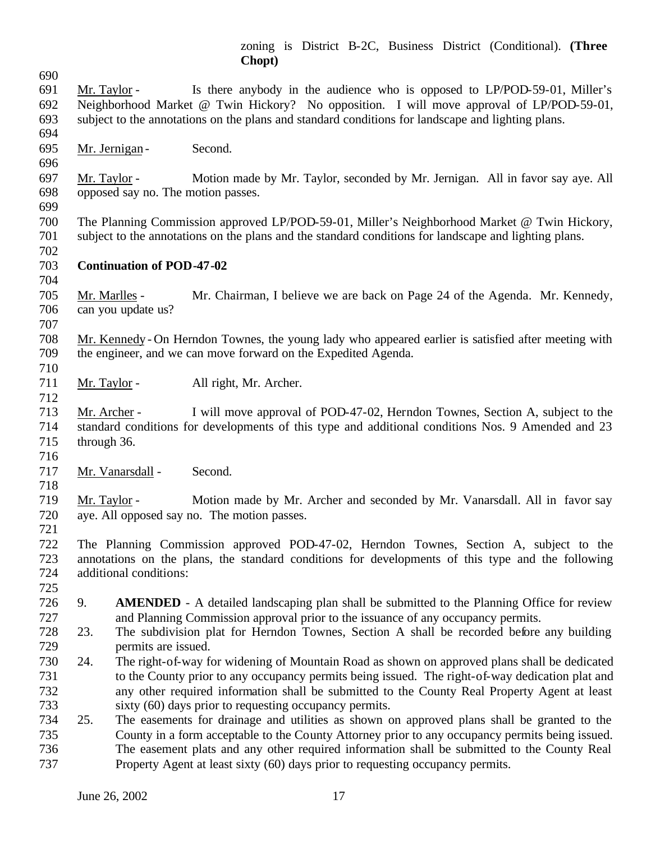zoning is District B-2C, Business District (Conditional). **(Three Chopt)**

- Mr. Taylor - Is there anybody in the audience who is opposed to LP/POD-59-01, Miller's Neighborhood Market @ Twin Hickory? No opposition. I will move approval of LP/POD-59-01, subject to the annotations on the plans and standard conditions for landscape and lighting plans. 695 Mr. Jernigan - Second.
- Mr. Taylor Motion made by Mr. Taylor, seconded by Mr. Jernigan. All in favor say aye. All opposed say no. The motion passes.
- 

 The Planning Commission approved LP/POD-59-01, Miller's Neighborhood Market @ Twin Hickory, subject to the annotations on the plans and the standard conditions for landscape and lighting plans. 

- **Continuation of POD-47-02**
- 

 Mr. Marlles - Mr. Chairman, I believe we are back on Page 24 of the Agenda. Mr. Kennedy, can you update us? 

 Mr. Kennedy - On Herndon Townes, the young lady who appeared earlier is satisfied after meeting with the engineer, and we can move forward on the Expedited Agenda.

711 Mr. Taylor - All right, Mr. Archer.

 Mr. Archer - I will move approval of POD-47-02, Herndon Townes, Section A, subject to the standard conditions for developments of this type and additional conditions Nos. 9 Amended and 23 through 36.

Mr. Vanarsdall - Second.

 Mr. Taylor - Motion made by Mr. Archer and seconded by Mr. Vanarsdall. All in favor say aye. All opposed say no. The motion passes.

 The Planning Commission approved POD-47-02, Herndon Townes, Section A, subject to the annotations on the plans, the standard conditions for developments of this type and the following additional conditions:

- 
- 9. **AMENDED** A detailed landscaping plan shall be submitted to the Planning Office for review and Planning Commission approval prior to the issuance of any occupancy permits.
- 23. The subdivision plat for Herndon Townes, Section A shall be recorded before any building permits are issued.
- 24. The right-of-way for widening of Mountain Road as shown on approved plans shall be dedicated to the County prior to any occupancy permits being issued. The right-of-way dedication plat and any other required information shall be submitted to the County Real Property Agent at least sixty (60) days prior to requesting occupancy permits.
- 25. The easements for drainage and utilities as shown on approved plans shall be granted to the County in a form acceptable to the County Attorney prior to any occupancy permits being issued. The easement plats and any other required information shall be submitted to the County Real Property Agent at least sixty (60) days prior to requesting occupancy permits.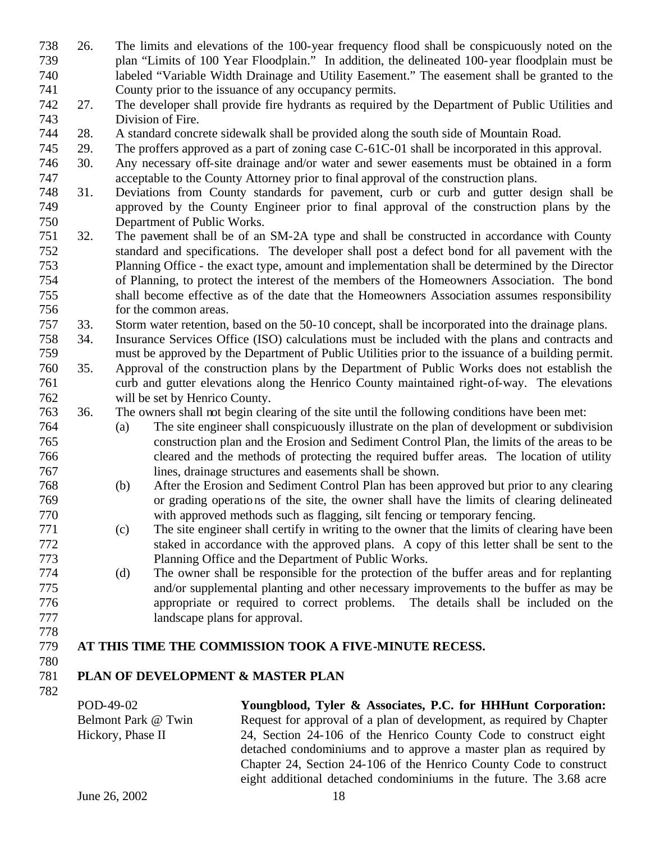- 26. The limits and elevations of the 100-year frequency flood shall be conspicuously noted on the plan "Limits of 100 Year Floodplain." In addition, the delineated 100-year floodplain must be labeled "Variable Width Drainage and Utility Easement." The easement shall be granted to the County prior to the issuance of any occupancy permits.
- 27. The developer shall provide fire hydrants as required by the Department of Public Utilities and Division of Fire.
- 28. A standard concrete sidewalk shall be provided along the south side of Mountain Road.
- 29. The proffers approved as a part of zoning case C-61C-01 shall be incorporated in this approval.
- 30. Any necessary off-site drainage and/or water and sewer easements must be obtained in a form acceptable to the County Attorney prior to final approval of the construction plans.
- 31. Deviations from County standards for pavement, curb or curb and gutter design shall be approved by the County Engineer prior to final approval of the construction plans by the Department of Public Works.
- 32. The pavement shall be of an SM-2A type and shall be constructed in accordance with County standard and specifications. The developer shall post a defect bond for all pavement with the Planning Office - the exact type, amount and implementation shall be determined by the Director of Planning, to protect the interest of the members of the Homeowners Association. The bond shall become effective as of the date that the Homeowners Association assumes responsibility for the common areas.
- 33. Storm water retention, based on the 50-10 concept, shall be incorporated into the drainage plans.
- 34. Insurance Services Office (ISO) calculations must be included with the plans and contracts and must be approved by the Department of Public Utilities prior to the issuance of a building permit.
- 35. Approval of the construction plans by the Department of Public Works does not establish the curb and gutter elevations along the Henrico County maintained right-of-way. The elevations will be set by Henrico County.
- 36. The owners shall not begin clearing of the site until the following conditions have been met:
- (a) The site engineer shall conspicuously illustrate on the plan of development or subdivision construction plan and the Erosion and Sediment Control Plan, the limits of the areas to be cleared and the methods of protecting the required buffer areas. The location of utility lines, drainage structures and easements shall be shown.
- (b) After the Erosion and Sediment Control Plan has been approved but prior to any clearing or grading operations of the site, the owner shall have the limits of clearing delineated with approved methods such as flagging, silt fencing or temporary fencing.
- (c) The site engineer shall certify in writing to the owner that the limits of clearing have been staked in accordance with the approved plans. A copy of this letter shall be sent to the Planning Office and the Department of Public Works.
- (d) The owner shall be responsible for the protection of the buffer areas and for replanting and/or supplemental planting and other necessary improvements to the buffer as may be appropriate or required to correct problems. The details shall be included on the landscape plans for approval.
- 

## **AT THIS TIME THE COMMISSION TOOK A FIVE-MINUTE RECESS.**

## **PLAN OF DEVELOPMENT & MASTER PLAN**

POD-49-02 Belmont Park @ Twin Hickory, Phase II

**Youngblood, Tyler & Associates, P.C. for HHHunt Corporation:**  Request for approval of a plan of development, as required by Chapter 24, Section 24-106 of the Henrico County Code to construct eight detached condominiums and to approve a master plan as required by Chapter 24, Section 24-106 of the Henrico County Code to construct eight additional detached condominiums in the future. The 3.68 acre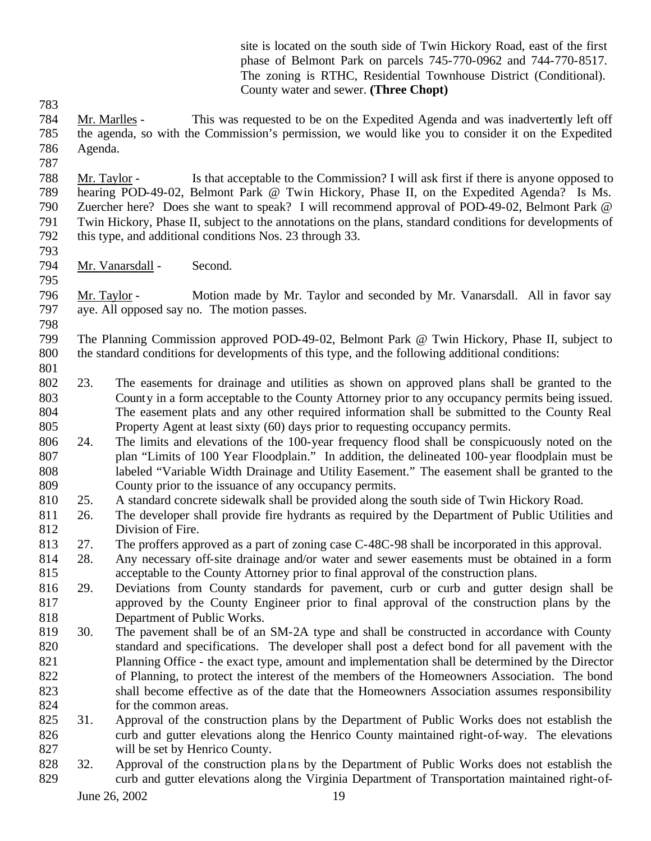site is located on the south side of Twin Hickory Road, east of the first phase of Belmont Park on parcels 745-770-0962 and 744-770-8517. The zoning is RTHC, Residential Townhouse District (Conditional). County water and sewer. **(Three Chopt)**

- Mr. Marlles This was requested to be on the Expedited Agenda and was inadvertently left off the agenda, so with the Commission's permission, we would like you to consider it on the Expedited Agenda.
- 

 Mr. Taylor - Is that acceptable to the Commission? I will ask first if there is anyone opposed to hearing POD-49-02, Belmont Park @ Twin Hickory, Phase II, on the Expedited Agenda? Is Ms. Zuercher here? Does she want to speak? I will recommend approval of POD-49-02, Belmont Park @ Twin Hickory, Phase II, subject to the annotations on the plans, standard conditions for developments of this type, and additional conditions Nos. 23 through 33.

- Mr. Vanarsdall Second.
- 

 Mr. Taylor - Motion made by Mr. Taylor and seconded by Mr. Vanarsdall. All in favor say aye. All opposed say no. The motion passes.

 The Planning Commission approved POD-49-02, Belmont Park @ Twin Hickory, Phase II, subject to the standard conditions for developments of this type, and the following additional conditions:

- 23. The easements for drainage and utilities as shown on approved plans shall be granted to the County in a form acceptable to the County Attorney prior to any occupancy permits being issued. The easement plats and any other required information shall be submitted to the County Real Property Agent at least sixty (60) days prior to requesting occupancy permits.
- 24. The limits and elevations of the 100-year frequency flood shall be conspicuously noted on the plan "Limits of 100 Year Floodplain." In addition, the delineated 100-year floodplain must be labeled "Variable Width Drainage and Utility Easement." The easement shall be granted to the County prior to the issuance of any occupancy permits.
- 25. A standard concrete sidewalk shall be provided along the south side of Twin Hickory Road.
- 26. The developer shall provide fire hydrants as required by the Department of Public Utilities and Division of Fire.
- 27. The proffers approved as a part of zoning case C-48C-98 shall be incorporated in this approval.
- 28. Any necessary off-site drainage and/or water and sewer easements must be obtained in a form acceptable to the County Attorney prior to final approval of the construction plans.
- 29. Deviations from County standards for pavement, curb or curb and gutter design shall be approved by the County Engineer prior to final approval of the construction plans by the Department of Public Works.
- 30. The pavement shall be of an SM-2A type and shall be constructed in accordance with County standard and specifications. The developer shall post a defect bond for all pavement with the Planning Office - the exact type, amount and implementation shall be determined by the Director of Planning, to protect the interest of the members of the Homeowners Association. The bond shall become effective as of the date that the Homeowners Association assumes responsibility for the common areas.
- 31. Approval of the construction plans by the Department of Public Works does not establish the 826 curb and gutter elevations along the Henrico County maintained right-of-way. The elevations will be set by Henrico County.
- 32. Approval of the construction plans by the Department of Public Works does not establish the curb and gutter elevations along the Virginia Department of Transportation maintained right-of-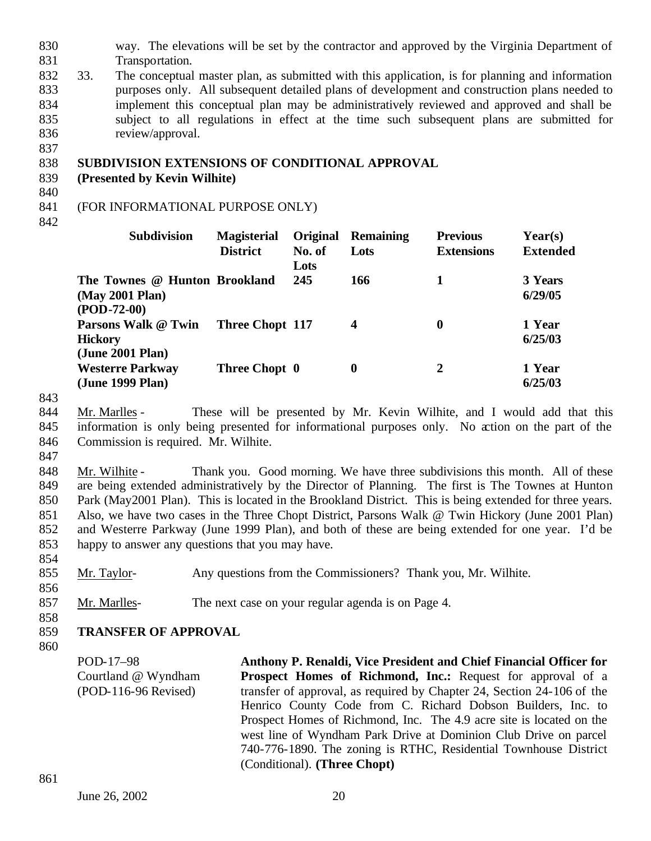- 830 way. The elevations will be set by the contractor and approved by the Virginia Department of 831 Transportation.
- 832 33. The conceptual master plan, as submitted with this application, is for planning and information 833 purposes only. All subsequent detailed plans of development and construction plans needed to 834 implement this conceptual plan may be administratively reviewed and approved and shall be 835 subject to all regulations in effect at the time such subsequent plans are submitted for 836 review/approval.

## 838 **SUBDIVISION EXTENSIONS OF CONDITIONAL APPROVAL**

- 839 **(Presented by Kevin Wilhite)**
- 840

837

## 841 (FOR INFORMATIONAL PURPOSE ONLY)

842

| <b>Subdivision</b>                                                | <b>Magisterial</b>     | <b>Original</b> | Remaining        | <b>Previous</b>   | Year(s)            |  |
|-------------------------------------------------------------------|------------------------|-----------------|------------------|-------------------|--------------------|--|
|                                                                   | <b>District</b>        | No. of<br>Lots  | Lots             | <b>Extensions</b> | <b>Extended</b>    |  |
| The Townes @ Hunton Brookland<br>(May 2001 Plan)<br>$(POD-72-00)$ |                        | 245             | 166              |                   | 3 Years<br>6/29/05 |  |
| Parsons Walk @ Twin<br>Hickory<br>(June 2001 Plan)                | <b>Three Chopt 117</b> |                 | $\boldsymbol{4}$ | $\bf{0}$          | 1 Year<br>6/25/03  |  |
| <b>Westerre Parkway</b><br>(June 1999 Plan)                       | Three Chopt 0          |                 | 0                | $\boldsymbol{2}$  | 1 Year<br>6/25/03  |  |

843

844 Mr. Marlles - These will be presented by Mr. Kevin Wilhite, and I would add that this 845 information is only being presented for informational purposes only. No action on the part of the 846 Commission is required. Mr. Wilhite.

847

848 Mr. Wilhite - Thank you. Good morning. We have three subdivisions this month. All of these are being extended administratively by the Director of Planning. The first is The Townes at Hunton Park (May2001 Plan). This is located in the Brookland District. This is being extended for three years. Also, we have two cases in the Three Chopt District, Parsons Walk @ Twin Hickory (June 2001 Plan) and Westerre Parkway (June 1999 Plan), and both of these are being extended for one year. I'd be happy to answer any questions that you may have.

855 Mr. Taylor- Any questions from the Commissioners? Thank you, Mr. Wilhite.

856

854

857 Mr. Marlles- The next case on your regular agenda is on Page 4.

858

## 859 **TRANSFER OF APPROVAL**

860

POD-17–98 Courtland @ Wyndham (POD-116-96 Revised) **Anthony P. Renaldi, Vice President and Chief Financial Officer for Prospect Homes of Richmond, Inc.:** Request for approval of a transfer of approval, as required by Chapter 24, Section 24-106 of the Henrico County Code from C. Richard Dobson Builders, Inc. to Prospect Homes of Richmond, Inc. The 4.9 acre site is located on the west line of Wyndham Park Drive at Dominion Club Drive on parcel 740-776-1890. The zoning is RTHC, Residential Townhouse District (Conditional). **(Three Chopt)**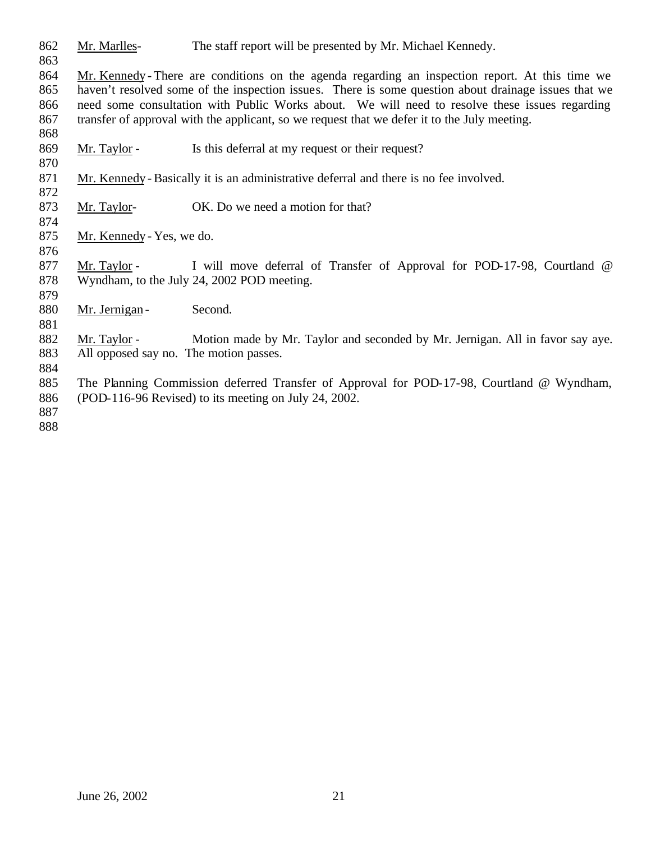Mr. Marlles- The staff report will be presented by Mr. Michael Kennedy.

 Mr. Kennedy - There are conditions on the agenda regarding an inspection report. At this time we haven't resolved some of the inspection issues. There is some question about drainage issues that we need some consultation with Public Works about. We will need to resolve these issues regarding transfer of approval with the applicant, so we request that we defer it to the July meeting. 

- 869 Mr. Taylor Is this deferral at my request or their request?
- Mr. Kennedy Basically it is an administrative deferral and there is no fee involved.
- 873 Mr. Taylor- OK. Do we need a motion for that?
- Mr. Kennedy Yes, we do.

877 Mr. Taylor - I will move deferral of Transfer of Approval for POD-17-98, Courtland @ Wyndham, to the July 24, 2002 POD meeting.

- 880 Mr. Jernigan - Second.
- 882 Mr. Taylor - Motion made by Mr. Taylor and seconded by Mr. Jernigan. All in favor say aye. All opposed say no. The motion passes.
- 
- The Planning Commission deferred Transfer of Approval for POD-17-98, Courtland @ Wyndham, (POD-116-96 Revised) to its meeting on July 24, 2002.
-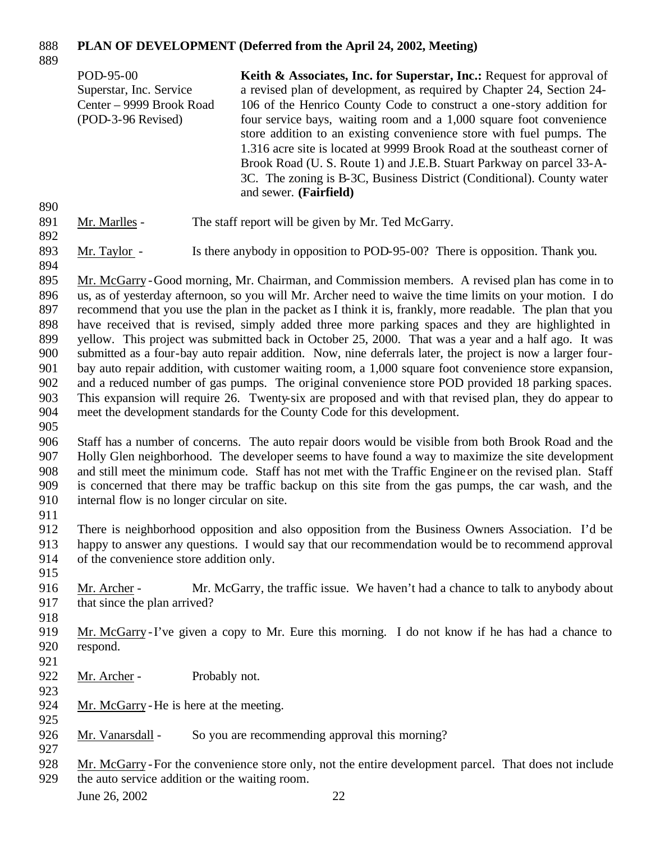# **PLAN OF DEVELOPMENT (Deferred from the April 24, 2002, Meeting)**

|                                                                                                | POD-95-00<br>Superstar, Inc. Service<br>Center - 9999 Brook Road<br>(POD-3-96 Revised)                                                                                                                                                            | Keith & Associates, Inc. for Superstar, Inc.: Request for approval of<br>a revised plan of development, as required by Chapter 24, Section 24-<br>106 of the Henrico County Code to construct a one-story addition for<br>four service bays, waiting room and a 1,000 square foot convenience<br>store addition to an existing convenience store with fuel pumps. The<br>1.316 acre site is located at 9999 Brook Road at the southeast corner of<br>Brook Road (U. S. Route 1) and J.E.B. Stuart Parkway on parcel 33-A-<br>3C. The zoning is B-3C, Business District (Conditional). County water<br>and sewer. (Fairfield)                                                                                                                                                                                                                                                                                                                                                                                                                                                                                                                                                                                                                                                                                                                                                 |  |
|------------------------------------------------------------------------------------------------|---------------------------------------------------------------------------------------------------------------------------------------------------------------------------------------------------------------------------------------------------|------------------------------------------------------------------------------------------------------------------------------------------------------------------------------------------------------------------------------------------------------------------------------------------------------------------------------------------------------------------------------------------------------------------------------------------------------------------------------------------------------------------------------------------------------------------------------------------------------------------------------------------------------------------------------------------------------------------------------------------------------------------------------------------------------------------------------------------------------------------------------------------------------------------------------------------------------------------------------------------------------------------------------------------------------------------------------------------------------------------------------------------------------------------------------------------------------------------------------------------------------------------------------------------------------------------------------------------------------------------------------|--|
| 890<br>891<br>892                                                                              | Mr. Marlles -                                                                                                                                                                                                                                     | The staff report will be given by Mr. Ted McGarry.                                                                                                                                                                                                                                                                                                                                                                                                                                                                                                                                                                                                                                                                                                                                                                                                                                                                                                                                                                                                                                                                                                                                                                                                                                                                                                                           |  |
| 893<br>894                                                                                     | Mr. Taylor -                                                                                                                                                                                                                                      | Is there anybody in opposition to POD-95-00? There is opposition. Thank you.                                                                                                                                                                                                                                                                                                                                                                                                                                                                                                                                                                                                                                                                                                                                                                                                                                                                                                                                                                                                                                                                                                                                                                                                                                                                                                 |  |
| 895<br>896<br>897<br>898<br>899<br>900<br>901<br>902<br>903<br>904<br>905<br>906<br>907<br>908 |                                                                                                                                                                                                                                                   | Mr. McGarry-Good morning, Mr. Chairman, and Commission members. A revised plan has come in to<br>us, as of yesterday afternoon, so you will Mr. Archer need to waive the time limits on your motion. I do<br>recommend that you use the plan in the packet as I think it is, frankly, more readable. The plan that you<br>have received that is revised, simply added three more parking spaces and they are highlighted in<br>yellow. This project was submitted back in October 25, 2000. That was a year and a half ago. It was<br>submitted as a four-bay auto repair addition. Now, nine deferrals later, the project is now a larger four-<br>bay auto repair addition, with customer waiting room, a 1,000 square foot convenience store expansion,<br>and a reduced number of gas pumps. The original convenience store POD provided 18 parking spaces.<br>This expansion will require 26. Twenty-six are proposed and with that revised plan, they do appear to<br>meet the development standards for the County Code for this development.<br>Staff has a number of concerns. The auto repair doors would be visible from both Brook Road and the<br>Holly Glen neighborhood. The developer seems to have found a way to maximize the site development<br>and still meet the minimum code. Staff has not met with the Traffic Engine er on the revised plan. Staff |  |
| 909<br>910<br>911                                                                              | internal flow is no longer circular on site.                                                                                                                                                                                                      | is concerned that there may be traffic backup on this site from the gas pumps, the car wash, and the                                                                                                                                                                                                                                                                                                                                                                                                                                                                                                                                                                                                                                                                                                                                                                                                                                                                                                                                                                                                                                                                                                                                                                                                                                                                         |  |
| 912<br>913<br>914<br>915                                                                       | There is neighborhood opposition and also opposition from the Business Owners Association. I'd be<br>happy to answer any questions. I would say that our recommendation would be to recommend approval<br>of the convenience store addition only. |                                                                                                                                                                                                                                                                                                                                                                                                                                                                                                                                                                                                                                                                                                                                                                                                                                                                                                                                                                                                                                                                                                                                                                                                                                                                                                                                                                              |  |
| 916<br>917<br>918                                                                              | Mr. Archer -<br>that since the plan arrived?                                                                                                                                                                                                      | Mr. McGarry, the traffic issue. We haven't had a chance to talk to anybody about                                                                                                                                                                                                                                                                                                                                                                                                                                                                                                                                                                                                                                                                                                                                                                                                                                                                                                                                                                                                                                                                                                                                                                                                                                                                                             |  |
| 919<br>920<br>921                                                                              | respond.                                                                                                                                                                                                                                          | Mr. McGarry-I've given a copy to Mr. Eure this morning. I do not know if he has had a chance to                                                                                                                                                                                                                                                                                                                                                                                                                                                                                                                                                                                                                                                                                                                                                                                                                                                                                                                                                                                                                                                                                                                                                                                                                                                                              |  |
| 922<br>923                                                                                     | Mr. Archer -                                                                                                                                                                                                                                      | Probably not.                                                                                                                                                                                                                                                                                                                                                                                                                                                                                                                                                                                                                                                                                                                                                                                                                                                                                                                                                                                                                                                                                                                                                                                                                                                                                                                                                                |  |
| 924<br>925<br>926                                                                              | Mr. McGarry - He is here at the meeting.<br>Mr. Vanarsdall -                                                                                                                                                                                      | So you are recommending approval this morning?                                                                                                                                                                                                                                                                                                                                                                                                                                                                                                                                                                                                                                                                                                                                                                                                                                                                                                                                                                                                                                                                                                                                                                                                                                                                                                                               |  |
| 927<br>928                                                                                     |                                                                                                                                                                                                                                                   | Mr. McGarry-For the convenience store only, not the entire development parcel. That does not include                                                                                                                                                                                                                                                                                                                                                                                                                                                                                                                                                                                                                                                                                                                                                                                                                                                                                                                                                                                                                                                                                                                                                                                                                                                                         |  |

929 the auto service addition or the waiting room.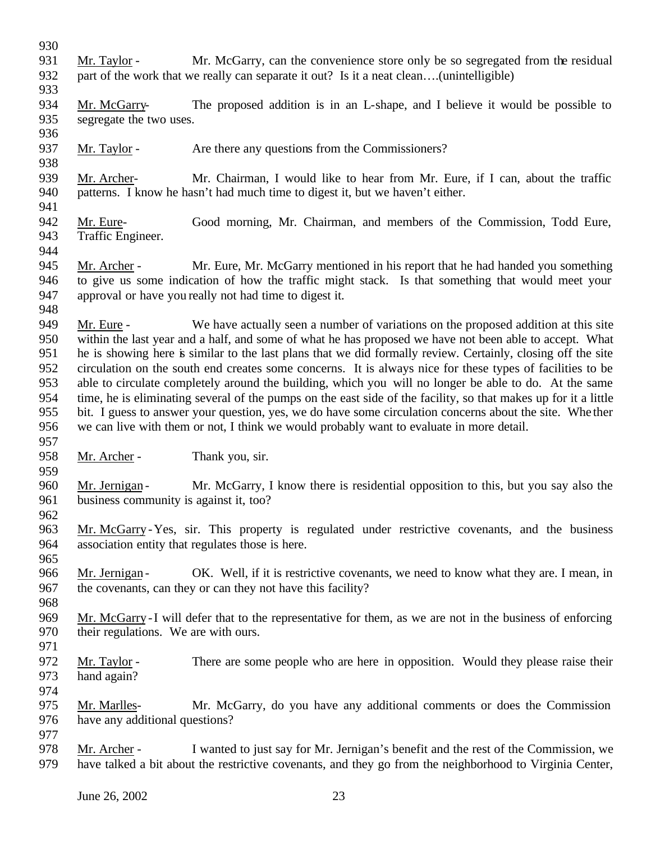Mr. Taylor - Mr. McGarry, can the convenience store only be so segregated from the residual part of the work that we really can separate it out? Is it a neat clean….(unintelligible) Mr. McGarry- The proposed addition is in an L-shape, and I believe it would be possible to segregate the two uses. 937 Mr. Taylor - Are there any questions from the Commissioners? Mr. Archer- Mr. Chairman, I would like to hear from Mr. Eure, if I can, about the traffic patterns. I know he hasn't had much time to digest it, but we haven't either. Mr. Eure- Good morning, Mr. Chairman, and members of the Commission, Todd Eure, Traffic Engineer. Mr. Archer - Mr. Eure, Mr. McGarry mentioned in his report that he had handed you something to give us some indication of how the traffic might stack. Is that something that would meet your approval or have you really not had time to digest it. Mr. Eure - We have actually seen a number of variations on the proposed addition at this site within the last year and a half, and some of what he has proposed we have not been able to accept. What he is showing here is similar to the last plans that we did formally review. Certainly, closing off the site circulation on the south end creates some concerns. It is always nice for these types of facilities to be able to circulate completely around the building, which you will no longer be able to do. At the same time, he is eliminating several of the pumps on the east side of the facility, so that makes up for it a little bit. I guess to answer your question, yes, we do have some circulation concerns about the site. Whe ther we can live with them or not, I think we would probably want to evaluate in more detail. 958 Mr. Archer - Thank you, sir. 960 Mr. Jernigan - Mr. McGarry, I know there is residential opposition to this, but you say also the business community is against it, too? Mr. McGarry -Yes, sir. This property is regulated under restrictive covenants, and the business association entity that regulates those is here. 966 Mr. Jernigan - OK. Well, if it is restrictive covenants, we need to know what they are. I mean, in the covenants, can they or can they not have this facility? Mr. McGarry -I will defer that to the representative for them, as we are not in the business of enforcing their regulations. We are with ours. Mr. Taylor - There are some people who are here in opposition. Would they please raise their hand again? Mr. Marlles- Mr. McGarry, do you have any additional comments or does the Commission have any additional questions? Mr. Archer - I wanted to just say for Mr. Jernigan's benefit and the rest of the Commission, we have talked a bit about the restrictive covenants, and they go from the neighborhood to Virginia Center,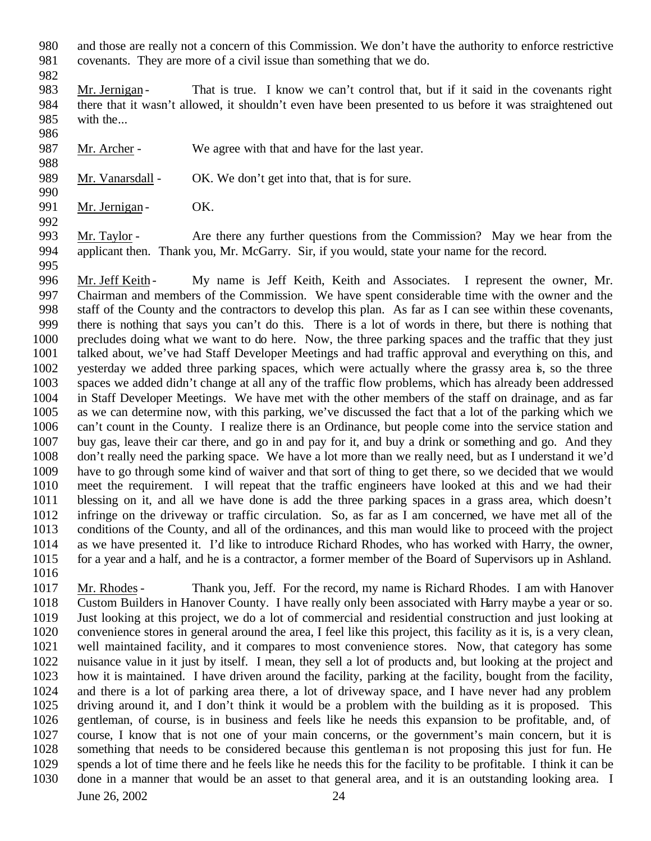- and those are really not a concern of this Commission. We don't have the authority to enforce restrictive covenants. They are more of a civil issue than something that we do.
- 

- 983 Mr. Jernigan That is true. I know we can't control that, but if it said in the covenants right there that it wasn't allowed, it shouldn't even have been presented to us before it was straightened out with the...
- 987 Mr. Archer We agree with that and have for the last year.
- 989 Mr. Vanarsdall OK. We don't get into that, that is for sure.
- 991 Mr. Jernigan OK.

 Mr. Taylor - Are there any further questions from the Commission? May we hear from the applicant then. Thank you, Mr. McGarry. Sir, if you would, state your name for the record. 

996 Mr. Jeff Keith - My name is Jeff Keith, Keith and Associates. I represent the owner, Mr. Chairman and members of the Commission. We have spent considerable time with the owner and the staff of the County and the contractors to develop this plan. As far as I can see within these covenants, there is nothing that says you can't do this. There is a lot of words in there, but there is nothing that precludes doing what we want to do here. Now, the three parking spaces and the traffic that they just talked about, we've had Staff Developer Meetings and had traffic approval and everything on this, and yesterday we added three parking spaces, which were actually where the grassy area is, so the three spaces we added didn't change at all any of the traffic flow problems, which has already been addressed in Staff Developer Meetings. We have met with the other members of the staff on drainage, and as far as we can determine now, with this parking, we've discussed the fact that a lot of the parking which we can't count in the County. I realize there is an Ordinance, but people come into the service station and buy gas, leave their car there, and go in and pay for it, and buy a drink or something and go. And they don't really need the parking space. We have a lot more than we really need, but as I understand it we'd have to go through some kind of waiver and that sort of thing to get there, so we decided that we would meet the requirement. I will repeat that the traffic engineers have looked at this and we had their blessing on it, and all we have done is add the three parking spaces in a grass area, which doesn't infringe on the driveway or traffic circulation. So, as far as I am concerned, we have met all of the conditions of the County, and all of the ordinances, and this man would like to proceed with the project as we have presented it. I'd like to introduce Richard Rhodes, who has worked with Harry, the owner, for a year and a half, and he is a contractor, a former member of the Board of Supervisors up in Ashland.

 Mr. Rhodes- Thank you, Jeff. For the record, my name is Richard Rhodes. I am with Hanover Custom Builders in Hanover County. I have really only been associated with Harry maybe a year or so. Just looking at this project, we do a lot of commercial and residential construction and just looking at convenience stores in general around the area, I feel like this project, this facility as it is, is a very clean, well maintained facility, and it compares to most convenience stores. Now, that category has some nuisance value in it just by itself. I mean, they sell a lot of products and, but looking at the project and how it is maintained. I have driven around the facility, parking at the facility, bought from the facility, and there is a lot of parking area there, a lot of driveway space, and I have never had any problem driving around it, and I don't think it would be a problem with the building as it is proposed. This gentleman, of course, is in business and feels like he needs this expansion to be profitable, and, of course, I know that is not one of your main concerns, or the government's main concern, but it is something that needs to be considered because this gentleman is not proposing this just for fun. He spends a lot of time there and he feels like he needs this for the facility to be profitable. I think it can be done in a manner that would be an asset to that general area, and it is an outstanding looking area. I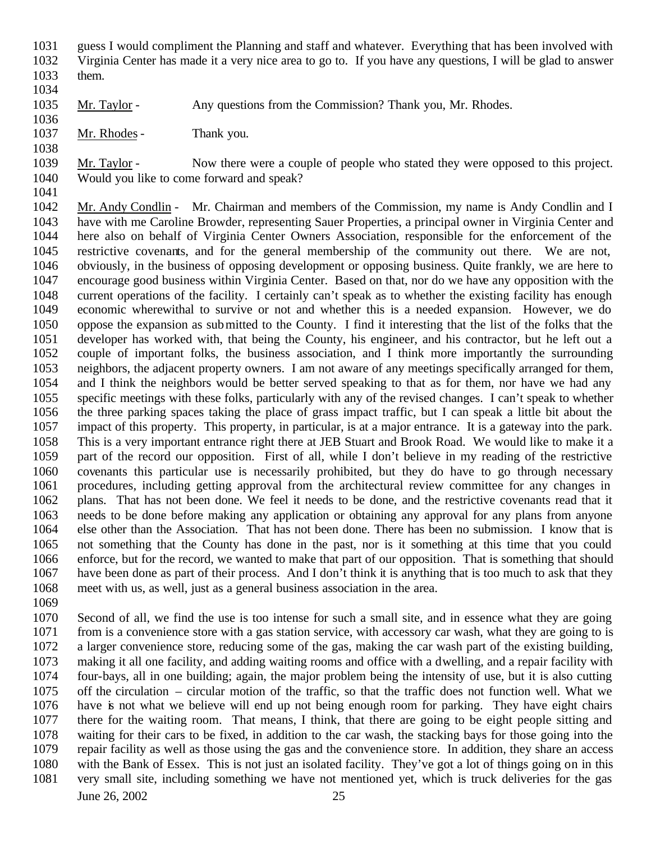guess I would compliment the Planning and staff and whatever. Everything that has been involved with Virginia Center has made it a very nice area to go to. If you have any questions, I will be glad to answer

 them. 

1035 Mr. Taylor - Any questions from the Commission? Thank you, Mr. Rhodes.

Mr. Rhodes- Thank you.

 Mr. Taylor - Now there were a couple of people who stated they were opposed to this project. Would you like to come forward and speak?

 Mr. Andy Condlin - Mr. Chairman and members of the Commission, my name is Andy Condlin and I have with me Caroline Browder, representing Sauer Properties, a principal owner in Virginia Center and here also on behalf of Virginia Center Owners Association, responsible for the enforcement of the restrictive covenants, and for the general membership of the community out there. We are not, obviously, in the business of opposing development or opposing business. Quite frankly, we are here to encourage good business within Virginia Center. Based on that, nor do we have any opposition with the current operations of the facility. I certainly can't speak as to whether the existing facility has enough economic wherewithal to survive or not and whether this is a needed expansion. However, we do oppose the expansion as submitted to the County. I find it interesting that the list of the folks that the developer has worked with, that being the County, his engineer, and his contractor, but he left out a couple of important folks, the business association, and I think more importantly the surrounding neighbors, the adjacent property owners. I am not aware of any meetings specifically arranged for them, and I think the neighbors would be better served speaking to that as for them, nor have we had any specific meetings with these folks, particularly with any of the revised changes. I can't speak to whether the three parking spaces taking the place of grass impact traffic, but I can speak a little bit about the impact of this property. This property, in particular, is at a major entrance. It is a gateway into the park. This is a very important entrance right there at JEB Stuart and Brook Road. We would like to make it a part of the record our opposition. First of all, while I don't believe in my reading of the restrictive covenants this particular use is necessarily prohibited, but they do have to go through necessary procedures, including getting approval from the architectural review committee for any changes in plans. That has not been done. We feel it needs to be done, and the restrictive covenants read that it needs to be done before making any application or obtaining any approval for any plans from anyone else other than the Association. That has not been done. There has been no submission. I know that is not something that the County has done in the past, nor is it something at this time that you could enforce, but for the record, we wanted to make that part of our opposition. That is something that should have been done as part of their process. And I don't think it is anything that is too much to ask that they meet with us, as well, just as a general business association in the area.

 Second of all, we find the use is too intense for such a small site, and in essence what they are going from is a convenience store with a gas station service, with accessory car wash, what they are going to is a larger convenience store, reducing some of the gas, making the car wash part of the existing building, making it all one facility, and adding waiting rooms and office with a dwelling, and a repair facility with four-bays, all in one building; again, the major problem being the intensity of use, but it is also cutting off the circulation – circular motion of the traffic, so that the traffic does not function well. What we have is not what we believe will end up not being enough room for parking. They have eight chairs there for the waiting room. That means, I think, that there are going to be eight people sitting and waiting for their cars to be fixed, in addition to the car wash, the stacking bays for those going into the repair facility as well as those using the gas and the convenience store. In addition, they share an access with the Bank of Essex. This is not just an isolated facility. They've got a lot of things going on in this very small site, including something we have not mentioned yet, which is truck deliveries for the gas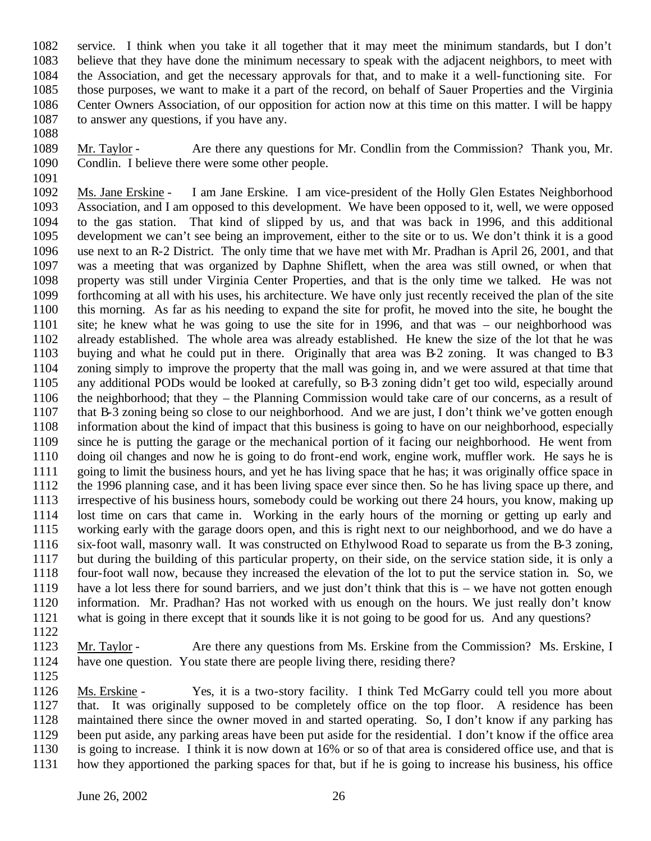service. I think when you take it all together that it may meet the minimum standards, but I don't believe that they have done the minimum necessary to speak with the adjacent neighbors, to meet with the Association, and get the necessary approvals for that, and to make it a well-functioning site. For those purposes, we want to make it a part of the record, on behalf of Sauer Properties and the Virginia Center Owners Association, of our opposition for action now at this time on this matter. I will be happy to answer any questions, if you have any.

 Mr. Taylor - Are there any questions for Mr. Condlin from the Commission? Thank you, Mr. Condlin. I believe there were some other people.

 Ms. Jane Erskine - I am Jane Erskine. I am vice-president of the Holly Glen Estates Neighborhood Association, and I am opposed to this development. We have been opposed to it, well, we were opposed to the gas station. That kind of slipped by us, and that was back in 1996, and this additional development we can't see being an improvement, either to the site or to us. We don't think it is a good use next to an R-2 District. The only time that we have met with Mr. Pradhan is April 26, 2001, and that was a meeting that was organized by Daphne Shiflett, when the area was still owned, or when that property was still under Virginia Center Properties, and that is the only time we talked. He was not forthcoming at all with his uses, his architecture. We have only just recently received the plan of the site this morning. As far as his needing to expand the site for profit, he moved into the site, he bought the site; he knew what he was going to use the site for in 1996, and that was – our neighborhood was already established. The whole area was already established. He knew the size of the lot that he was buying and what he could put in there. Originally that area was B-2 zoning. It was changed to B-3 zoning simply to improve the property that the mall was going in, and we were assured at that time that any additional PODs would be looked at carefully, so B-3 zoning didn't get too wild, especially around the neighborhood; that they – the Planning Commission would take care of our concerns, as a result of that B-3 zoning being so close to our neighborhood. And we are just, I don't think we've gotten enough information about the kind of impact that this business is going to have on our neighborhood, especially since he is putting the garage or the mechanical portion of it facing our neighborhood. He went from doing oil changes and now he is going to do front-end work, engine work, muffler work. He says he is going to limit the business hours, and yet he has living space that he has; it was originally office space in the 1996 planning case, and it has been living space ever since then. So he has living space up there, and irrespective of his business hours, somebody could be working out there 24 hours, you know, making up lost time on cars that came in. Working in the early hours of the morning or getting up early and working early with the garage doors open, and this is right next to our neighborhood, and we do have a six-foot wall, masonry wall. It was constructed on Ethylwood Road to separate us from the B-3 zoning, but during the building of this particular property, on their side, on the service station side, it is only a four-foot wall now, because they increased the elevation of the lot to put the service station in. So, we have a lot less there for sound barriers, and we just don't think that this is – we have not gotten enough information. Mr. Pradhan? Has not worked with us enough on the hours. We just really don't know what is going in there except that it sounds like it is not going to be good for us. And any questions?

 Mr. Taylor - Are there any questions from Ms. Erskine from the Commission? Ms. Erskine, I have one question. You state there are people living there, residing there?

 Ms. Erskine - Yes, it is a two-story facility. I think Ted McGarry could tell you more about that. It was originally supposed to be completely office on the top floor. A residence has been maintained there since the owner moved in and started operating. So, I don't know if any parking has been put aside, any parking areas have been put aside for the residential. I don't know if the office area is going to increase. I think it is now down at 16% or so of that area is considered office use, and that is how they apportioned the parking spaces for that, but if he is going to increase his business, his office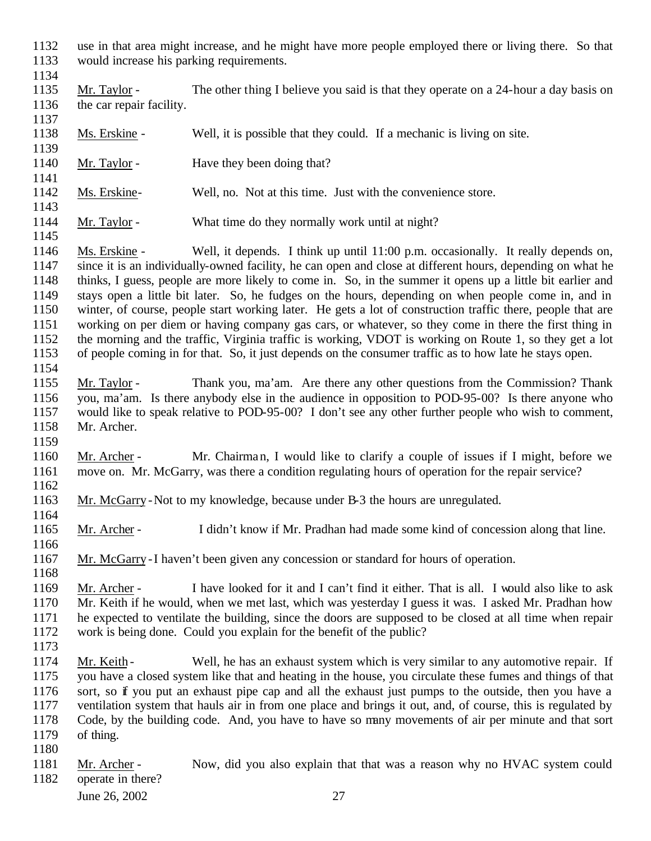- use in that area might increase, and he might have more people employed there or living there. So that would increase his parking requirements.
- 

1134<br>1135 Mr. Taylor - The other thing I believe you said is that they operate on a 24-hour a day basis on 1136 the car repair facility. 

- Ms. Erskine Well, it is possible that they could. If a mechanic is living on site.
- 1140 Mr. Taylor Have they been doing that?
- Ms. Erskine- Well, no. Not at this time. Just with the convenience store.
- 1144 Mr. Taylor What time do they normally work until at night?

 Ms. Erskine - Well, it depends. I think up until 11:00 p.m. occasionally. It really depends on, since it is an individually-owned facility, he can open and close at different hours, depending on what he thinks, I guess, people are more likely to come in. So, in the summer it opens up a little bit earlier and stays open a little bit later. So, he fudges on the hours, depending on when people come in, and in winter, of course, people start working later. He gets a lot of construction traffic there, people that are working on per diem or having company gas cars, or whatever, so they come in there the first thing in the morning and the traffic, Virginia traffic is working, VDOT is working on Route 1, so they get a lot of people coming in for that. So, it just depends on the consumer traffic as to how late he stays open. 

- Mr. Taylor Thank you, ma'am. Are there any other questions from the Commission? Thank you, ma'am. Is there anybody else in the audience in opposition to POD-95-00? Is there anyone who would like to speak relative to POD-95-00? I don't see any other further people who wish to comment, Mr. Archer.
- Mr. Archer Mr. Chairman, I would like to clarify a couple of issues if I might, before we move on. Mr. McGarry, was there a condition regulating hours of operation for the repair service?
- 

- Mr. McGarry -Not to my knowledge, because under B-3 the hours are unregulated.
- Mr. Archer I didn't know if Mr. Pradhan had made some kind of concession along that line.
- 1166<br>1167 Mr. McGarry -I haven't been given any concession or standard for hours of operation.

 Mr. Archer - I have looked for it and I can't find it either. That is all. I would also like to ask Mr. Keith if he would, when we met last, which was yesterday I guess it was. I asked Mr. Pradhan how he expected to ventilate the building, since the doors are supposed to be closed at all time when repair work is being done. Could you explain for the benefit of the public?

- 1174 Mr. Keith Well, he has an exhaust system which is very similar to any automotive repair. If you have a closed system like that and heating in the house, you circulate these fumes and things of that sort, so if you put an exhaust pipe cap and all the exhaust just pumps to the outside, then you have a ventilation system that hauls air in from one place and brings it out, and, of course, this is regulated by Code, by the building code. And, you have to have so many movements of air per minute and that sort of thing.
- 

1181 Mr. Archer - Now, did you also explain that that was a reason why no HVAC system could operate in there?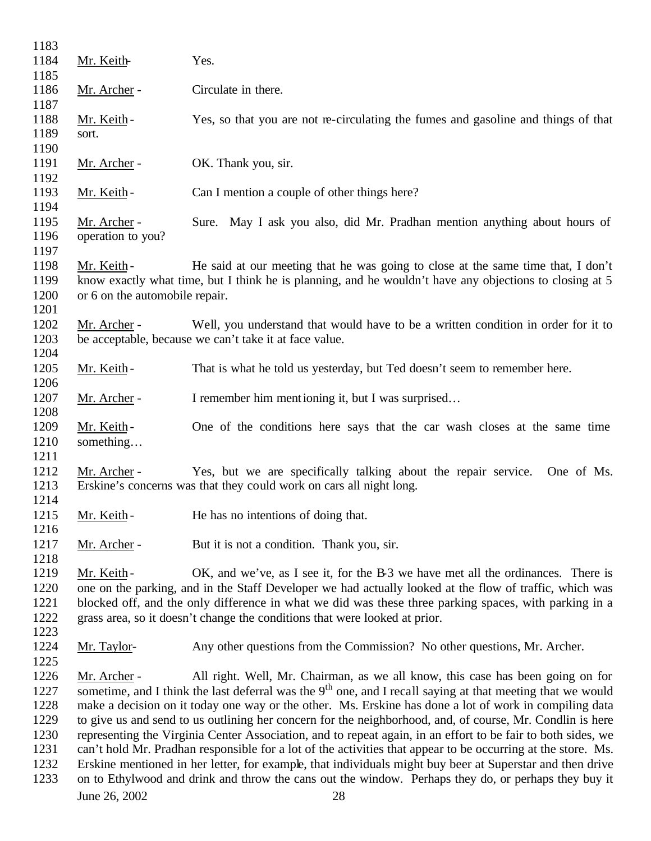| 1183 |                                                                                                        |                                                                                                              |  |  |
|------|--------------------------------------------------------------------------------------------------------|--------------------------------------------------------------------------------------------------------------|--|--|
| 1184 | Mr. Keith-                                                                                             | Yes.                                                                                                         |  |  |
| 1185 |                                                                                                        |                                                                                                              |  |  |
| 1186 | Mr. Archer -                                                                                           | Circulate in there.                                                                                          |  |  |
| 1187 |                                                                                                        |                                                                                                              |  |  |
| 1188 | Mr. Keith-                                                                                             | Yes, so that you are not re-circulating the fumes and gasoline and things of that                            |  |  |
| 1189 | sort.                                                                                                  |                                                                                                              |  |  |
| 1190 |                                                                                                        |                                                                                                              |  |  |
| 1191 | Mr. Archer -                                                                                           | OK. Thank you, sir.                                                                                          |  |  |
| 1192 |                                                                                                        |                                                                                                              |  |  |
| 1193 | Mr. Keith-                                                                                             | Can I mention a couple of other things here?                                                                 |  |  |
| 1194 |                                                                                                        |                                                                                                              |  |  |
| 1195 |                                                                                                        | Sure. May I ask you also, did Mr. Pradhan mention anything about hours of                                    |  |  |
|      | Mr. Archer -                                                                                           |                                                                                                              |  |  |
| 1196 | operation to you?                                                                                      |                                                                                                              |  |  |
| 1197 |                                                                                                        |                                                                                                              |  |  |
| 1198 | Mr. Keith-                                                                                             | He said at our meeting that he was going to close at the same time that, I don't                             |  |  |
| 1199 |                                                                                                        | know exactly what time, but I think he is planning, and he wouldn't have any objections to closing at 5      |  |  |
| 1200 | or 6 on the automobile repair.                                                                         |                                                                                                              |  |  |
| 1201 |                                                                                                        |                                                                                                              |  |  |
| 1202 | Mr. Archer -                                                                                           | Well, you understand that would have to be a written condition in order for it to                            |  |  |
| 1203 |                                                                                                        | be acceptable, because we can't take it at face value.                                                       |  |  |
| 1204 |                                                                                                        |                                                                                                              |  |  |
| 1205 | Mr. Keith-                                                                                             | That is what he told us yesterday, but Ted doesn't seem to remember here.                                    |  |  |
| 1206 |                                                                                                        |                                                                                                              |  |  |
| 1207 | Mr. Archer -                                                                                           | I remember him mentioning it, but I was surprised                                                            |  |  |
| 1208 |                                                                                                        |                                                                                                              |  |  |
| 1209 | Mr. Keith-                                                                                             | One of the conditions here says that the car wash closes at the same time                                    |  |  |
| 1210 | something                                                                                              |                                                                                                              |  |  |
| 1211 |                                                                                                        |                                                                                                              |  |  |
| 1212 | Mr. Archer -                                                                                           | Yes, but we are specifically talking about the repair service.<br>One of Ms.                                 |  |  |
| 1213 |                                                                                                        | Erskine's concerns was that they could work on cars all night long.                                          |  |  |
| 1214 |                                                                                                        |                                                                                                              |  |  |
| 1215 | Mr. Keith-                                                                                             | He has no intentions of doing that.                                                                          |  |  |
| 1216 |                                                                                                        |                                                                                                              |  |  |
| 1217 | Mr. Archer -                                                                                           | But it is not a condition. Thank you, sir.                                                                   |  |  |
| 1218 |                                                                                                        |                                                                                                              |  |  |
| 1219 | Mr. Keith-                                                                                             | OK, and we've, as I see it, for the B-3 we have met all the ordinances. There is                             |  |  |
| 1220 |                                                                                                        | one on the parking, and in the Staff Developer we had actually looked at the flow of traffic, which was      |  |  |
| 1221 |                                                                                                        | blocked off, and the only difference in what we did was these three parking spaces, with parking in a        |  |  |
| 1222 |                                                                                                        | grass area, so it doesn't change the conditions that were looked at prior.                                   |  |  |
| 1223 |                                                                                                        |                                                                                                              |  |  |
| 1224 | Mr. Taylor-                                                                                            | Any other questions from the Commission? No other questions, Mr. Archer.                                     |  |  |
| 1225 |                                                                                                        |                                                                                                              |  |  |
|      |                                                                                                        |                                                                                                              |  |  |
| 1226 | Mr. Archer -                                                                                           | All right. Well, Mr. Chairman, as we all know, this case has been going on for                               |  |  |
| 1227 |                                                                                                        | sometime, and I think the last deferral was the $9th$ one, and I recall saying at that meeting that we would |  |  |
| 1228 | make a decision on it today one way or the other. Ms. Erskine has done a lot of work in compiling data |                                                                                                              |  |  |
| 1229 |                                                                                                        | to give us and send to us outlining her concern for the neighborhood, and, of course, Mr. Condlin is here    |  |  |
| 1230 |                                                                                                        | representing the Virginia Center Association, and to repeat again, in an effort to be fair to both sides, we |  |  |
| 1231 |                                                                                                        | can't hold Mr. Pradhan responsible for a lot of the activities that appear to be occurring at the store. Ms. |  |  |
| 1232 |                                                                                                        | Erskine mentioned in her letter, for example, that individuals might buy beer at Superstar and then drive    |  |  |
| 1233 |                                                                                                        | on to Ethylwood and drink and throw the cans out the window. Perhaps they do, or perhaps they buy it         |  |  |
|      | June 26, 2002                                                                                          | 28                                                                                                           |  |  |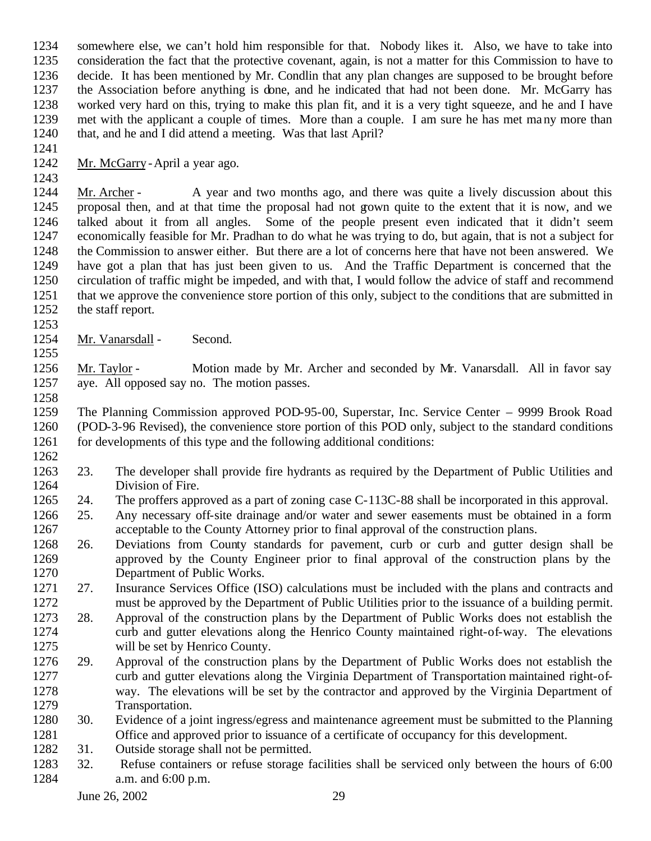somewhere else, we can't hold him responsible for that. Nobody likes it. Also, we have to take into consideration the fact that the protective covenant, again, is not a matter for this Commission to have to 1236 decide. It has been mentioned by Mr. Condlin that any plan changes are supposed to be brought before 1237 the Association before anything is done, and he indicated that had not been done. Mr. McGarry has the Association before anything is done, and he indicated that had not been done. Mr. McGarry has worked very hard on this, trying to make this plan fit, and it is a very tight squeeze, and he and I have met with the applicant a couple of times. More than a couple. I am sure he has met many more than 1240 that, and he and I did attend a meeting. Was that last April?

- 
- Mr. McGarry -April a year ago.

1244 Mr. Archer - A year and two months ago, and there was quite a lively discussion about this proposal then, and at that time the proposal had not grown quite to the extent that it is now, and we talked about it from all angles. Some of the people present even indicated that it didn't seem economically feasible for Mr. Pradhan to do what he was trying to do, but again, that is not a subject for the Commission to answer either. But there are a lot of concerns here that have not been answered. We have got a plan that has just been given to us. And the Traffic Department is concerned that the circulation of traffic might be impeded, and with that, I would follow the advice of staff and recommend that we approve the convenience store portion of this only, subject to the conditions that are submitted in the staff report.

 1254 Mr. Vanarsdall - Second.

 Mr. Taylor - Motion made by Mr. Archer and seconded by Mr. Vanarsdall. All in favor say aye. All opposed say no. The motion passes. 

 The Planning Commission approved POD-95-00, Superstar, Inc. Service Center – 9999 Brook Road (POD-3-96 Revised), the convenience store portion of this POD only, subject to the standard conditions for developments of this type and the following additional conditions:

- 
- 23. The developer shall provide fire hydrants as required by the Department of Public Utilities and Division of Fire.
- 24. The proffers approved as a part of zoning case C-113C-88 shall be incorporated in this approval.
- 25. Any necessary off-site drainage and/or water and sewer easements must be obtained in a form acceptable to the County Attorney prior to final approval of the construction plans.
- 26. Deviations from County standards for pavement, curb or curb and gutter design shall be approved by the County Engineer prior to final approval of the construction plans by the Department of Public Works.
- 27. Insurance Services Office (ISO) calculations must be included with the plans and contracts and must be approved by the Department of Public Utilities prior to the issuance of a building permit.
- 28. Approval of the construction plans by the Department of Public Works does not establish the curb and gutter elevations along the Henrico County maintained right-of-way. The elevations will be set by Henrico County.
- 29. Approval of the construction plans by the Department of Public Works does not establish the curb and gutter elevations along the Virginia Department of Transportation maintained right-of- way. The elevations will be set by the contractor and approved by the Virginia Department of Transportation.
- 30. Evidence of a joint ingress/egress and maintenance agreement must be submitted to the Planning Office and approved prior to issuance of a certificate of occupancy for this development.
- 31. Outside storage shall not be permitted.
- 32. Refuse containers or refuse storage facilities shall be serviced only between the hours of 6:00 a.m. and 6:00 p.m.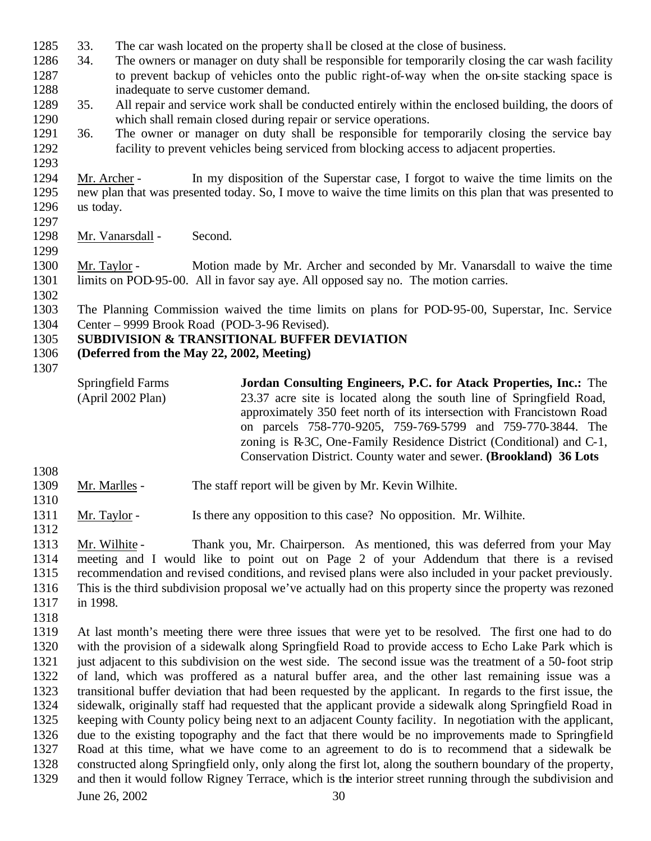- 33. The car wash located on the property sha ll be closed at the close of business.
- 34. The owners or manager on duty shall be responsible for temporarily closing the car wash facility to prevent backup of vehicles onto the public right-of-way when the on-site stacking space is
- inadequate to serve customer demand. 35. All repair and service work shall be conducted entirely within the enclosed building, the doors of which shall remain closed during repair or service operations.
- 36. The owner or manager on duty shall be responsible for temporarily closing the service bay facility to prevent vehicles being serviced from blocking access to adjacent properties.
- Mr. Archer In my disposition of the Superstar case, I forgot to waive the time limits on the new plan that was presented today. So, I move to waive the time limits on this plan that was presented to us today.
- 1298 Mr. Vanarsdall Second.
- Mr. Taylor Motion made by Mr. Archer and seconded by Mr. Vanarsdall to waive the time 1301 limits on POD-95-00. All in favor say aye. All opposed say no. The motion carries.
- 

 The Planning Commission waived the time limits on plans for POD-95-00, Superstar, Inc. Service Center – 9999 Brook Road (POD-3-96 Revised).

## **SUBDIVISION & TRANSITIONAL BUFFER DEVIATION**

- **(Deferred from the May 22, 2002, Meeting)**
- 

Springfield Farms (April 2002 Plan) **Jordan Consulting Engineers, P.C. for Atack Properties, Inc.:** The 23.37 acre site is located along the south line of Springfield Road, approximately 350 feet north of its intersection with Francistown Road on parcels 758-770-9205, 759-769-5799 and 759-770-3844. The zoning is R-3C, One-Family Residence District (Conditional) and C-1, Conservation District. County water and sewer. **(Brookland) 36 Lots**

- Mr. Marlles The staff report will be given by Mr. Kevin Wilhite.
- Mr. Taylor Is there any opposition to this case? No opposition. Mr. Wilhite.
- Mr. Wilhite Thank you, Mr. Chairperson. As mentioned, this was deferred from your May meeting and I would like to point out on Page 2 of your Addendum that there is a revised recommendation and revised conditions, and revised plans were also included in your packet previously. This is the third subdivision proposal we've actually had on this property since the property was rezoned in 1998.
- 

 At last month's meeting there were three issues that were yet to be resolved. The first one had to do with the provision of a sidewalk along Springfield Road to provide access to Echo Lake Park which is just adjacent to this subdivision on the west side. The second issue was the treatment of a 50-foot strip of land, which was proffered as a natural buffer area, and the other last remaining issue was a transitional buffer deviation that had been requested by the applicant. In regards to the first issue, the sidewalk, originally staff had requested that the applicant provide a sidewalk along Springfield Road in keeping with County policy being next to an adjacent County facility. In negotiation with the applicant, due to the existing topography and the fact that there would be no improvements made to Springfield Road at this time, what we have come to an agreement to do is to recommend that a sidewalk be constructed along Springfield only, only along the first lot, along the southern boundary of the property, and then it would follow Rigney Terrace, which is the interior street running through the subdivision and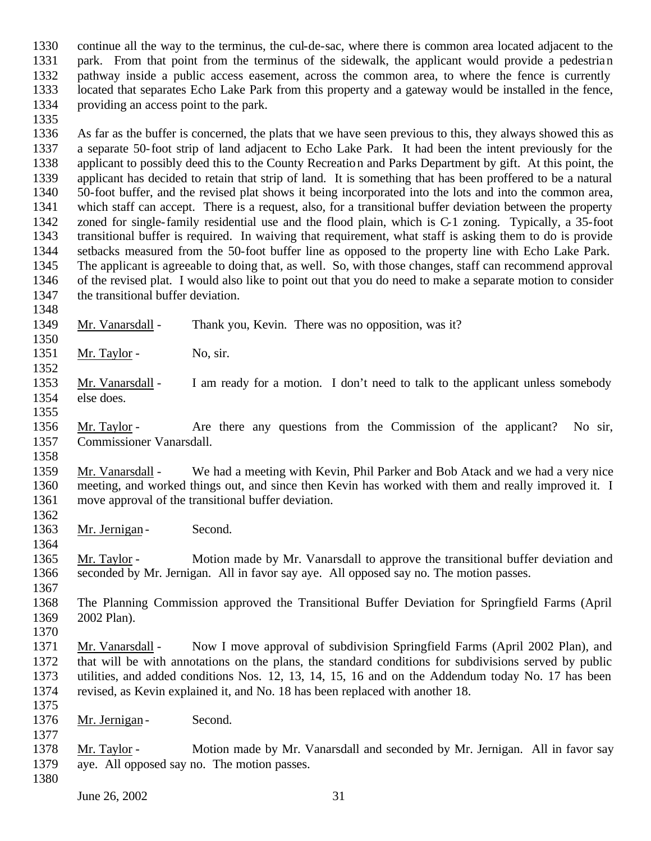continue all the way to the terminus, the cul-de-sac, where there is common area located adjacent to the park. From that point from the terminus of the sidewalk, the applicant would provide a pedestrian pathway inside a public access easement, across the common area, to where the fence is currently located that separates Echo Lake Park from this property and a gateway would be installed in the fence, providing an access point to the park.

 As far as the buffer is concerned, the plats that we have seen previous to this, they always showed this as a separate 50-foot strip of land adjacent to Echo Lake Park. It had been the intent previously for the applicant to possibly deed this to the County Recreation and Parks Department by gift. At this point, the applicant has decided to retain that strip of land. It is something that has been proffered to be a natural 1340 50-foot buffer, and the revised plat shows it being incorporated into the lots and into the common area, <br>1341 which staff can accept. There is a request, also, for a transitional buffer deviation between the property which staff can accept. There is a request, also, for a transitional buffer deviation between the property zoned for single-family residential use and the flood plain, which is C-1 zoning. Typically, a 35-foot transitional buffer is required. In waiving that requirement, what staff is asking them to do is provide setbacks measured from the 50-foot buffer line as opposed to the property line with Echo Lake Park. The applicant is agreeable to doing that, as well. So, with those changes, staff can recommend approval of the revised plat. I would also like to point out that you do need to make a separate motion to consider 1347 the transitional buffer deviation.

Mr. Vanarsdall - Thank you, Kevin. There was no opposition, was it?

1351 Mr. Taylor - No, sir.

 Mr. Vanarsdall - I am ready for a motion. I don't need to talk to the applicant unless somebody else does.

 Mr. Taylor - Are there any questions from the Commission of the applicant? No sir, Commissioner Vanarsdall.

 Mr. Vanarsdall - We had a meeting with Kevin, Phil Parker and Bob Atack and we had a very nice meeting, and worked things out, and since then Kevin has worked with them and really improved it. I move approval of the transitional buffer deviation. 

1363 Mr. Jernigan - Second.

 Mr. Taylor - Motion made by Mr. Vanarsdall to approve the transitional buffer deviation and seconded by Mr. Jernigan. All in favor say aye. All opposed say no. The motion passes. 

 The Planning Commission approved the Transitional Buffer Deviation for Springfield Farms (April 2002 Plan).

1371 Mr. Vanarsdall - Now I move approval of subdivision Springfield Farms (April 2002 Plan), and that will be with annotations on the plans, the standard conditions for subdivisions served by public utilities, and added conditions Nos. 12, 13, 14, 15, 16 and on the Addendum today No. 17 has been revised, as Kevin explained it, and No. 18 has been replaced with another 18. 

1376 Mr. Jernigan - Second.

 Mr. Taylor - Motion made by Mr. Vanarsdall and seconded by Mr. Jernigan. All in favor say aye. All opposed say no. The motion passes.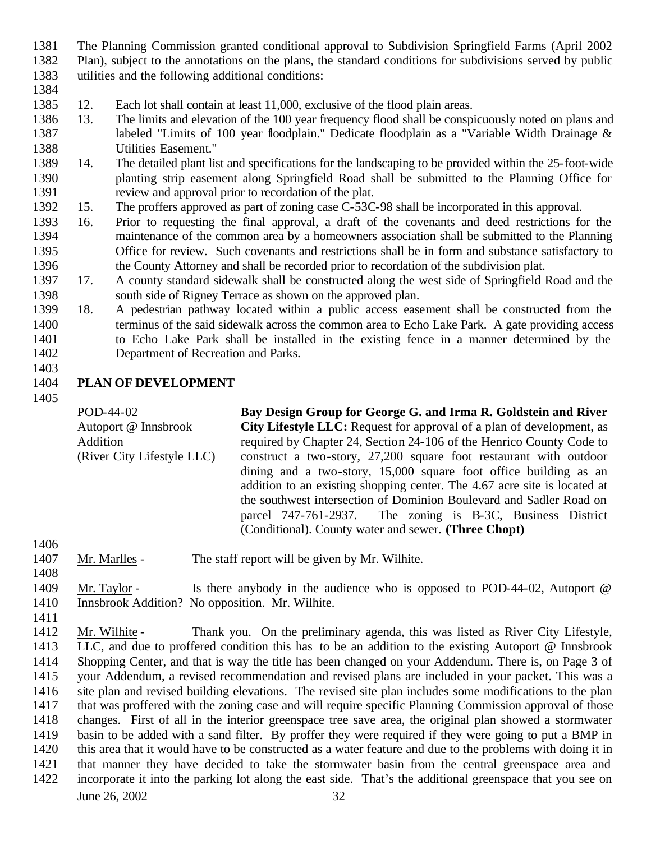- The Planning Commission granted conditional approval to Subdivision Springfield Farms (April 2002 Plan), subject to the annotations on the plans, the standard conditions for subdivisions served by public utilities and the following additional conditions:
- 
- 12. Each lot shall contain at least 11,000, exclusive of the flood plain areas.
- 13. The limits and elevation of the 100 year frequency flood shall be conspicuously noted on plans and 1387 labeled "Limits of 100 year floodplain." Dedicate floodplain as a "Variable Width Drainage & Utilities Easement."
- 14. The detailed plant list and specifications for the landscaping to be provided within the 25-foot-wide planting strip easement along Springfield Road shall be submitted to the Planning Office for review and approval prior to recordation of the plat.
- 15. The proffers approved as part of zoning case C-53C-98 shall be incorporated in this approval.
- 16. Prior to requesting the final approval, a draft of the covenants and deed restrictions for the maintenance of the common area by a homeowners association shall be submitted to the Planning Office for review. Such covenants and restrictions shall be in form and substance satisfactory to the County Attorney and shall be recorded prior to recordation of the subdivision plat.
- 17. A county standard sidewalk shall be constructed along the west side of Springfield Road and the south side of Rigney Terrace as shown on the approved plan.
- 18. A pedestrian pathway located within a public access easement shall be constructed from the terminus of the said sidewalk across the common area to Echo Lake Park. A gate providing access to Echo Lake Park shall be installed in the existing fence in a manner determined by the Department of Recreation and Parks.

## **PLAN OF DEVELOPMENT**

POD-44-02 Autoport @ Innsbrook Addition (River City Lifestyle LLC) **Bay Design Group for George G. and Irma R. Goldstein and River City Lifestyle LLC:** Request for approval of a plan of development, as required by Chapter 24, Section 24-106 of the Henrico County Code to construct a two-story, 27,200 square foot restaurant with outdoor dining and a two-story, 15,000 square foot office building as an addition to an existing shopping center. The 4.67 acre site is located at the southwest intersection of Dominion Boulevard and Sadler Road on parcel 747-761-2937. The zoning is B-3C, Business District (Conditional). County water and sewer. **(Three Chopt)**

- 1407 Mr. Marlles The staff report will be given by Mr. Wilhite.
- 1409 Mr. Taylor Is there anybody in the audience who is opposed to POD-44-02, Autoport @ Innsbrook Addition? No opposition. Mr. Wilhite.
- 

June 26, 2002 32 Mr. Wilhite - Thank you. On the preliminary agenda, this was listed as River City Lifestyle, LLC, and due to proffered condition this has to be an addition to the existing Autoport @ Innsbrook Shopping Center, and that is way the title has been changed on your Addendum. There is, on Page 3 of your Addendum, a revised recommendation and revised plans are included in your packet. This was a site plan and revised building elevations. The revised site plan includes some modifications to the plan that was proffered with the zoning case and will require specific Planning Commission approval of those changes. First of all in the interior greenspace tree save area, the original plan showed a stormwater basin to be added with a sand filter. By proffer they were required if they were going to put a BMP in this area that it would have to be constructed as a water feature and due to the problems with doing it in that manner they have decided to take the stormwater basin from the central greenspace area and incorporate it into the parking lot along the east side. That's the additional greenspace that you see on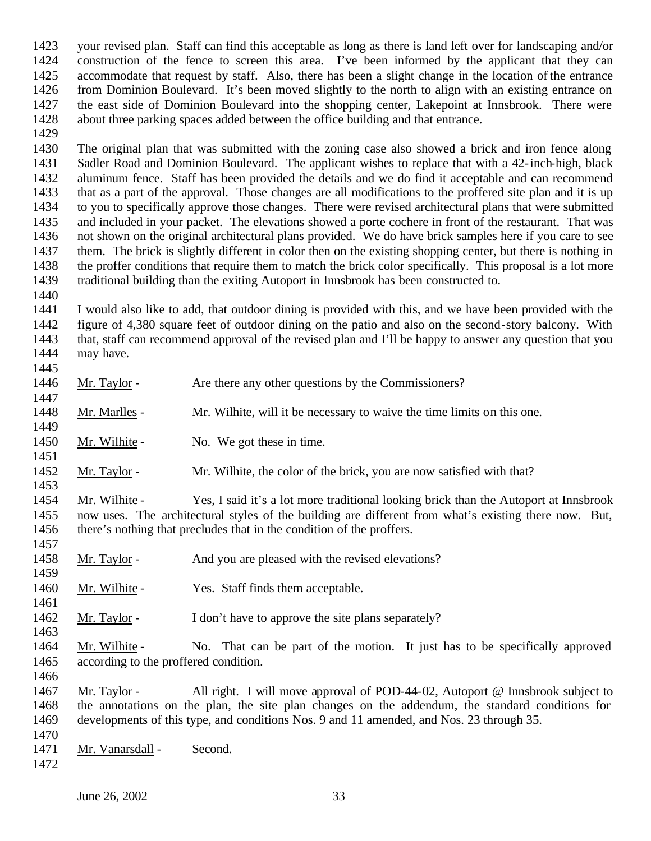your revised plan. Staff can find this acceptable as long as there is land left over for landscaping and/or construction of the fence to screen this area. I've been informed by the applicant that they can accommodate that request by staff. Also, there has been a slight change in the location of the entrance from Dominion Boulevard. It's been moved slightly to the north to align with an existing entrance on the east side of Dominion Boulevard into the shopping center, Lakepoint at Innsbrook. There were about three parking spaces added between the office building and that entrance.

 The original plan that was submitted with the zoning case also showed a brick and iron fence along Sadler Road and Dominion Boulevard. The applicant wishes to replace that with a 42-inch-high, black aluminum fence. Staff has been provided the details and we do find it acceptable and can recommend that as a part of the approval. Those changes are all modifications to the proffered site plan and it is up to you to specifically approve those changes. There were revised architectural plans that were submitted and included in your packet. The elevations showed a porte cochere in front of the restaurant. That was not shown on the original architectural plans provided. We do have brick samples here if you care to see them. The brick is slightly different in color then on the existing shopping center, but there is nothing in the proffer conditions that require them to match the brick color specifically. This proposal is a lot more traditional building than the exiting Autoport in Innsbrook has been constructed to.

 I would also like to add, that outdoor dining is provided with this, and we have been provided with the figure of 4,380 square feet of outdoor dining on the patio and also on the second-story balcony. With that, staff can recommend approval of the revised plan and I'll be happy to answer any question that you may have.

- 1446 Mr. Taylor Are there any other questions by the Commissioners?
- Mr. Marlles Mr. Wilhite, will it be necessary to waive the time limits on this one.
- 1450 Mr. Wilhite No. We got these in time.
- 1452 Mr. Taylor Mr. Wilhite, the color of the brick, you are now satisfied with that?

 Mr. Wilhite - Yes, I said it's a lot more traditional looking brick than the Autoport at Innsbrook now uses. The architectural styles of the building are different from what's existing there now. But, there's nothing that precludes that in the condition of the proffers.

- Mr. Taylor And you are pleased with the revised elevations?
- 1460 Mr. Wilhite Yes. Staff finds them acceptable.
- 1462 Mr. Taylor I don't have to approve the site plans separately?

 Mr. Wilhite - No. That can be part of the motion. It just has to be specifically approved according to the proffered condition.

1467 Mr. Taylor - All right. I will move approval of POD-44-02, Autoport @ Innsbrook subject to the annotations on the plan, the site plan changes on the addendum, the standard conditions for developments of this type, and conditions Nos. 9 and 11 amended, and Nos. 23 through 35.

 1471 Mr. Vanarsdall - Second.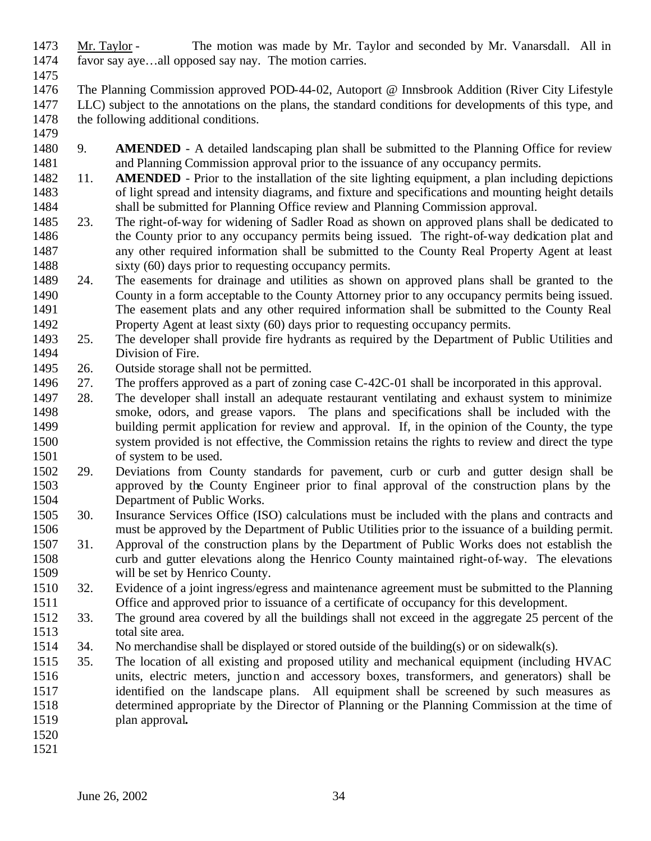- Mr. Taylor The motion was made by Mr. Taylor and seconded by Mr. Vanarsdall. All in favor say aye…all opposed say nay. The motion carries.
- 1475<br>1476
- The Planning Commission approved POD-44-02, Autoport @ Innsbrook Addition (River City Lifestyle LLC) subject to the annotations on the plans, the standard conditions for developments of this type, and 1478 the following additional conditions.
- 

 9. **AMENDED** - A detailed landscaping plan shall be submitted to the Planning Office for review and Planning Commission approval prior to the issuance of any occupancy permits.

- 11. **AMENDED** Prior to the installation of the site lighting equipment, a plan including depictions of light spread and intensity diagrams, and fixture and specifications and mounting height details shall be submitted for Planning Office review and Planning Commission approval.
- 23. The right-of-way for widening of Sadler Road as shown on approved plans shall be dedicated to 1486 the County prior to any occupancy permits being issued. The right-of-way dedication plat and any other required information shall be submitted to the County Real Property Agent at least sixty (60) days prior to requesting occupancy permits.
- 24. The easements for drainage and utilities as shown on approved plans shall be granted to the County in a form acceptable to the County Attorney prior to any occupancy permits being issued. The easement plats and any other required information shall be submitted to the County Real Property Agent at least sixty (60) days prior to requesting occupancy permits.
- 25. The developer shall provide fire hydrants as required by the Department of Public Utilities and Division of Fire.
- 26. Outside storage shall not be permitted.
- 27. The proffers approved as a part of zoning case C-42C-01 shall be incorporated in this approval.
- 28. The developer shall install an adequate restaurant ventilating and exhaust system to minimize smoke, odors, and grease vapors. The plans and specifications shall be included with the building permit application for review and approval. If, in the opinion of the County, the type system provided is not effective, the Commission retains the rights to review and direct the type of system to be used.
- 29. Deviations from County standards for pavement, curb or curb and gutter design shall be approved by the County Engineer prior to final approval of the construction plans by the Department of Public Works.
- 30. Insurance Services Office (ISO) calculations must be included with the plans and contracts and must be approved by the Department of Public Utilities prior to the issuance of a building permit.
- 31. Approval of the construction plans by the Department of Public Works does not establish the curb and gutter elevations along the Henrico County maintained right-of-way. The elevations will be set by Henrico County.
- 32. Evidence of a joint ingress/egress and maintenance agreement must be submitted to the Planning Office and approved prior to issuance of a certificate of occupancy for this development.
- 33. The ground area covered by all the buildings shall not exceed in the aggregate 25 percent of the total site area.
- 34. No merchandise shall be displayed or stored outside of the building(s) or on sidewalk(s).
- 35. The location of all existing and proposed utility and mechanical equipment (including HVAC units, electric meters, junction and accessory boxes, transformers, and generators) shall be identified on the landscape plans. All equipment shall be screened by such measures as determined appropriate by the Director of Planning or the Planning Commission at the time of plan approval**.**
-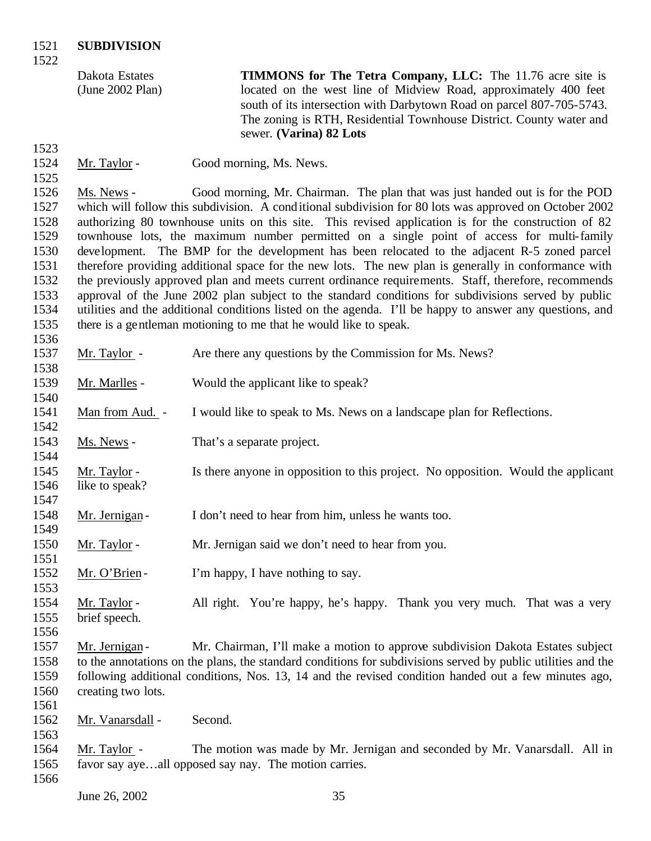Dakota Estates (June 2002 Plan)

**TIMMONS for The Tetra Company, LLC:** The 11.76 acre site is located on the west line of Midview Road, approximately 400 feet south of its intersection with Darbytown Road on parcel 807-705-5743. The zoning is RTH, Residential Townhouse District. County water and sewer. **(Varina) 82 Lots**

1524 Mr. Taylor - Good morning, Ms. News.

 Ms. News - Good morning, Mr. Chairman. The plan that was just handed out is for the POD which will follow this subdivision. A conditional subdivision for 80 lots was approved on October 2002 authorizing 80 townhouse units on this site. This revised application is for the construction of 82 townhouse lots, the maximum number permitted on a single point of access for multi-family development. The BMP for the development has been relocated to the adjacent R-5 zoned parcel therefore providing additional space for the new lots. The new plan is generally in conformance with the previously approved plan and meets current ordinance requirements. Staff, therefore, recommends approval of the June 2002 plan subject to the standard conditions for subdivisions served by public utilities and the additional conditions listed on the agenda. I'll be happy to answer any questions, and there is a gentleman motioning to me that he would like to speak. 

| 1990 |                    |                                                                                                              |
|------|--------------------|--------------------------------------------------------------------------------------------------------------|
| 1537 | Mr. Taylor -       | Are there any questions by the Commission for Ms. News?                                                      |
| 1538 |                    |                                                                                                              |
| 1539 | Mr. Marlles -      | Would the applicant like to speak?                                                                           |
| 1540 |                    |                                                                                                              |
| 1541 | Man from Aud. -    | I would like to speak to Ms. News on a landscape plan for Reflections.                                       |
| 1542 |                    |                                                                                                              |
| 1543 | Ms. News -         | That's a separate project.                                                                                   |
| 1544 |                    |                                                                                                              |
| 1545 | Mr. Taylor -       | Is there anyone in opposition to this project. No opposition. Would the applicant                            |
| 1546 | like to speak?     |                                                                                                              |
| 1547 |                    |                                                                                                              |
| 1548 | Mr. Jernigan -     | I don't need to hear from him, unless he wants too.                                                          |
| 1549 |                    |                                                                                                              |
| 1550 | Mr. Taylor -       | Mr. Jernigan said we don't need to hear from you.                                                            |
| 1551 |                    |                                                                                                              |
| 1552 | Mr. O'Brien-       | I'm happy, I have nothing to say.                                                                            |
| 1553 |                    |                                                                                                              |
| 1554 | Mr. Taylor -       | All right. You're happy, he's happy. Thank you very much. That was a very                                    |
| 1555 | brief speech.      |                                                                                                              |
| 1556 |                    |                                                                                                              |
| 1557 | Mr. Jernigan-      | Mr. Chairman, I'll make a motion to approve subdivision Dakota Estates subject                               |
| 1558 |                    | to the annotations on the plans, the standard conditions for subdivisions served by public utilities and the |
| 1559 |                    | following additional conditions, Nos. 13, 14 and the revised condition handed out a few minutes ago,         |
| 1560 | creating two lots. |                                                                                                              |
| 1561 |                    |                                                                                                              |
| 1562 | Mr. Vanarsdall -   | Second.                                                                                                      |
| 1563 |                    |                                                                                                              |
| 1564 | Mr. Taylor -       | The motion was made by Mr. Jernigan and seconded by Mr. Vanarsdall. All in                                   |
| 1565 |                    | favor say ayeall opposed say nay. The motion carries.                                                        |
| 1566 |                    |                                                                                                              |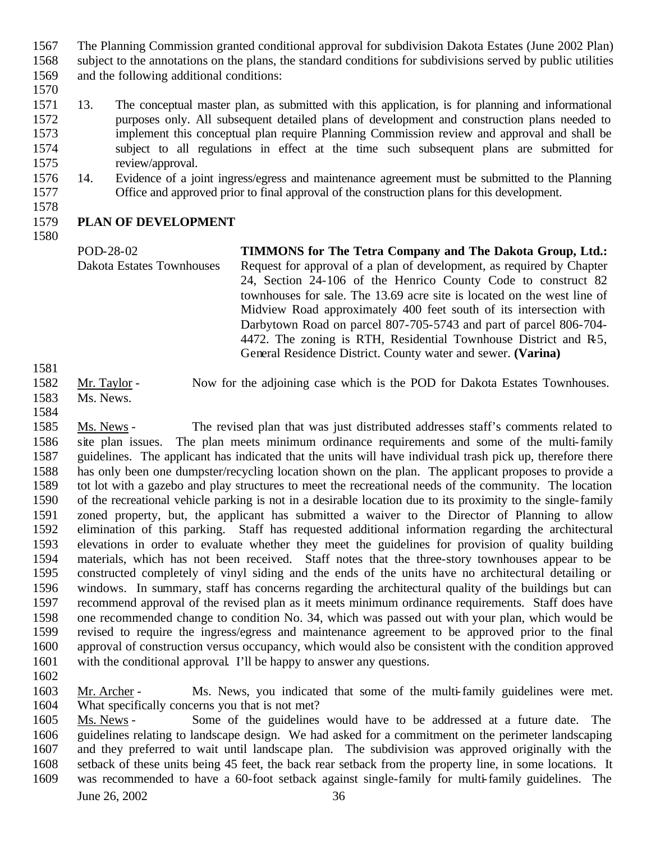- The Planning Commission granted conditional approval for subdivision Dakota Estates (June 2002 Plan) subject to the annotations on the plans, the standard conditions for subdivisions served by public utilities and the following additional conditions:
- 
- 13. The conceptual master plan, as submitted with this application, is for planning and informational purposes only. All subsequent detailed plans of development and construction plans needed to implement this conceptual plan require Planning Commission review and approval and shall be subject to all regulations in effect at the time such subsequent plans are submitted for review/approval.
- 14. Evidence of a joint ingress/egress and maintenance agreement must be submitted to the Planning Office and approved prior to final approval of the construction plans for this development.

## **PLAN OF DEVELOPMENT**

POD-28-02 Dakota Estates Townhouses **TIMMONS for The Tetra Company and The Dakota Group, Ltd.:**  Request for approval of a plan of development, as required by Chapter 24, Section 24-106 of the Henrico County Code to construct 82 townhouses for sale. The 13.69 acre site is located on the west line of Midview Road approximately 400 feet south of its intersection with Darbytown Road on parcel 807-705-5743 and part of parcel 806-704- 4472. The zoning is RTH, Residential Townhouse District and R5, General Residence District. County water and sewer. **(Varina)**

- Mr. Taylor Now for the adjoining case which is the POD for Dakota Estates Townhouses.
- Ms. News.
- 

 Ms. News - The revised plan that was just distributed addresses staff's comments related to site plan issues. The plan meets minimum ordinance requirements and some of the multi-family guidelines. The applicant has indicated that the units will have individual trash pick up, therefore there has only been one dumpster/recycling location shown on the plan. The applicant proposes to provide a tot lot with a gazebo and play structures to meet the recreational needs of the community. The location of the recreational vehicle parking is not in a desirable location due to its proximity to the single-family zoned property, but, the applicant has submitted a waiver to the Director of Planning to allow elimination of this parking. Staff has requested additional information regarding the architectural elevations in order to evaluate whether they meet the guidelines for provision of quality building materials, which has not been received. Staff notes that the three-story townhouses appear to be constructed completely of vinyl siding and the ends of the units have no architectural detailing or windows. In summary, staff has concerns regarding the architectural quality of the buildings but can recommend approval of the revised plan as it meets minimum ordinance requirements. Staff does have one recommended change to condition No. 34, which was passed out with your plan, which would be revised to require the ingress/egress and maintenance agreement to be approved prior to the final approval of construction versus occupancy, which would also be consistent with the condition approved with the conditional approval. I'll be happy to answer any questions.

1603 Mr. Archer - Ms. News, you indicated that some of the multi-family guidelines were met. What specifically concerns you that is not met?

 Ms. News - Some of the guidelines would have to be addressed at a future date. The guidelines relating to landscape design. We had asked for a commitment on the perimeter landscaping and they preferred to wait until landscape plan. The subdivision was approved originally with the setback of these units being 45 feet, the back rear setback from the property line, in some locations. It was recommended to have a 60-foot setback against single-family for multi-family guidelines. The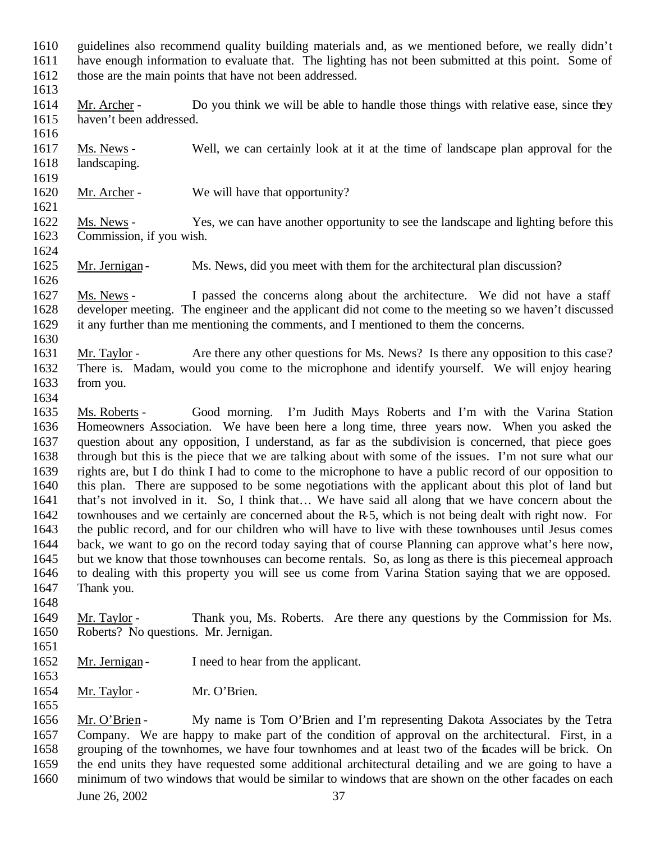- guidelines also recommend quality building materials and, as we mentioned before, we really didn't have enough information to evaluate that. The lighting has not been submitted at this point. Some of
- 1612 those are the main points that have not been addressed.
- 

- 1614 Mr. Archer Do you think we will be able to handle those things with relative ease, since they haven't been addressed.
- Ms. News - Well, we can certainly look at it at the time of landscape plan approval for the landscaping.
- 1620 Mr. Archer - We will have that opportunity?
- Ms. News Yes, we can have another opportunity to see the landscape and lighting before this Commission, if you wish.
- 1625 Mr. Jernigan Ms. News, did you meet with them for the architectural plan discussion?
- Ms. News I passed the concerns along about the architecture. We did not have a staff developer meeting. The engineer and the applicant did not come to the meeting so we haven't discussed it any further than me mentioning the comments, and I mentioned to them the concerns.
- 1631 Mr. Taylor - Are there any other questions for Ms. News? Is there any opposition to this case? There is. Madam, would you come to the microphone and identify yourself. We will enjoy hearing from you.
- 
- Ms. Roberts Good morning. I'm Judith Mays Roberts and I'm with the Varina Station Homeowners Association. We have been here a long time, three years now. When you asked the question about any opposition, I understand, as far as the subdivision is concerned, that piece goes through but this is the piece that we are talking about with some of the issues. I'm not sure what our rights are, but I do think I had to come to the microphone to have a public record of our opposition to this plan. There are supposed to be some negotiations with the applicant about this plot of land but that's not involved in it. So, I think that… We have said all along that we have concern about the townhouses and we certainly are concerned about the R-5, which is not being dealt with right now. For the public record, and for our children who will have to live with these townhouses until Jesus comes back, we want to go on the record today saying that of course Planning can approve what's here now, but we know that those townhouses can become rentals. So, as long as there is this piecemeal approach to dealing with this property you will see us come from Varina Station saying that we are opposed. Thank you.
- Mr. Taylor Thank you, Ms. Roberts. Are there any questions by the Commission for Ms. Roberts? No questions. Mr. Jernigan.
- 
- 1652 Mr. Jernigan I need to hear from the applicant.
- 
- 1654 Mr. Taylor Mr. O'Brien.
- 
- 
- Mr. O'Brien My name is Tom O'Brien and I'm representing Dakota Associates by the Tetra Company. We are happy to make part of the condition of approval on the architectural. First, in a grouping of the townhomes, we have four townhomes and at least two of the facades will be brick. On the end units they have requested some additional architectural detailing and we are going to have a minimum of two windows that would be similar to windows that are shown on the other facades on each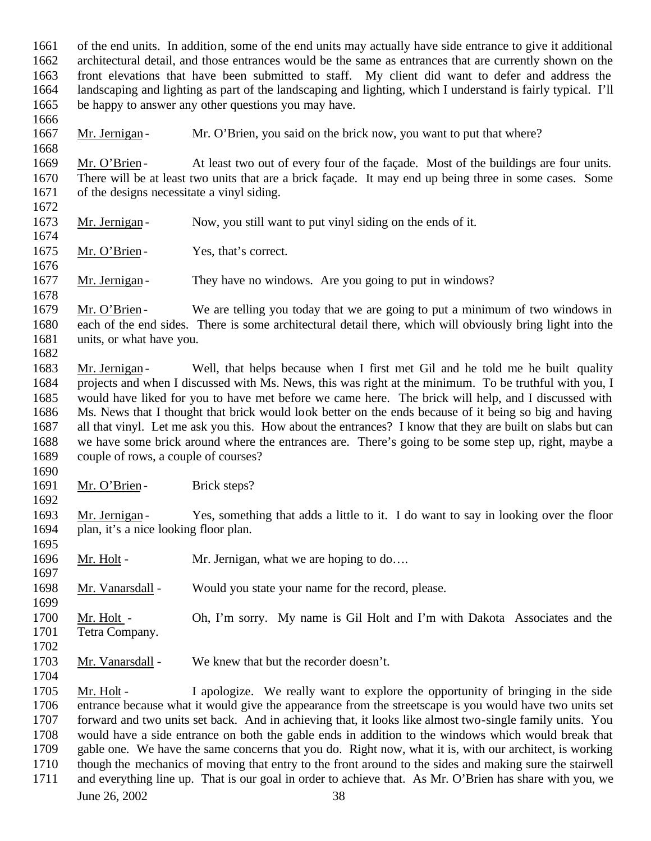of the end units. In addition, some of the end units may actually have side entrance to give it additional architectural detail, and those entrances would be the same as entrances that are currently shown on the front elevations that have been submitted to staff. My client did want to defer and address the landscaping and lighting as part of the landscaping and lighting, which I understand is fairly typical. I'll be happy to answer any other questions you may have. 

1667 Mr. Jernigan - Mr. O'Brien, you said on the brick now, you want to put that where?

1669 Mr. O'Brien - At least two out of every four of the façade. Most of the buildings are four units. There will be at least two units that are a brick façade. It may end up being three in some cases. Some of the designs necessitate a vinyl siding. 

1673 Mr. Jernigan - Now, you still want to put vinyl siding on the ends of it.

1675 Mr. O'Brien - Yes, that's correct.

1677 Mr. Jernigan - They have no windows. Are you going to put in windows?

1679 Mr. O'Brien - We are telling you today that we are going to put a minimum of two windows in each of the end sides. There is some architectural detail there, which will obviously bring light into the units, or what have you.

1683 Mr. Jernigan - Well, that helps because when I first met Gil and he told me he built quality projects and when I discussed with Ms. News, this was right at the minimum. To be truthful with you, I would have liked for you to have met before we came here. The brick will help, and I discussed with Ms. News that I thought that brick would look better on the ends because of it being so big and having all that vinyl. Let me ask you this. How about the entrances? I know that they are built on slabs but can we have some brick around where the entrances are. There's going to be some step up, right, maybe a couple of rows, a couple of courses?

1691 Mr. O'Brien - Brick steps?

1693 Mr. Jernigan - Yes, something that adds a little to it. I do want to say in looking over the floor plan, it's a nice looking floor plan.

1696 Mr. Holt - Mr. Jernigan, what we are hoping to do....

Mr. Vanarsdall - Would you state your name for the record, please.

 Mr. Holt - Oh, I'm sorry. My name is Gil Holt and I'm with Dakota Associates and the Tetra Company. 

Mr. Vanarsdall - We knew that but the recorder doesn't.

1705 Mr. Holt - I apologize. We really want to explore the opportunity of bringing in the side entrance because what it would give the appearance from the streetscape is you would have two units set forward and two units set back. And in achieving that, it looks like almost two-single family units. You would have a side entrance on both the gable ends in addition to the windows which would break that gable one. We have the same concerns that you do. Right now, what it is, with our architect, is working though the mechanics of moving that entry to the front around to the sides and making sure the stairwell and everything line up. That is our goal in order to achieve that. As Mr. O'Brien has share with you, we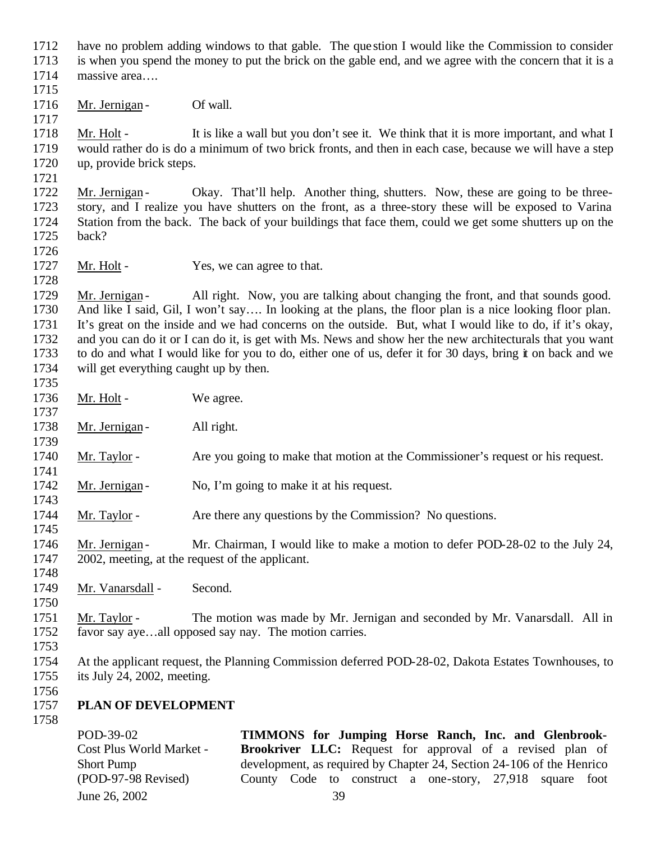- have no problem adding windows to that gable. The que stion I would like the Commission to consider
- is when you spend the money to put the brick on the gable end, and we agree with the concern that it is a massive area….
- 
- 1716 Mr. Jernigan Of wall.

1718 Mr. Holt - It is like a wall but you don't see it. We think that it is more important, and what I would rather do is do a minimum of two brick fronts, and then in each case, because we will have a step up, provide brick steps.

1722 Mr. Jernigan - Okay. That'll help. Another thing, shutters. Now, these are going to be three- story, and I realize you have shutters on the front, as a three-story these will be exposed to Varina Station from the back. The back of your buildings that face them, could we get some shutters up on the back?

1727 Mr. Holt - Yes, we can agree to that.

1729 Mr. Jernigan - All right. Now, you are talking about changing the front, and that sounds good. And like I said, Gil, I won't say…. In looking at the plans, the floor plan is a nice looking floor plan. It's great on the inside and we had concerns on the outside. But, what I would like to do, if it's okay, and you can do it or I can do it, is get with Ms. News and show her the new architecturals that you want to do and what I would like for you to do, either one of us, defer it for 30 days, bring it on back and we will get everything caught up by then. 

- 1736 Mr. Holt We agree.
- 1738 Mr. Jernigan All right.
- 1740 Mr. Taylor Are you going to make that motion at the Commissioner's request or his request.
- 1742 Mr. Jernigan No, I'm going to make it at his request.
- 1744 Mr. Taylor Are there any questions by the Commission? No questions.
- 1746 Mr. Jernigan Mr. Chairman, I would like to make a motion to defer POD-28-02 to the July 24, 2002, meeting, at the request of the applicant.
- 1749 Mr. Vanarsdall Second.
- Mr. Taylor The motion was made by Mr. Jernigan and seconded by Mr. Vanarsdall. All in favor say aye…all opposed say nay. The motion carries.
- 
- At the applicant request, the Planning Commission deferred POD-28-02, Dakota Estates Townhouses, to its July 24, 2002, meeting.
- 

## **PLAN OF DEVELOPMENT**

June 26, 2002 39 POD-39-02 Cost Plus World Market - Short Pump (POD-97-98 Revised) **TIMMONS for Jumping Horse Ranch, Inc. and Glenbrook-Brookriver LLC:** Request for approval of a revised plan of development, as required by Chapter 24, Section 24-106 of the Henrico County Code to construct a one-story, 27,918 square foot  $r_{\rm r}$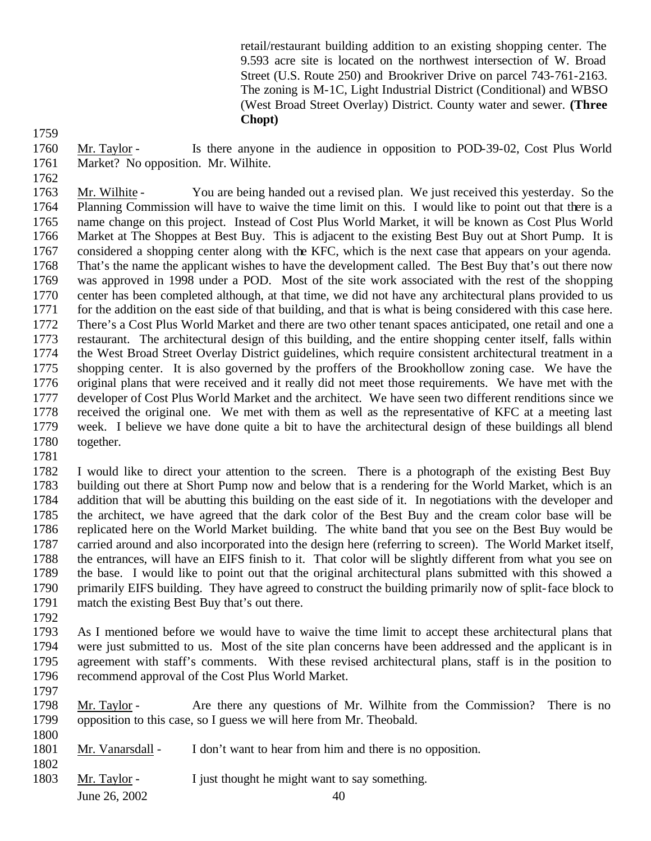retail/restaurant building addition to an existing shopping center. The 9.593 acre site is located on the northwest intersection of W. Broad Street (U.S. Route 250) and Brookriver Drive on parcel 743-761-2163. The zoning is M-1C, Light Industrial District (Conditional) and WBSO (West Broad Street Overlay) District. County water and sewer. **(Three Chopt)**

 Mr. Taylor - Is there anyone in the audience in opposition to POD-39-02, Cost Plus World Market? No opposition. Mr. Wilhite.

 Mr. Wilhite - You are being handed out a revised plan. We just received this yesterday. So the Planning Commission will have to waive the time limit on this. I would like to point out that there is a name change on this project. Instead of Cost Plus World Market, it will be known as Cost Plus World Market at The Shoppes at Best Buy. This is adjacent to the existing Best Buy out at Short Pump. It is considered a shopping center along with the KFC, which is the next case that appears on your agenda. That's the name the applicant wishes to have the development called. The Best Buy that's out there now was approved in 1998 under a POD. Most of the site work associated with the rest of the shopping center has been completed although, at that time, we did not have any architectural plans provided to us 1771 for the addition on the east side of that building, and that is what is being considered with this case here. There's a Cost Plus World Market and there are two other tenant spaces anticipated, one retail and one a restaurant. The architectural design of this building, and the entire shopping center itself, falls within the West Broad Street Overlay District guidelines, which require consistent architectural treatment in a shopping center. It is also governed by the proffers of the Brookhollow zoning case. We have the original plans that were received and it really did not meet those requirements. We have met with the developer of Cost Plus World Market and the architect. We have seen two different renditions since we received the original one. We met with them as well as the representative of KFC at a meeting last week. I believe we have done quite a bit to have the architectural design of these buildings all blend together.

 I would like to direct your attention to the screen. There is a photograph of the existing Best Buy building out there at Short Pump now and below that is a rendering for the World Market, which is an addition that will be abutting this building on the east side of it. In negotiations with the developer and the architect, we have agreed that the dark color of the Best Buy and the cream color base will be replicated here on the World Market building. The white band that you see on the Best Buy would be carried around and also incorporated into the design here (referring to screen). The World Market itself, the entrances, will have an EIFS finish to it. That color will be slightly different from what you see on the base. I would like to point out that the original architectural plans submitted with this showed a primarily EIFS building. They have agreed to construct the building primarily now of split-face block to match the existing Best Buy that's out there.

 As I mentioned before we would have to waive the time limit to accept these architectural plans that were just submitted to us. Most of the site plan concerns have been addressed and the applicant is in agreement with staff's comments. With these revised architectural plans, staff is in the position to recommend approval of the Cost Plus World Market. 

- Mr. Taylor Are there any questions of Mr. Wilhite from the Commission? There is no opposition to this case, so I guess we will here from Mr. Theobald.
- Mr. Vanarsdall I don't want to hear from him and there is no opposition.
- 

1803 Mr. Taylor - I just thought he might want to say something.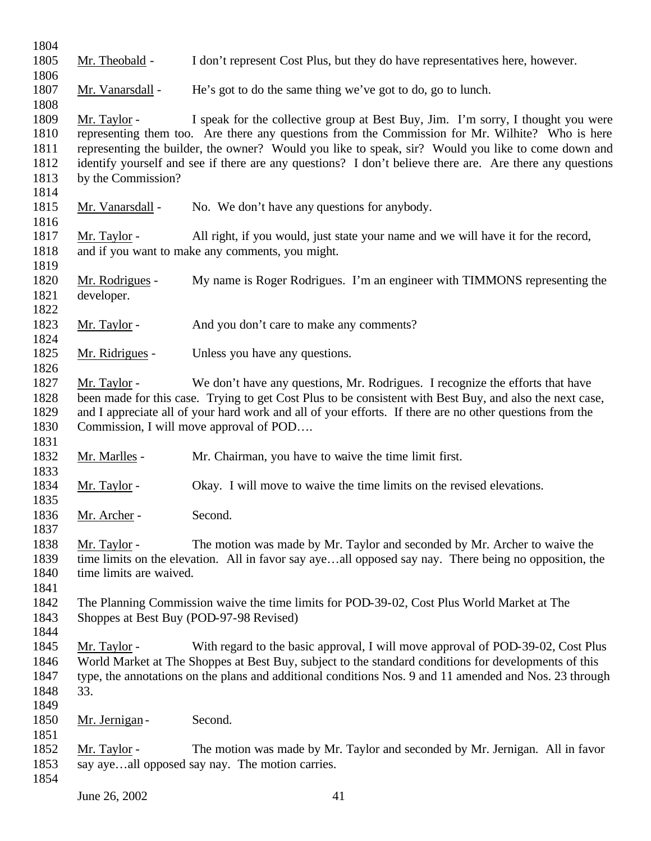Mr. Theobald - I don't represent Cost Plus, but they do have representatives here, however. 1806<br>1807 Mr. Vanarsdall - He's got to do the same thing we've got to do, go to lunch. Mr. Taylor - I speak for the collective group at Best Buy, Jim. I'm sorry, I thought you were representing them too. Are there any questions from the Commission for Mr. Wilhite? Who is here representing the builder, the owner? Would you like to speak, sir? Would you like to come down and identify yourself and see if there are any questions? I don't believe there are. Are there any questions by the Commission? 1815 Mr. Vanarsdall - No. We don't have any questions for anybody. Mr. Taylor - All right, if you would, just state your name and we will have it for the record, and if you want to make any comments, you might. Mr. Rodrigues - My name is Roger Rodrigues. I'm an engineer with TIMMONS representing the developer. 1823 Mr. Taylor - And you don't care to make any comments? Mr. Ridrigues - Unless you have any questions. Mr. Taylor - We don't have any questions, Mr. Rodrigues. I recognize the efforts that have been made for this case. Trying to get Cost Plus to be consistent with Best Buy, and also the next case, and I appreciate all of your hard work and all of your efforts. If there are no other questions from the Commission, I will move approval of POD…. Mr. Marlles - Mr. Chairman, you have to waive the time limit first. 1834 Mr. Taylor - Okay. I will move to waive the time limits on the revised elevations. Mr. Archer - Second. Mr. Taylor - The motion was made by Mr. Taylor and seconded by Mr. Archer to waive the time limits on the elevation. All in favor say aye…all opposed say nay. There being no opposition, the 1840 time limits are waived. The Planning Commission waive the time limits for POD-39-02, Cost Plus World Market at The Shoppes at Best Buy (POD-97-98 Revised) Mr. Taylor - With regard to the basic approval, I will move approval of POD-39-02, Cost Plus World Market at The Shoppes at Best Buy, subject to the standard conditions for developments of this type, the annotations on the plans and additional conditions Nos. 9 and 11 amended and Nos. 23 through 33. 1850 Mr. Jernigan - Second. Mr. Taylor - The motion was made by Mr. Taylor and seconded by Mr. Jernigan. All in favor 1853 say aye…all opposed say nay. The motion carries.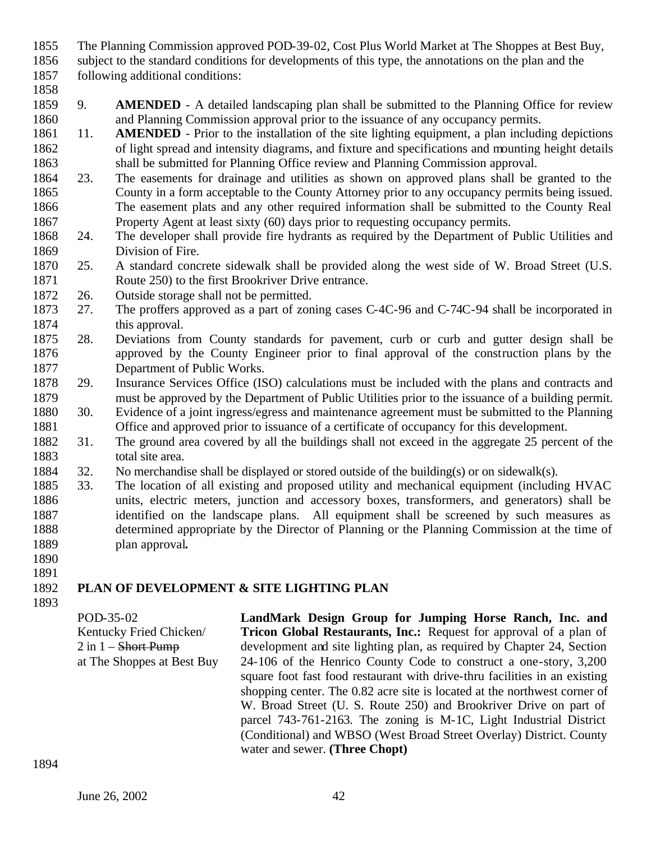- The Planning Commission approved POD-39-02, Cost Plus World Market at The Shoppes at Best Buy,
- subject to the standard conditions for developments of this type, the annotations on the plan and the
- following additional conditions:
- 9. **AMENDED** A detailed landscaping plan shall be submitted to the Planning Office for review and Planning Commission approval prior to the issuance of any occupancy permits.
- 11. **AMENDED** Prior to the installation of the site lighting equipment, a plan including depictions of light spread and intensity diagrams, and fixture and specifications and mounting height details shall be submitted for Planning Office review and Planning Commission approval.
- 23. The easements for drainage and utilities as shown on approved plans shall be granted to the County in a form acceptable to the County Attorney prior to any occupancy permits being issued. The easement plats and any other required information shall be submitted to the County Real
- 1867 Property Agent at least sixty (60) days prior to requesting occupancy permits.<br>1868 24. The developer shall provide fire hydrants as required by the Department of 24. The developer shall provide fire hydrants as required by the Department of Public Utilities and Division of Fire.
- 25. A standard concrete sidewalk shall be provided along the west side of W. Broad Street (U.S. Route 250) to the first Brookriver Drive entrance.
- 26. Outside storage shall not be permitted.
- 27. The proffers approved as a part of zoning cases C-4C-96 and C-74C-94 shall be incorporated in this approval.
- 28. Deviations from County standards for pavement, curb or curb and gutter design shall be approved by the County Engineer prior to final approval of the construction plans by the Department of Public Works.
- 29. Insurance Services Office (ISO) calculations must be included with the plans and contracts and must be approved by the Department of Public Utilities prior to the issuance of a building permit.
- 30. Evidence of a joint ingress/egress and maintenance agreement must be submitted to the Planning Office and approved prior to issuance of a certificate of occupancy for this development.
- 31. The ground area covered by all the buildings shall not exceed in the aggregate 25 percent of the 1883 total site area.
- 32. No merchandise shall be displayed or stored outside of the building(s) or on sidewalk(s).
- 33. The location of all existing and proposed utility and mechanical equipment (including HVAC units, electric meters, junction and accessory boxes, transformers, and generators) shall be identified on the landscape plans. All equipment shall be screened by such measures as determined appropriate by the Director of Planning or the Planning Commission at the time of plan approval**.**
- 

## **PLAN OF DEVELOPMENT & SITE LIGHTING PLAN**

| POD-35-02                      | LandMark Design Group for Jumping Horse Ranch, Inc. and                    |
|--------------------------------|----------------------------------------------------------------------------|
| Kentucky Fried Chicken/        | <b>Tricon Global Restaurants, Inc.:</b> Request for approval of a plan of  |
| 2 in 1 – <del>Short Pump</del> | development and site lighting plan, as required by Chapter 24, Section     |
| at The Shoppes at Best Buy     | 24-106 of the Henrico County Code to construct a one-story, 3,200          |
|                                | square foot fast food restaurant with drive-thru facilities in an existing |
|                                | shopping center. The 0.82 acre site is located at the northwest corner of  |
|                                | W. Broad Street (U. S. Route 250) and Brookriver Drive on part of          |
|                                | parcel 743-761-2163. The zoning is M-1C, Light Industrial District         |
|                                | (Conditional) and WBSO (West Broad Street Overlay) District. County        |
|                                | water and sewer. (Three Chopt)                                             |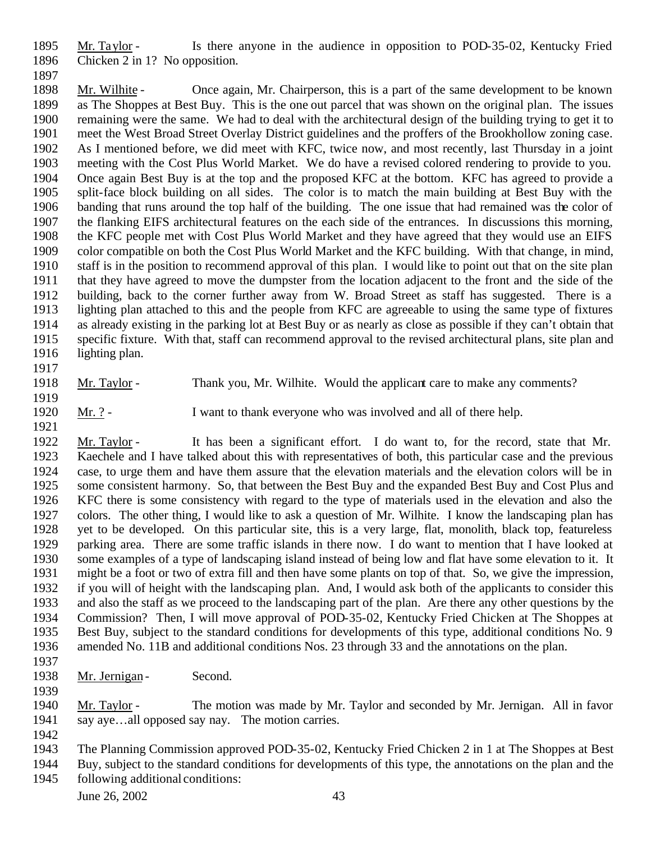Mr. Taylor - Is there anyone in the audience in opposition to POD-35-02, Kentucky Fried Chicken 2 in 1? No opposition.

 Mr. Wilhite - Once again, Mr. Chairperson, this is a part of the same development to be known as The Shoppes at Best Buy. This is the one out parcel that was shown on the original plan. The issues remaining were the same. We had to deal with the architectural design of the building trying to get it to meet the West Broad Street Overlay District guidelines and the proffers of the Brookhollow zoning case. As I mentioned before, we did meet with KFC, twice now, and most recently, last Thursday in a joint meeting with the Cost Plus World Market. We do have a revised colored rendering to provide to you. Once again Best Buy is at the top and the proposed KFC at the bottom. KFC has agreed to provide a split-face block building on all sides. The color is to match the main building at Best Buy with the banding that runs around the top half of the building. The one issue that had remained was the color of the flanking EIFS architectural features on the each side of the entrances. In discussions this morning, the KFC people met with Cost Plus World Market and they have agreed that they would use an EIFS color compatible on both the Cost Plus World Market and the KFC building. With that change, in mind, staff is in the position to recommend approval of this plan. I would like to point out that on the site plan that they have agreed to move the dumpster from the location adjacent to the front and the side of the building, back to the corner further away from W. Broad Street as staff has suggested. There is a lighting plan attached to this and the people from KFC are agreeable to using the same type of fixtures as already existing in the parking lot at Best Buy or as nearly as close as possible if they can't obtain that specific fixture. With that, staff can recommend approval to the revised architectural plans, site plan and lighting plan.

 Mr. Taylor - Thank you, Mr. Wilhite. Would the applicant care to make any comments? 

- Mr. ? I want to thank everyone who was involved and all of there help.
- Mr. Taylor It has been a significant effort. I do want to, for the record, state that Mr. Kaechele and I have talked about this with representatives of both, this particular case and the previous case, to urge them and have them assure that the elevation materials and the elevation colors will be in some consistent harmony. So, that between the Best Buy and the expanded Best Buy and Cost Plus and KFC there is some consistency with regard to the type of materials used in the elevation and also the colors. The other thing, I would like to ask a question of Mr. Wilhite. I know the landscaping plan has yet to be developed. On this particular site, this is a very large, flat, monolith, black top, featureless parking area. There are some traffic islands in there now. I do want to mention that I have looked at some examples of a type of landscaping island instead of being low and flat have some elevation to it. It might be a foot or two of extra fill and then have some plants on top of that. So, we give the impression, if you will of height with the landscaping plan. And, I would ask both of the applicants to consider this and also the staff as we proceed to the landscaping part of the plan. Are there any other questions by the Commission? Then, I will move approval of POD-35-02, Kentucky Fried Chicken at The Shoppes at Best Buy, subject to the standard conditions for developments of this type, additional conditions No. 9 amended No. 11B and additional conditions Nos. 23 through 33 and the annotations on the plan.
- 
- 1938 Mr. Jernigan Second.

 Mr. Taylor - The motion was made by Mr. Taylor and seconded by Mr. Jernigan. All in favor say aye…all opposed say nay. The motion carries.

The Planning Commission approved POD-35-02, Kentucky Fried Chicken 2 in 1 at The Shoppes at Best

 Buy, subject to the standard conditions for developments of this type, the annotations on the plan and the following additional conditions: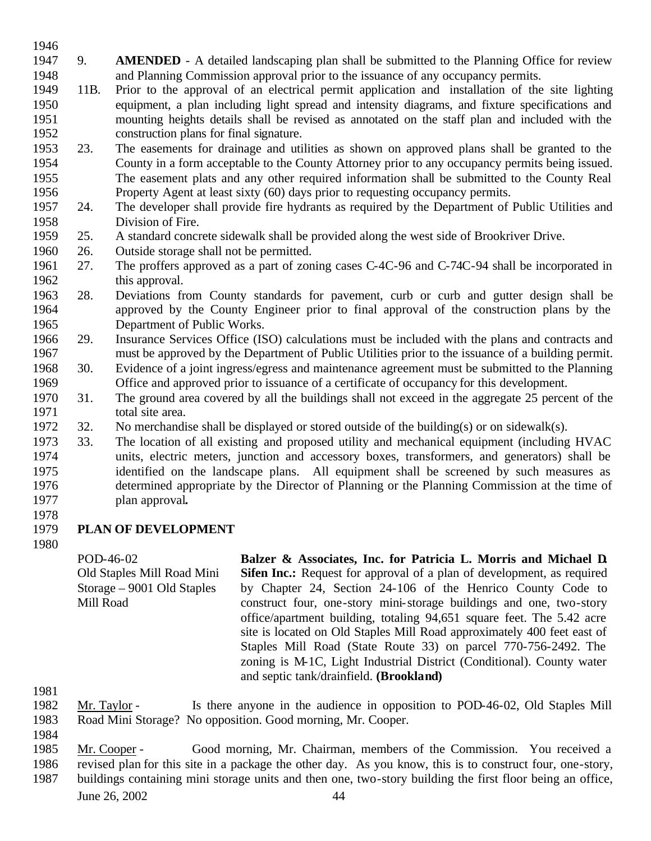- 9. **AMENDED** - A detailed landscaping plan shall be submitted to the Planning Office for review and Planning Commission approval prior to the issuance of any occupancy permits.
- 11B. Prior to the approval of an electrical permit application and installation of the site lighting equipment, a plan including light spread and intensity diagrams, and fixture specifications and mounting heights details shall be revised as annotated on the staff plan and included with the construction plans for final signature.
- 23. The easements for drainage and utilities as shown on approved plans shall be granted to the County in a form acceptable to the County Attorney prior to any occupancy permits being issued. The easement plats and any other required information shall be submitted to the County Real 1956 Property Agent at least sixty (60) days prior to requesting occupancy permits.<br>1957 24. The developer shall provide fire hydrants as required by the Department of
- 24. The developer shall provide fire hydrants as required by the Department of Public Utilities and Division of Fire.
- 25. A standard concrete sidewalk shall be provided along the west side of Brookriver Drive.
- 26. Outside storage shall not be permitted.
- 27. The proffers approved as a part of zoning cases C-4C-96 and C-74C-94 shall be incorporated in 1962 this approval.
- 28. Deviations from County standards for pavement, curb or curb and gutter design shall be approved by the County Engineer prior to final approval of the construction plans by the Department of Public Works.
- 29. Insurance Services Office (ISO) calculations must be included with the plans and contracts and must be approved by the Department of Public Utilities prior to the issuance of a building permit.
- 30. Evidence of a joint ingress/egress and maintenance agreement must be submitted to the Planning Office and approved prior to issuance of a certificate of occupancy for this development.
- 31. The ground area covered by all the buildings shall not exceed in the aggregate 25 percent of the total site area.
- 32. No merchandise shall be displayed or stored outside of the building(s) or on sidewalk(s).
- 33. The location of all existing and proposed utility and mechanical equipment (including HVAC units, electric meters, junction and accessory boxes, transformers, and generators) shall be identified on the landscape plans. All equipment shall be screened by such measures as determined appropriate by the Director of Planning or the Planning Commission at the time of plan approval**.**
- 

## **PLAN OF DEVELOPMENT**

POD-46-02 Old Staples Mill Road Mini Storage – 9001 Old Staples Mill Road **Balzer & Associates, Inc. for Patricia L. Morris and Michael D. Sifen Inc.:** Request for approval of a plan of development, as required by Chapter 24, Section 24-106 of the Henrico County Code to construct four, one-story mini-storage buildings and one, two-story office/apartment building, totaling 94,651 square feet. The 5.42 acre site is located on Old Staples Mill Road approximately 400 feet east of Staples Mill Road (State Route 33) on parcel 770-756-2492. The zoning is M-1C, Light Industrial District (Conditional). County water and septic tank/drainfield. **(Brookland)**

- Mr. Taylor Is there anyone in the audience in opposition to POD-46-02, Old Staples Mill Road Mini Storage? No opposition. Good morning, Mr. Cooper.
- 
- Mr. Cooper Good morning, Mr. Chairman, members of the Commission. You received a revised plan for this site in a package the other day. As you know, this is to construct four, one-story,
- June 26, 2002 44 buildings containing mini storage units and then one, two-story building the first floor being an office,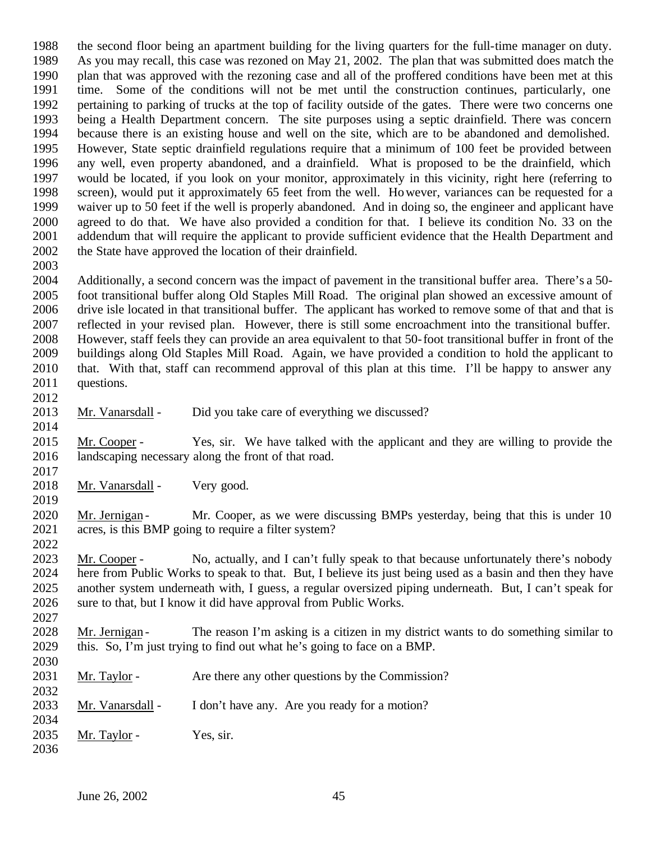the second floor being an apartment building for the living quarters for the full-time manager on duty. As you may recall, this case was rezoned on May 21, 2002. The plan that was submitted does match the plan that was approved with the rezoning case and all of the proffered conditions have been met at this time. Some of the conditions will not be met until the construction continues, particularly, one pertaining to parking of trucks at the top of facility outside of the gates. There were two concerns one being a Health Department concern. The site purposes using a septic drainfield. There was concern because there is an existing house and well on the site, which are to be abandoned and demolished. However, State septic drainfield regulations require that a minimum of 100 feet be provided between any well, even property abandoned, and a drainfield. What is proposed to be the drainfield, which would be located, if you look on your monitor, approximately in this vicinity, right here (referring to screen), would put it approximately 65 feet from the well. However, variances can be requested for a waiver up to 50 feet if the well is properly abandoned. And in doing so, the engineer and applicant have agreed to do that. We have also provided a condition for that. I believe its condition No. 33 on the addendum that will require the applicant to provide sufficient evidence that the Health Department and 2002 the State have approved the location of their drainfield.

 Additionally, a second concern was the impact of pavement in the transitional buffer area. There's a 50- foot transitional buffer along Old Staples Mill Road. The original plan showed an excessive amount of drive isle located in that transitional buffer. The applicant has worked to remove some of that and that is reflected in your revised plan. However, there is still some encroachment into the transitional buffer. However, staff feels they can provide an area equivalent to that 50-foot transitional buffer in front of the buildings along Old Staples Mill Road. Again, we have provided a condition to hold the applicant to that. With that, staff can recommend approval of this plan at this time. I'll be happy to answer any questions.

- Mr. Vanarsdall Did you take care of everything we discussed?
- Mr. Cooper Yes, sir. We have talked with the applicant and they are willing to provide the landscaping necessary along the front of that road.
- 2018 Mr. Vanarsdall Very good.
- 2020 Mr. Jernigan Mr. Cooper, as we were discussing BMPs yesterday, being that this is under 10 acres, is this BMP going to require a filter system?

 Mr. Cooper - No, actually, and I can't fully speak to that because unfortunately there's nobody here from Public Works to speak to that. But, I believe its just being used as a basin and then they have another system underneath with, I guess, a regular oversized piping underneath. But, I can't speak for sure to that, but I know it did have approval from Public Works.

2028 Mr. Jernigan - The reason I'm asking is a citizen in my district wants to do something similar to this. So, I'm just trying to find out what he's going to face on a BMP.

| 2030 |                  |                                                  |
|------|------------------|--------------------------------------------------|
| 2031 | Mr. Taylor -     | Are there any other questions by the Commission? |
| 2032 |                  |                                                  |
| 2033 | Mr. Vanarsdall - | I don't have any. Are you ready for a motion?    |
| 2034 |                  |                                                  |
| 2035 | Mr. Taylor -     | Yes, sir.                                        |
| 2036 |                  |                                                  |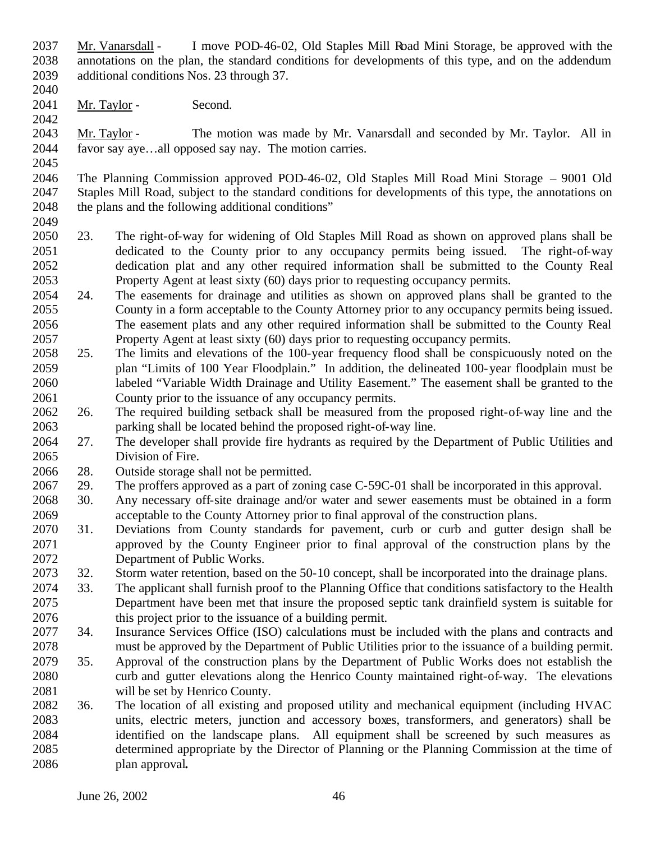- Mr. Vanarsdall I move POD-46-02, Old Staples Mill Road Mini Storage, be approved with the annotations on the plan, the standard conditions for developments of this type, and on the addendum additional conditions Nos. 23 through 37.
- 

2041 Mr. Taylor - Second.

 Mr. Taylor - The motion was made by Mr. Vanarsdall and seconded by Mr. Taylor. All in favor say aye…all opposed say nay. The motion carries.

 The Planning Commission approved POD-46-02, Old Staples Mill Road Mini Storage – 9001 Old Staples Mill Road, subject to the standard conditions for developments of this type, the annotations on 2048 the plans and the following additional conditions"

- 23. The right-of-way for widening of Old Staples Mill Road as shown on approved plans shall be dedicated to the County prior to any occupancy permits being issued. The right-of-way dedication plat and any other required information shall be submitted to the County Real Property Agent at least sixty (60) days prior to requesting occupancy permits.
- 24. The easements for drainage and utilities as shown on approved plans shall be granted to the County in a form acceptable to the County Attorney prior to any occupancy permits being issued. The easement plats and any other required information shall be submitted to the County Real Property Agent at least sixty (60) days prior to requesting occupancy permits.
- 25. The limits and elevations of the 100-year frequency flood shall be conspicuously noted on the plan "Limits of 100 Year Floodplain." In addition, the delineated 100-year floodplain must be labeled "Variable Width Drainage and Utility Easement." The easement shall be granted to the County prior to the issuance of any occupancy permits.
- 26. The required building setback shall be measured from the proposed right-of-way line and the parking shall be located behind the proposed right-of-way line.
- 27. The developer shall provide fire hydrants as required by the Department of Public Utilities and Division of Fire.

28. Outside storage shall not be permitted.

- 29. The proffers approved as a part of zoning case C-59C-01 shall be incorporated in this approval.
- 30. Any necessary off-site drainage and/or water and sewer easements must be obtained in a form acceptable to the County Attorney prior to final approval of the construction plans.
- 31. Deviations from County standards for pavement, curb or curb and gutter design shall be approved by the County Engineer prior to final approval of the construction plans by the Department of Public Works.
- 32. Storm water retention, based on the 50-10 concept, shall be incorporated into the drainage plans.
- 33. The applicant shall furnish proof to the Planning Office that conditions satisfactory to the Health Department have been met that insure the proposed septic tank drainfield system is suitable for this project prior to the issuance of a building permit.
- 34. Insurance Services Office (ISO) calculations must be included with the plans and contracts and must be approved by the Department of Public Utilities prior to the issuance of a building permit.
- 35. Approval of the construction plans by the Department of Public Works does not establish the curb and gutter elevations along the Henrico County maintained right-of-way. The elevations will be set by Henrico County.
- 36. The location of all existing and proposed utility and mechanical equipment (including HVAC units, electric meters, junction and accessory boxes, transformers, and generators) shall be identified on the landscape plans. All equipment shall be screened by such measures as determined appropriate by the Director of Planning or the Planning Commission at the time of plan approval**.**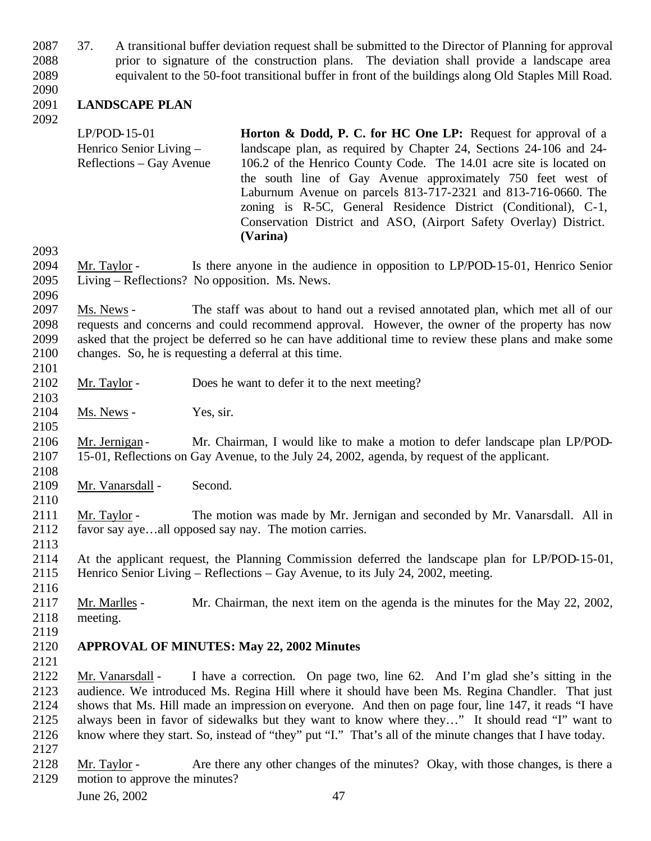37. A transitional buffer deviation request shall be submitted to the Director of Planning for approval prior to signature of the construction plans. The deviation shall provide a landscape area equivalent to the 50-foot transitional buffer in front of the buildings along Old Staples Mill Road.

# 

#### **LANDSCAPE PLAN**

LP/POD-15-01 Henrico Senior Living – Reflections – Gay Avenue **Horton & Dodd, P. C. for HC One LP:** Request for approval of a landscape plan, as required by Chapter 24, Sections 24-106 and 24- 106.2 of the Henrico County Code. The 14.01 acre site is located on the south line of Gay Avenue approximately 750 feet west of Laburnum Avenue on parcels 813-717-2321 and 813-716-0660. The zoning is R-5C, General Residence District (Conditional), C-1, Conservation District and ASO, (Airport Safety Overlay) District. **(Varina)**

 Mr. Taylor - Is there anyone in the audience in opposition to LP/POD-15-01, Henrico Senior Living – Reflections? No opposition. Ms. News.

 Ms. News - The staff was about to hand out a revised annotated plan, which met all of our requests and concerns and could recommend approval. However, the owner of the property has now asked that the project be deferred so he can have additional time to review these plans and make some changes. So, he is requesting a deferral at this time.

- 2102 Mr. Taylor Does he want to defer it to the next meeting?
- 2104 Ms. News Yes, sir.

2106 Mr. Jernigan - Mr. Chairman, I would like to make a motion to defer landscape plan LP/POD-15-01, Reflections on Gay Avenue, to the July 24, 2002, agenda, by request of the applicant.

- Mr. Vanarsdall Second.
- Mr. Taylor The motion was made by Mr. Jernigan and seconded by Mr. Vanarsdall. All in favor say aye…all opposed say nay. The motion carries.
- At the applicant request, the Planning Commission deferred the landscape plan for LP/POD-15-01, Henrico Senior Living – Reflections – Gay Avenue, to its July 24, 2002, meeting.
- 

 Mr. Marlles - Mr. Chairman, the next item on the agenda is the minutes for the May 22, 2002, meeting.

## **APPROVAL OF MINUTES: May 22, 2002 Minutes**

 Mr. Vanarsdall - I have a correction. On page two, line 62. And I'm glad she's sitting in the audience. We introduced Ms. Regina Hill where it should have been Ms. Regina Chandler. That just shows that Ms. Hill made an impression on everyone. And then on page four, line 147, it reads "I have always been in favor of sidewalks but they want to know where they…" It should read "I" want to know where they start. So, instead of "they" put "I." That's all of the minute changes that I have today. 

 Mr. Taylor - Are there any other changes of the minutes? Okay, with those changes, is there a motion to approve the minutes?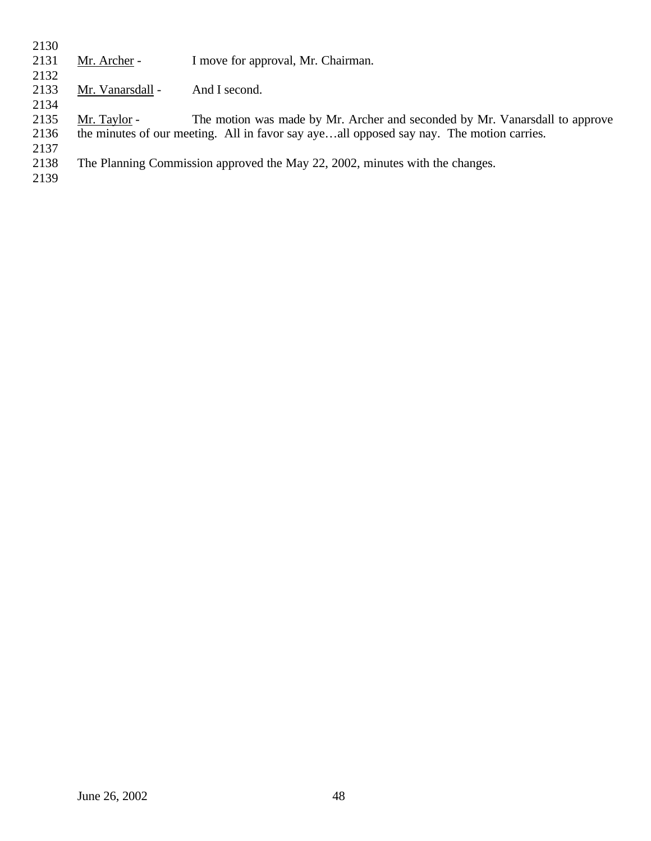| 2130 |                                                                                          |                                                                             |
|------|------------------------------------------------------------------------------------------|-----------------------------------------------------------------------------|
| 2131 | Mr. Archer -                                                                             | I move for approval, Mr. Chairman.                                          |
| 2132 |                                                                                          |                                                                             |
| 2133 | Mr. Vanarsdall -                                                                         | And I second.                                                               |
| 2134 |                                                                                          |                                                                             |
| 2135 | Mr. Taylor -                                                                             | The motion was made by Mr. Archer and seconded by Mr. Vanarsdall to approve |
| 2136 | the minutes of our meeting. All in favor say ayeall opposed say nay. The motion carries. |                                                                             |
| 2137 |                                                                                          |                                                                             |
| 2138 | The Planning Commission approved the May 22, 2002, minutes with the changes.             |                                                                             |
| 2139 |                                                                                          |                                                                             |
|      |                                                                                          |                                                                             |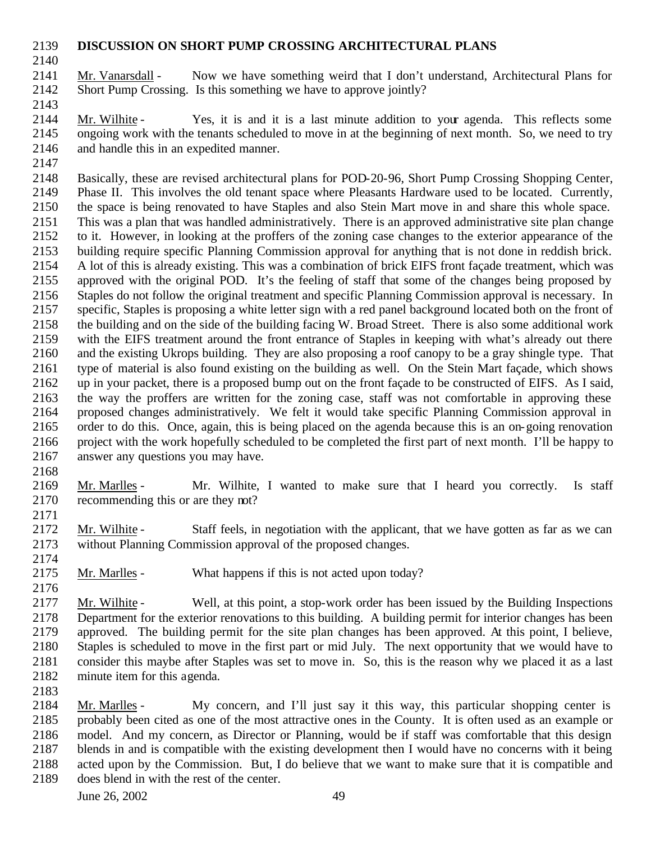## **DISCUSSION ON SHORT PUMP CROSSING ARCHITECTURAL PLANS**

 Mr. Vanarsdall - Now we have something weird that I don't understand, Architectural Plans for Short Pump Crossing. Is this something we have to approve jointly?

 Mr. Wilhite - Yes, it is and it is a last minute addition to your agenda. This reflects some ongoing work with the tenants scheduled to move in at the beginning of next month. So, we need to try and handle this in an expedited manner.

 Basically, these are revised architectural plans for POD-20-96, Short Pump Crossing Shopping Center, Phase II. This involves the old tenant space where Pleasants Hardware used to be located. Currently, the space is being renovated to have Staples and also Stein Mart move in and share this whole space. This was a plan that was handled administratively. There is an approved administrative site plan change to it. However, in looking at the proffers of the zoning case changes to the exterior appearance of the building require specific Planning Commission approval for anything that is not done in reddish brick. A lot of this is already existing. This was a combination of brick EIFS front façade treatment, which was approved with the original POD. It's the feeling of staff that some of the changes being proposed by Staples do not follow the original treatment and specific Planning Commission approval is necessary. In specific, Staples is proposing a white letter sign with a red panel background located both on the front of the building and on the side of the building facing W. Broad Street. There is also some additional work with the EIFS treatment around the front entrance of Staples in keeping with what's already out there and the existing Ukrops building. They are also proposing a roof canopy to be a gray shingle type. That type of material is also found existing on the building as well. On the Stein Mart façade, which shows up in your packet, there is a proposed bump out on the front façade to be constructed of EIFS. As I said, the way the proffers are written for the zoning case, staff was not comfortable in approving these proposed changes administratively. We felt it would take specific Planning Commission approval in order to do this. Once, again, this is being placed on the agenda because this is an on-going renovation project with the work hopefully scheduled to be completed the first part of next month. I'll be happy to answer any questions you may have.

 Mr. Marlles - Mr. Wilhite, I wanted to make sure that I heard you correctly. Is staff recommending this or are they not? 

 Mr. Wilhite - Staff feels, in negotiation with the applicant, that we have gotten as far as we can without Planning Commission approval of the proposed changes.

Mr. Marlles - What happens if this is not acted upon today?

 Mr. Wilhite - Well, at this point, a stop-work order has been issued by the Building Inspections Department for the exterior renovations to this building. A building permit for interior changes has been approved. The building permit for the site plan changes has been approved. At this point, I believe, Staples is scheduled to move in the first part or mid July. The next opportunity that we would have to consider this maybe after Staples was set to move in. So, this is the reason why we placed it as a last minute item for this agenda.

 Mr. Marlles - My concern, and I'll just say it this way, this particular shopping center is probably been cited as one of the most attractive ones in the County. It is often used as an example or model. And my concern, as Director or Planning, would be if staff was comfortable that this design blends in and is compatible with the existing development then I would have no concerns with it being acted upon by the Commission. But, I do believe that we want to make sure that it is compatible and does blend in with the rest of the center.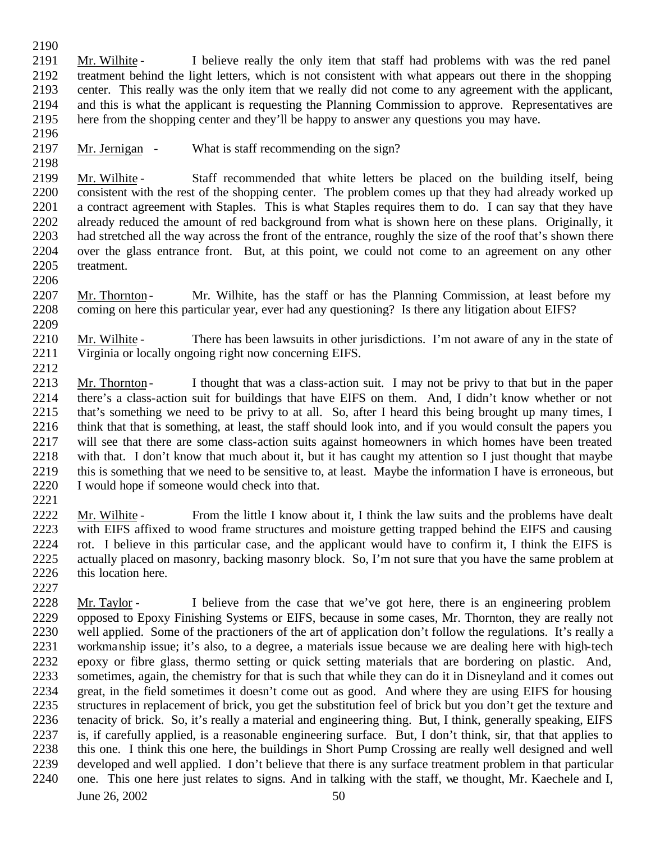Mr. Wilhite - I believe really the only item that staff had problems with was the red panel 2192 treatment behind the light letters, which is not consistent with what appears out there in the shopping<br>2193 center. This really was the only item that we really did not come to any agreement with the applicant. center. This really was the only item that we really did not come to any agreement with the applicant, and this is what the applicant is requesting the Planning Commission to approve. Representatives are here from the shopping center and they'll be happy to answer any questions you may have.

2197 Mr. Jernigan - What is staff recommending on the sign?

 Mr. Wilhite - Staff recommended that white letters be placed on the building itself, being consistent with the rest of the shopping center. The problem comes up that they had already worked up a contract agreement with Staples. This is what Staples requires them to do. I can say that they have already reduced the amount of red background from what is shown here on these plans. Originally, it had stretched all the way across the front of the entrance, roughly the size of the roof that's shown there over the glass entrance front. But, at this point, we could not come to an agreement on any other treatment.

2207 Mr. Thornton - Mr. Wilhite, has the staff or has the Planning Commission, at least before my coming on here this particular year, ever had any questioning? Is there any litigation about EIFS? 

 Mr. Wilhite - There has been lawsuits in other jurisdictions. I'm not aware of any in the state of Virginia or locally ongoing right now concerning EIFS.

 Mr. Thornton - I thought that was a class-action suit. I may not be privy to that but in the paper 2214 there's a class-action suit for buildings that have EIFS on them. And, I didn't know whether or not 2215 that's something we need to be privy to at all. So, after I heard this being brought up many times, I that's something we need to be privy to at all. So, after I heard this being brought up many times, I think that that is something, at least, the staff should look into, and if you would consult the papers you will see that there are some class-action suits against homeowners in which homes have been treated with that. I don't know that much about it, but it has caught my attention so I just thought that maybe this is something that we need to be sensitive to, at least. Maybe the information I have is erroneous, but I would hope if someone would check into that.

 Mr. Wilhite - From the little I know about it, I think the law suits and the problems have dealt with EIFS affixed to wood frame structures and moisture getting trapped behind the EIFS and causing rot. I believe in this particular case, and the applicant would have to confirm it, I think the EIFS is actually placed on masonry, backing masonry block. So, I'm not sure that you have the same problem at this location here.

 Mr. Taylor - I believe from the case that we've got here, there is an engineering problem opposed to Epoxy Finishing Systems or EIFS, because in some cases, Mr. Thornton, they are really not well applied. Some of the practioners of the art of application don't follow the regulations. It's really a workmanship issue; it's also, to a degree, a materials issue because we are dealing here with high-tech epoxy or fibre glass, thermo setting or quick setting materials that are bordering on plastic. And, sometimes, again, the chemistry for that is such that while they can do it in Disneyland and it comes out great, in the field sometimes it doesn't come out as good. And where they are using EIFS for housing structures in replacement of brick, you get the substitution feel of brick but you don't get the texture and tenacity of brick. So, it's really a material and engineering thing. But, I think, generally speaking, EIFS is, if carefully applied, is a reasonable engineering surface. But, I don't think, sir, that that applies to this one. I think this one here, the buildings in Short Pump Crossing are really well designed and well developed and well applied. I don't believe that there is any surface treatment problem in that particular one. This one here just relates to signs. And in talking with the staff, we thought, Mr. Kaechele and I,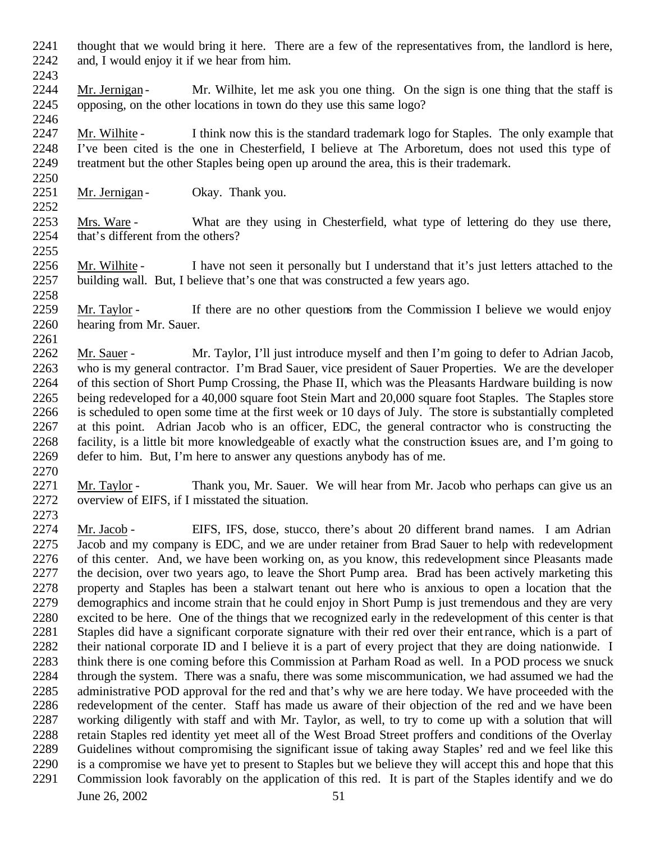- thought that we would bring it here. There are a few of the representatives from, the landlord is here, and, I would enjoy it if we hear from him.
- 2243<br>2244 Mr. Jernigan - Mr. Wilhite, let me ask you one thing. On the sign is one thing that the staff is opposing, on the other locations in town do they use this same logo?
- Mr. Wilhite I think now this is the standard trademark logo for Staples. The only example that I've been cited is the one in Chesterfield, I believe at The Arboretum, does not used this type of treatment but the other Staples being open up around the area, this is their trademark.
- 2251 Mr. Jernigan Okay. Thank you.

- Mrs. Ware What are they using in Chesterfield, what type of lettering do they use there, that's different from the others?
- Mr. Wilhite I have not seen it personally but I understand that it's just letters attached to the building wall. But, I believe that's one that was constructed a few years ago.
- 2259 Mr. Taylor If there are no other questions from the Commission I believe we would enjoy hearing from Mr. Sauer.
- Mr. Sauer Mr. Taylor, I'll just introduce myself and then I'm going to defer to Adrian Jacob, who is my general contractor. I'm Brad Sauer, vice president of Sauer Properties. We are the developer of this section of Short Pump Crossing, the Phase II, which was the Pleasants Hardware building is now being redeveloped for a 40,000 square foot Stein Mart and 20,000 square foot Staples. The Staples store is scheduled to open some time at the first week or 10 days of July. The store is substantially completed at this point. Adrian Jacob who is an officer, EDC, the general contractor who is constructing the facility, is a little bit more knowledgeable of exactly what the construction issues are, and I'm going to defer to him. But, I'm here to answer any questions anybody has of me.
- Mr. Taylor Thank you, Mr. Sauer. We will hear from Mr. Jacob who perhaps can give us an overview of EIFS, if I misstated the situation.
- Mr. Jacob - EIFS, IFS, dose, stucco, there's about 20 different brand names. I am Adrian Jacob and my company is EDC, and we are under retainer from Brad Sauer to help with redevelopment of this center. And, we have been working on, as you know, this redevelopment since Pleasants made the decision, over two years ago, to leave the Short Pump area. Brad has been actively marketing this property and Staples has been a stalwart tenant out here who is anxious to open a location that the demographics and income strain that he could enjoy in Short Pump is just tremendous and they are very excited to be here. One of the things that we recognized early in the redevelopment of this center is that Staples did have a significant corporate signature with their red over their entrance, which is a part of their national corporate ID and I believe it is a part of every project that they are doing nationwide. I think there is one coming before this Commission at Parham Road as well. In a POD process we snuck through the system. There was a snafu, there was some miscommunication, we had assumed we had the administrative POD approval for the red and that's why we are here today. We have proceeded with the redevelopment of the center. Staff has made us aware of their objection of the red and we have been working diligently with staff and with Mr. Taylor, as well, to try to come up with a solution that will retain Staples red identity yet meet all of the West Broad Street proffers and conditions of the Overlay Guidelines without compromising the significant issue of taking away Staples' red and we feel like this is a compromise we have yet to present to Staples but we believe they will accept this and hope that this Commission look favorably on the application of this red. It is part of the Staples identify and we do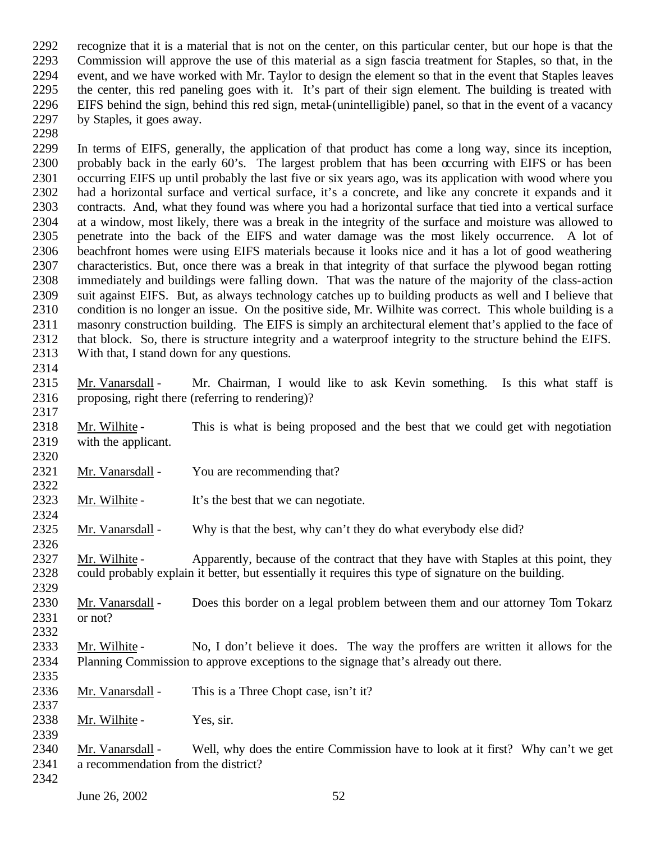recognize that it is a material that is not on the center, on this particular center, but our hope is that the Commission will approve the use of this material as a sign fascia treatment for Staples, so that, in the 2294 event, and we have worked with Mr. Taylor to design the element so that in the event that Staples leaves<br>2295 the center, this red paneling goes with it. It's part of their sign element. The building is treated with the center, this red paneling goes with it. It's part of their sign element. The building is treated with EIFS behind the sign, behind this red sign, metal-(unintelligible) panel, so that in the event of a vacancy by Staples, it goes away.

- In terms of EIFS, generally, the application of that product has come a long way, since its inception, probably back in the early 60's. The largest problem that has been occurring with EIFS or has been occurring EIFS up until probably the last five or six years ago, was its application with wood where you had a horizontal surface and vertical surface, it's a concrete, and like any concrete it expands and it contracts. And, what they found was where you had a horizontal surface that tied into a vertical surface at a window, most likely, there was a break in the integrity of the surface and moisture was allowed to penetrate into the back of the EIFS and water damage was the most likely occurrence. A lot of beachfront homes were using EIFS materials because it looks nice and it has a lot of good weathering characteristics. But, once there was a break in that integrity of that surface the plywood began rotting immediately and buildings were falling down. That was the nature of the majority of the class-action suit against EIFS. But, as always technology catches up to building products as well and I believe that condition is no longer an issue. On the positive side, Mr. Wilhite was correct. This whole building is a masonry construction building. The EIFS is simply an architectural element that's applied to the face of that block. So, there is structure integrity and a waterproof integrity to the structure behind the EIFS. With that, I stand down for any questions.
- 

- Mr. Vanarsdall Mr. Chairman, I would like to ask Kevin something. Is this what staff is proposing, right there (referring to rendering)?
- Mr. Wilhite This is what is being proposed and the best that we could get with negotiation with the applicant.
- 2321 Mr. Vanarsdall You are recommending that?
- 2323 Mr. Wilhite It's the best that we can negotiate.
- Mr. Vanarsdall Why is that the best, why can't they do what everybody else did?

 Mr. Wilhite - Apparently, because of the contract that they have with Staples at this point, they could probably explain it better, but essentially it requires this type of signature on the building.

- 2330 Mr. Vanarsdall Does this border on a legal problem between them and our attorney Tom Tokarz or not?
- 
- Mr. Wilhite No, I don't believe it does. The way the proffers are written it allows for the Planning Commission to approve exceptions to the signage that's already out there.
- Mr. Vanarsdall This is a Three Chopt case, isn't it?
- 2338 Mr. Wilhite Yes, sir.
- Mr. Vanarsdall Well, why does the entire Commission have to look at it first? Why can't we get a recommendation from the district?
-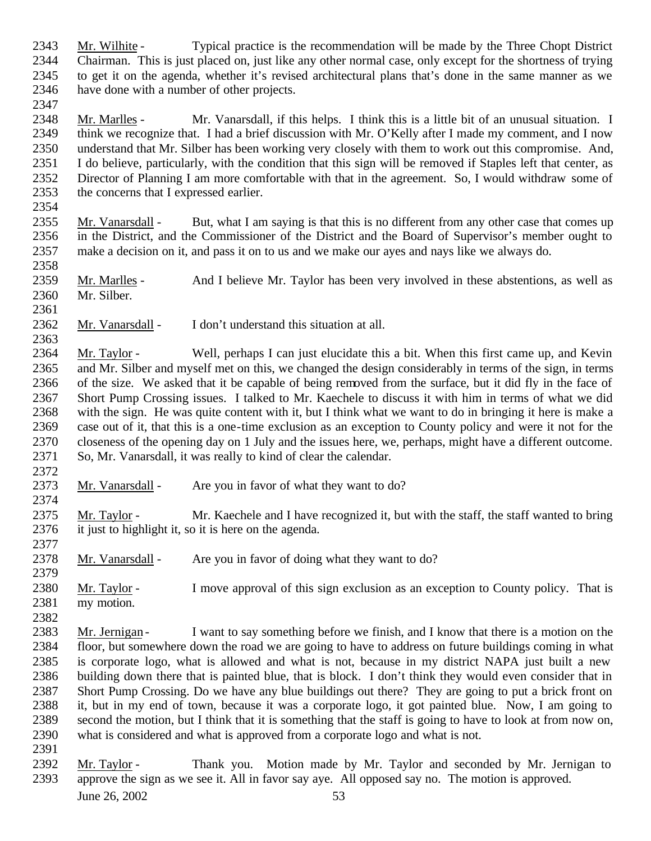June 26, 2002 53 Mr. Wilhite - Typical practice is the recommendation will be made by the Three Chopt District Chairman. This is just placed on, just like any other normal case, only except for the shortness of trying to get it on the agenda, whether it's revised architectural plans that's done in the same manner as we have done with a number of other projects. Mr. Marlles - Mr. Vanarsdall, if this helps. I think this is a little bit of an unusual situation. I think we recognize that. I had a brief discussion with Mr. O'Kelly after I made my comment, and I now understand that Mr. Silber has been working very closely with them to work out this compromise. And, I do believe, particularly, with the condition that this sign will be removed if Staples left that center, as Director of Planning I am more comfortable with that in the agreement. So, I would withdraw some of the concerns that I expressed earlier. 2355 Mr. Vanarsdall - But, what I am saying is that this is no different from any other case that comes up in the District, and the Commissioner of the District and the Board of Supervisor's member ought to make a decision on it, and pass it on to us and we make our ayes and nays like we always do. 2359 Mr. Marlles - And I believe Mr. Taylor has been very involved in these abstentions, as well as Mr. Silber. Mr. Vanarsdall - I don't understand this situation at all. Mr. Taylor - Well, perhaps I can just elucidate this a bit. When this first came up, and Kevin and Mr. Silber and myself met on this, we changed the design considerably in terms of the sign, in terms of the size. We asked that it be capable of being removed from the surface, but it did fly in the face of Short Pump Crossing issues. I talked to Mr. Kaechele to discuss it with him in terms of what we did with the sign. He was quite content with it, but I think what we want to do in bringing it here is make a case out of it, that this is a one-time exclusion as an exception to County policy and were it not for the closeness of the opening day on 1 July and the issues here, we, perhaps, might have a different outcome. So, Mr. Vanarsdall, it was really to kind of clear the calendar. 2373 Mr. Vanarsdall - Are you in favor of what they want to do? Mr. Taylor - Mr. Kaechele and I have recognized it, but with the staff, the staff wanted to bring it just to highlight it, so it is here on the agenda. Mr. Vanarsdall - Are you in favor of doing what they want to do? Mr. Taylor - I move approval of this sign exclusion as an exception to County policy. That is my motion. Mr. Jernigan - I want to say something before we finish, and I know that there is a motion on the floor, but somewhere down the road we are going to have to address on future buildings coming in what is corporate logo, what is allowed and what is not, because in my district NAPA just built a new building down there that is painted blue, that is block. I don't think they would even consider that in Short Pump Crossing. Do we have any blue buildings out there? They are going to put a brick front on it, but in my end of town, because it was a corporate logo, it got painted blue. Now, I am going to second the motion, but I think that it is something that the staff is going to have to look at from now on, what is considered and what is approved from a corporate logo and what is not. Mr. Taylor - Thank you. Motion made by Mr. Taylor and seconded by Mr. Jernigan to approve the sign as we see it. All in favor say aye. All opposed say no. The motion is approved.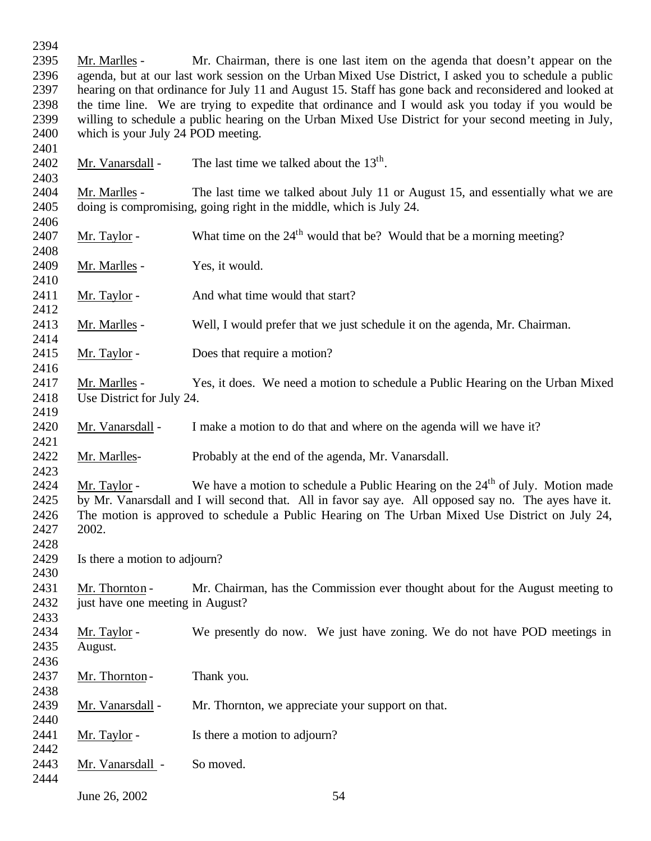Mr. Marlles - Mr. Chairman, there is one last item on the agenda that doesn't appear on the agenda, but at our last work session on the Urban Mixed Use District, I asked you to schedule a public hearing on that ordinance for July 11 and August 15. Staff has gone back and reconsidered and looked at the time line. We are trying to expedite that ordinance and I would ask you today if you would be willing to schedule a public hearing on the Urban Mixed Use District for your second meeting in July, which is your July 24 POD meeting. 2402 Mr. Vanarsdall - The last time we talked about the  $13<sup>th</sup>$ . Mr. Marlles - The last time we talked about July 11 or August 15, and essentially what we are doing is compromising, going right in the middle, which is July 24. 2407 Mr. Taylor - What time on the  $24<sup>th</sup>$  would that be? Would that be a morning meeting? 2409 Mr. Marlles - Yes, it would. 2411 Mr. Taylor - And what time would that start? Mr. Marlles - Well, I would prefer that we just schedule it on the agenda, Mr. Chairman. 2415 Mr. Taylor - Does that require a motion? Mr. Marlles - Yes, it does. We need a motion to schedule a Public Hearing on the Urban Mixed Use District for July 24. Mr. Vanarsdall - I make a motion to do that and where on the agenda will we have it? Mr. Marlles- Probably at the end of the agenda, Mr. Vanarsdall. 2424 Mr. Taylor - We have a motion to schedule a Public Hearing on the  $24<sup>th</sup>$  of July. Motion made by Mr. Vanarsdall and I will second that. All in favor say aye. All opposed say no. The ayes have it. The motion is approved to schedule a Public Hearing on The Urban Mixed Use District on July 24, 2002. Is there a motion to adjourn? Mr. Thornton - Mr. Chairman, has the Commission ever thought about for the August meeting to 2432 just have one meeting in August? Mr. Taylor - We presently do now. We just have zoning. We do not have POD meetings in August. 2437 Mr. Thornton - Thank you. 2439 Mr. Vanarsdall - Mr. Thornton, we appreciate your support on that. 2441 Mr. Taylor - Is there a motion to adjourn? Mr. Vanarsdall - So moved. 

June 26, 2002 54